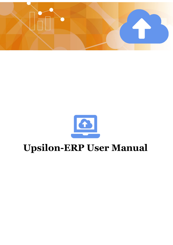

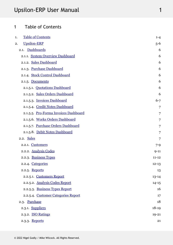## <span id="page-1-0"></span>1 Table of Contents

| <b>Table of Contents</b><br>1.           | $1 - 4$        |
|------------------------------------------|----------------|
| <b>Upsilon-ERP</b><br>2.                 | $5 - 6$        |
| Dashboards<br>2.1.                       | 6              |
| 2.1.1. System Overview Dashboard         | 6              |
| <b>Sales Dashboard</b><br>2.1.2.         | 6              |
| <b>Purchase Dashboard</b><br>2.1.3.      | 6              |
| <b>Stock Control Dashboard</b><br>2.1.4. | 6              |
| Documents<br>2.1.5.                      | 6              |
| 2.1.5.1. Quotations Dashboard            | 6              |
| 2.1.5.2. Sales Orders Dashboard          | 6              |
| 2.1.5.3. Invoices Dashboard              | $6 - 7$        |
| 2.1.5.4. Credit Notes Dashboard          | $\overline{7}$ |
| 2.1.5.5. Pro-Forma Invoices Dashboard    | $\overline{7}$ |
| 2.1.5.6. Works Orders Dashboard          | $\overline{7}$ |
| 2.1.5.7. Purchase Orders Dashboard       | 7              |
| 2.1.5.8. Debit Notes Dashboard           | $\overline{7}$ |
| 2.2. Sales                               | 7              |
| 2.2.1. Customers                         | $7 - 9$        |
| 2.2.2. Analysis Codes                    | $9 - 11$       |
| 2.2.3. Business Types                    | $11 - 12$      |
| 2.2.4. Categories                        | $12 - 13$      |
| 2.2.5. Reports                           | 13             |
| 2.2.5.1. Customers Report                | $13 - 14$      |
| 2.2.5.2. Analysis Codes Report           | $14 - 15$      |
| 2.2.5.3. Business Types Report           | 16             |
| 2.2.5.4. Customer Categories Report      | 17             |
| 2.3. Purchase                            | 18             |
| 2.3.1. Suppliers                         | $18-19$        |
| 2.3.2. ISO Ratings                       | $19 - 21$      |
| 2.3.3. Reports                           | 21             |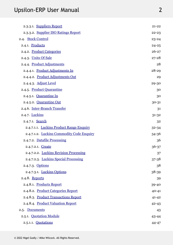| 2.3.3.1. Suppliers Report                 | $21 - 22$ |
|-------------------------------------------|-----------|
| 2.3.3.2. Supplier ISO Ratings Report      | $22 - 23$ |
| 2.4. Stock Control                        | 23-24     |
| 2.4.1. Products                           | $24 - 25$ |
| 2.4.2. Product Categories                 | $26 - 27$ |
| 2.4.3. Units Of Sale                      | $27 - 28$ |
| 2.4.4. Product Adjustments                | 28        |
| 2.4.4.1. Product Adjustments In           | $28 - 29$ |
| 2.4.4.2. Product Adjustments Out          | 29        |
| 2.4.4.3. Adjust Level                     | 29-30     |
| 2.4.5. Product Quarantine                 | 30        |
| 2.4.5.1. Quarantine In                    | 30        |
| 2.4.5.2. Quarantine Out                   | 30-31     |
| 2.4.6. Inter-Branch Transfer              | 31        |
| 2.4.7. Luckins                            | $31 - 32$ |
| 2.4.7.1. Search                           | 32        |
| 2.4.7.1.1. Luckins Product Range Enquiry  | 32-34     |
| 2.4.7.1.2. Luckins Commodity Code Enquiry | 34-36     |
| 2.4.7.2. Datafile Processing              | 36        |
| 2.4.7.2.1. Create                         | 36-37     |
| 2.4.7.2.2. Luckins Revision Processing    | 37        |
| 2.4.7.2.3. Luckins Special Processing     | 37-38     |
| 2.4.7.3. Options                          | 38        |
| 2.4.7.3.1. Luckins Options                | 38-39     |
| 2.4.8. Reports                            | 39        |
| 2.4.8.1. Products Report                  | 39-40     |
| 2.4.8.2. Product Categories Report        | $40 - 41$ |
| 2.4.8.3. Product Transactions Report      | $41 - 42$ |
| 2.4.8.4. Product Valuation Report         | $42 - 43$ |
| 2.5. Documents                            | 43        |
| 2.5.1. Quotation Module                   | 43-44     |
| 2.5.1.1. Quotations                       | 44-47     |
|                                           |           |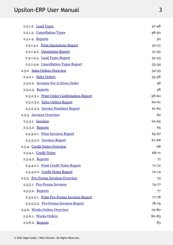| 2.5.1.2. Lead Types                        | $47 - 48$ |
|--------------------------------------------|-----------|
| 2.5.1.3. Cancellation Types                | $48 - 50$ |
| 2.5.1.4. Reports                           | 50        |
| 2.5.1.4.1. Print Quotations Report         | $50 - 51$ |
| 2.5.1.4.2. Quotations Report               | $51 - 52$ |
| 2.5.1.4.3. Lead Types Report               | $52 - 53$ |
| 2.5.1.4.4. Cancellation Types Report       | 53-54     |
| 2.5.2. Sales Orders Overview               | 54-55     |
| 2.5.2.1. Sales Orders                      | 55-58     |
| 2.5.2.2. Invoices For A Given Order        | 58        |
| 2.5.2.3. Reports                           | 58        |
| 2.5.2.3.1. Print Order Confirmation Report | 58-60     |
| 2.5.2.3.2. Sales Orders Report             | 60-61     |
| 2.5.2.3.3. Invoice Numbers Report          | 61-62     |
| 2.5.3. Invoices Overview                   | 62        |
| 2.5.3.1. Invoices                          | $62 - 65$ |
| 2.5.3.2. Reports                           | 65        |
| 2.5.3.2.1. Print Invoices Report           | 65-67     |
| 2.5.3.2.2. Invoices Report                 | 67-68     |
| 2.5.4. Credit Notes Overview               | 68        |
| 2.5.4.1. Credit Notes                      | 68-71     |
| 2.5.4.2. Reports                           | 71        |
| 2.5.4.2.1. Print Credit Notes Report       | $71 - 72$ |
| 2.5.4.2.2. Credit Notes Report             | $72 - 74$ |
| 2.5.5. Pro-Forma Invoices Overview         | 74        |
| 2.5.5.1. Pro-Forma Invoices                | $74 - 77$ |
| 2.5.5.2. Reports                           | 77        |
| 2.5.5.2.1. Print Pro-Forma Invoices Report | $77 - 78$ |
| 2.5.5.2.2. Pro-Forma Invoices Report       | 78-79     |
| 2.5.6. Works Orders Overview               | 79-80     |
| 2.5.6.1. Works Orders                      | 80-83     |
| 2.5.6.2. Reports                           | 83        |
|                                            |           |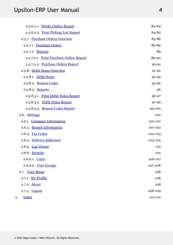| 2.5.6.2.1. Works Orders Report          | 83-84     |
|-----------------------------------------|-----------|
| 2.5.6.2.2. Print Picking List Report    | 84-85     |
| 2.5.7. Purchase Orders Overview         | 85-86     |
| 2.5.7.1. Purchase Orders                | 86-89     |
| 2.5.7.2. Reports                        | 89        |
| 2.5.7.2.1. Print Purchase Orders Report | 89-90     |
| 2.5.7.2.2. Purchase Orders Report       | $90 - 91$ |
| 2.5.8. Debit Notes Overview             | $91 - 92$ |
| 2.5.8.1. Debit Notes                    | $92 - 95$ |
| 2.5.8.2. Reason Codes                   | 95-96     |
| 2.5.8.3. Reports                        | 96        |
| 2.5.8.3.1. Print Debit Notes Report     | 96-97     |
| 2.5.8.3.2. Debit Notes Report           | 97-99     |
| 2.5.8.3.3. Reason Codes Report          | 99-100    |
| 2.6. Settings                           | 100       |
| 2.6.1. Company Information              | 100-101   |
| 2.6.2. Branch Information               | 101-102   |
| 2.6.3. Tax Codes                        | 102-103   |
| 2.6.4. Delivery Addresses               | 103-105   |
| 2.6.5. Log Viewer                       | 105       |
| 2.6.6. Security                         | 105       |
| 2.6.6.1. Users                          | 106-107   |
| 2.6.6.2. User Groups                    | 107-108   |
| 2.7. User Menu                          | 108       |
| 2.7.1. My Profile                       | 108       |
| 2.7.2. About                            | 108       |
| 2.7.3. Logout                           | 108-109   |
| <b>Index</b><br>3.                      | 110-112   |
|                                         |           |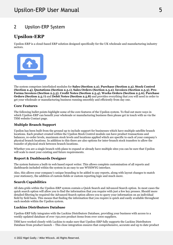## <span id="page-5-0"></span>2 Upsilon-ERP System

## **Upsilon-ERP**

Upsilon-ERP is a cloud-based ERP solution designed specifically for the UK wholesale and manufacturing industry sectors.



The system comprises interlinked modules for **Sales (Section 2.2)**, **Purchase (Section 2.3)**, **Stock Control (Section 2.4)**, **Quotations (Section 2.5.1)**, **Sales Orders (Section 2.5.2)**, **Invoices (Section 2.5.3)**, **Pro-Forma Invoices (Section 2.5.5)**, **Credit Notes (Section 2.5.4)**, **Works Orders (Section 2.5.6)**, **Purchase Orders (Section 2.5.7)** and **Debit Notes (Section 2.5.8)** and provides everything that you will need in order to get your wholesale or manufacturing business running smoothly and efficiently from day one.

### **Core Features**

The following bullet points highlight some of the core features of the Upsilon system. To find out more ways in which Upsilon-ERP can benefit your wholesale or manufacturing business then please get in touch with us via the TSM website Contact page.

### **Multiple Branch Support**

Upsilon has been built from the ground up to include support for businesses which have multiple satellite branch locations. Each product created within the Upsilon Stock Control module can have product transactions and balances, re-order levels, maximum stock levels and locations applied which are specific to each of your company's physical branch locations. In addition to this there are also options for inter-branch stock transfers to allow the transfer of physical stock between branch locations.

Whether you are a single branch with plans to expand or already have multiple sites you can be sure that Upsilon will scale to meet your existing and future requirements.

### **Report & Dashboards Designer**

The system features a built-in web based report writer. This allows complete customisation of all reports and dashboards included within the system in an easy to use WYSIWYG interface.

Also, this allows your company's unique branding to be added to any reports, along with layout changes to match your stationery, the addition of custom fields or custom reporting logic and much more.

### **Search Capabilities**

All data grids within the Upsilon-ERP system contain a Quick Search and Advanced Search option. In most cases the quick search option will allow you to find the information that you require with just a few key presses. Should more detailed filtering be required the Advanced Search option allows you to query your information on an individual field by field basis. This means that finding the information that you require is quick and easily available throughout each module within the Upsilon system.

### **Luckins Distributors Database**

Upsilon-ERP fully integrates with the Luckins Distributors Database, providing your business with access to a weekly updated database of over 750,000 product items from over 1000 suppliers.

TSM have worked closely with Luckins to make sure that Upsilon-ERP fully supports the Luckins Distributors Database from product launch – This close integration ensures that comprehensive, accurate and up to date product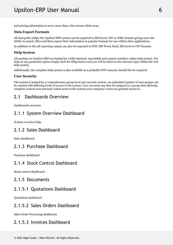<span id="page-6-0"></span>and pricing information is never more than a few mouse clicks away.

### **Data Export Formats**

All data grids within the Upsilon-ERP system can be exported to MS Excel, CSV or XML formats giving users the ability to search, filter and then export their information in popular formats for use within other applications.

In addition to this all reporting output can also be exported to PDF, MS Word, html, MS Excel or CSV formats.

#### **Help System**

All modules in Upsilon-ERP are backed by a fully featured, searchable and context sensitive online help system. For help on any particular option simply click the Help button and you will be taken to the relevant topic within the web help system.

Additionally, the complete help system is also available as a printable PDF manual, should this be required.

### **User Security**

The system is backed by a comprehensive group level user security system. An unlimited number of user groups can be created with differing levels of access to the system. User accounts can then be assigned to a group thus allowing complete control over precisely which areas of the system your company's users are granted access to.

## 2.1 Dashboards Overview

Dashboards overview.

## 2.1.1 System Overview Dashboard

System overview help.

## 2.1.2 Sales Dashboard

Sales dashboard.

## 2.1.3 Purchase Dashboard

Purchase dashboard.

## 2.1.4 Stock Control Dashboard

Stock control dashboard.

## 2.1.5 Documents

## 2.1.5.1 Quotations Dashboard

Quotations dashboard.

## 2.1.5.2 Sales Orders Dashboard

Sales Order Processing dashboard.

## 2.1.5.3 Invoices Dashboard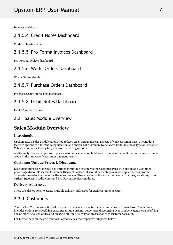# <span id="page-7-0"></span>Upsilon-ERP User Manual 7 November 2014

Invoices dashboard.

## 2.1.5.4 Credit Notes Dashboard

Credit Notes dashboard.

## 2.1.5.5 Pro-Forma Invoices Dashboard

Pro-Forma Invoices dashboard.

## 2.1.5.6 Works Orders Dashboard

Works Orders dashboard.

## 2.1.5.7 Purchase Orders Dashboard

Purchase Order Processing dashboard.

## 2.1.5.8 Debit Notes Dashboard

Debit Notes dashboard.

## 2.2 Sales Module Overview

#### **Sales Module Overview**

### **Introduction**

Upsilon-ERP's Sales Module allows you to keep track and analyse all aspects of your customer base. The module features options to allow the categorisation and analysis of customers by Analysis Code, Business Type or Customer Category and is backed by fully-featured reporting options.

Additionally, there are options to place customer accounts on hold, set customer settlement discounts, set customer credit limits and specify customer payment terms.

### **Customer Unique Prices & Discounts**

Each customer record created has options for unique pricing via the Customer Price File option and Customer percentage discounts via the Customer Discounts option. Discount percentages can be applied across product categories in order to streamline the sales process. These pricing options are then shared via the Quotations, Sales Orders, Invoices, Credit Notes and Pro-Forma Invoices modules.

### **Delivery Addresses**

There are also options to create multiple delivery addresses for each customer account.

## 2.2.1 Customers

The Upsilon Customers option allows you to manage all aspects of your companies customer base. The module includes options for specifying customer unique pricing, percentage discounting over product categories, specifying one or more Analysis Codes and creating multiple delivery addresses for each customer account.

For further help on the grid and form options click the respective tab pages below.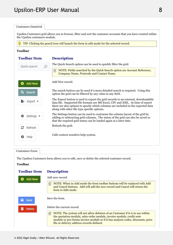| <b>Customers DataGrid</b>     |                                                                                                                                                                                                                                                                                                          |
|-------------------------------|----------------------------------------------------------------------------------------------------------------------------------------------------------------------------------------------------------------------------------------------------------------------------------------------------------|
| the Upsilon customers module. | Upsilon Customers grid allows you to browse, filter and sort the customer accounts that you have created within                                                                                                                                                                                          |
|                               | TIP: Clicking the pencil icon will launch the form in edit mode for the selected record.                                                                                                                                                                                                                 |
| <b>Toolbar</b>                |                                                                                                                                                                                                                                                                                                          |
| <b>Toolbar Item</b>           | <b>Description</b>                                                                                                                                                                                                                                                                                       |
| Quick search<br>O             | The Quick Search option can be used to quickly filter the grid.                                                                                                                                                                                                                                          |
|                               | NOTE: Fields searched by the Quick Search option are Account Reference,<br>昏<br>Company Name, Postcode and Contact Name.                                                                                                                                                                                 |
| <b>Add New</b>                | Add New record.                                                                                                                                                                                                                                                                                          |
| Search                        | The search button can be used if a more detailed search is required. Using this<br>option the grid can be filtered by any value in any field.                                                                                                                                                            |
| Export *                      | The Export button is used to export the grid records to an external, downloadable<br>data file. Supported file formats are MS Excel, CSV and XML. At time of export<br>there are also options to specify which columns are included in the exported data<br>along with other file type specific options. |
| Settings $\blacktriangledown$ | The Settings button can be used to customise the column layout of the grid by<br>adding or subtracting grid columns. The status of the grid can also be saved so<br>that the required grid status can be loaded again at a later time.                                                                   |
| Refresh                       | Refresh the grid.                                                                                                                                                                                                                                                                                        |
| Help                          | Calls context sensitive help system.                                                                                                                                                                                                                                                                     |

Customers Form

The Upsilon Customers form allows you to edit, save or delete the selected customer record.

### **Toolbar**

### **Toolbar Description** Add new record. **Add New** ω  $\equiv$  NOTE: When in Add mode the form toolbar buttons will be replaced with Add and Cancel buttons. Add will add the new record and Cancel will return the form to Edit mode. Save the form. a Save Delete the current record. **Delete**  $\equiv$  NOTE: The system will not allow deletion of an Customer if it is in use within the quotation module, sales order module, invoice module, credit note module or pro-forma invoice module or if it has analysis codes, discounts, price file or delivery address records defined.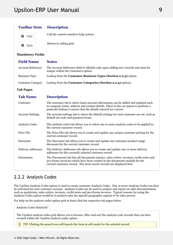#### <span id="page-9-0"></span>**Toolbar Description**

| €       | Help        | Call the context sensitive help system. |
|---------|-------------|-----------------------------------------|
| $\circ$ | <b>Back</b> | Return to calling grid.                 |

### **Mandatory Fields**

| <b>Field Name</b>        | <b>Notes</b>                                                                                                            |  |
|--------------------------|-------------------------------------------------------------------------------------------------------------------------|--|
| <b>Account Reference</b> | The Account Reference field Is editable only upon adding new records and must be<br>unique within the Customers option. |  |
| <b>Business Type</b>     | Lookup from the Customer Business Types (Section 2.2.3) option.                                                         |  |
| <b>Customer Category</b> | Lookup from the Customer Categories (Section 2.2.4) options.                                                            |  |

**Tab Pages**

| <b>Tab Name</b>         | <b>Description</b>                                                                                                                                                                                                                              |  |
|-------------------------|-------------------------------------------------------------------------------------------------------------------------------------------------------------------------------------------------------------------------------------------------|--|
| Customer                | The customer tab is where basic account information can be added and updated such<br>as company name, address and contact details. There is also an option to perform a<br>postcode lookup to ensure that the details entered are correct.      |  |
| <b>Account Settings</b> | The account settings tab is where the default settings for each customer are set, such as<br>default tax code and payment terms.                                                                                                                |  |
| Analysis Codes          | The analysis codes tab allows you to select one or more analysis codes to be applied to<br>the current customer record.                                                                                                                         |  |
| Price File              | The Price File tab allows you to create and update any unique customer pricing for the<br>current customer record.                                                                                                                              |  |
| <b>Discounts</b>        | The Discounts tab allows you to create and update any customer product range<br>discounts for the current customer record.                                                                                                                      |  |
| Delivery Addresses      | The Delivery Addresses tab allows you to create and update one or more delivery<br>addresses for the currently selected customer record.                                                                                                        |  |
| Documents               | The Documents tab lists all documents (quotes, sales orders, invoices, credit notes and<br>pro-forma invoices) which have been created in the documents module for the<br>current customer record. The most recent records are displayed first. |  |
|                         |                                                                                                                                                                                                                                                 |  |

## 2.2.2 Analysis Codes

The Upsilon Analysis Codes option is used to create customer Analysis Codes. One or more Analysis Codes can then be activated for each customer account. Analysis Codes can be used to analyse and report on sales documentation such as quotations, sales orders, invoices, credit notes and pro-forma invoices. Typical reasons for using the Analysis Codes option would be to analyse sales for specific geographic regions or by sales person.

For help on the analysis codes option grid or form click the respective tab pages below.

Analysis Codes DataGrid

The Upsilon analysis codes grid allows you to browse, filter and sort the analysis code records that you have created within the Upsilon analysis codes option.

TIP: Clicking the pencil icon will launch the form in edit mode for the selected record.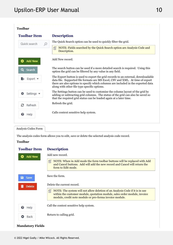| <b>Toolbar</b>                |                                                                                                                                                                                                                                                                                                          |
|-------------------------------|----------------------------------------------------------------------------------------------------------------------------------------------------------------------------------------------------------------------------------------------------------------------------------------------------------|
| <b>Toolbar Item</b>           | <b>Description</b>                                                                                                                                                                                                                                                                                       |
| Quick search<br>O             | The Quick Search option can be used to quickly filter the grid.                                                                                                                                                                                                                                          |
|                               | NOTE: Fields searched by the Quick Search option are Analysis Code and<br>儨<br>Description.                                                                                                                                                                                                              |
| <b>Add New</b>                | Add New record.                                                                                                                                                                                                                                                                                          |
| Search                        | The search button can be used if a more detailed search is required. Using this<br>option the grid can be filtered by any value in any field.                                                                                                                                                            |
| Export                        | The Export button is used to export the grid records to an external, downloadable<br>data file. Supported file formats are MS Excel, CSV and XML. At time of export<br>there are also options to specify which columns are included in the exported data<br>along with other file type specific options. |
| Settings $\blacktriangledown$ | The Settings button can be used to customise the column layout of the grid by<br>adding or subtracting grid columns. The status of the grid can also be saved so<br>that the required grid status can be loaded again at a later time.                                                                   |
| с<br>Refresh                  | Refresh the grid.                                                                                                                                                                                                                                                                                        |
| Help<br>อ                     | Calls context sensitive help system.                                                                                                                                                                                                                                                                     |

### Analysis Codes Form

The analysis codes form allows you to edit, save or delete the selected analysis code record.

### **Toolbar**

## **Toolbar Description** Add new record. **Add New**  $\equiv$  NOTE: When in Add mode the form toolbar buttons will be replaced with Add and Cancel buttons. Add will add the new record and Cancel will return the form to Edit mode. Save the form. a Save Delete the current record. **Delete**  $\equiv$  NOTE: The system will not allow deletion of an Analysis Code if it is in use within the customer module, quotation module, sales order module, invoice module, credit note module or pro-forma invoice module. Call the context sensitive help system. Help Return to calling grid. Back **Mandatory Fields**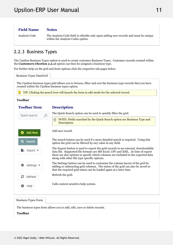# <span id="page-11-0"></span>Upsilon-ERP User Manual 2008 11 2010 11

#### **Field Name Notes**

Analysis Code The Analysis Code field Is editable only upon adding new records and must be unique within the Analysis Codes option.

## 2.2.3 Business Types

The Upsilon Business Types option is used to create customer Business Types. Customer records created within the **Customers (Section 2.2.1)** option can then be assigned a business type.

For further help on the grid and form options click the respective tab pages below.

Business Types DataGrid

The Upsilon business types grid allows you to browse, filter and sort the business type records that you have created within the Upsilon business types option.

TIP: Clicking the pencil icon will launch the form in edit mode for the selected record.

### **Toolbar**

### **Toolbar**

### **Description**

The Quick Search option can be used to quickly filter the grid. Quick search 儨 NOTE: Fields searched by the Quick Search option are Business Type and Description. Add new record. **Add New** The search button can be used if a more detailed search is required. Using this Search option the grid can be filtered by any value in any field. The Export button is used to export the grid records to an external, downloadable **Export** data file. Supported file formats are MS Excel, CSV and XML. At time of export there are also options to specify which columns are included in the exported data along with other file type specific options. The Settings button can be used to customise the column layout of the grid by Settings adding or subtracting grid columns. The status of the grid can also be saved so that the required grid status can be loaded again at a later time. Refresh the grid. Refresh Calls context sensitive help system. Help

Business Types Form

The business types form allows you to add, edit, save or delete records.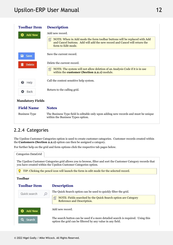<span id="page-12-0"></span>

| <b>Toolbar Item</b>     | <b>Description</b>                                                                                                                                                                 |
|-------------------------|------------------------------------------------------------------------------------------------------------------------------------------------------------------------------------|
| Add New                 | Add new record.                                                                                                                                                                    |
|                         | NOTE: When in Add mode the form toolbar buttons will be replaced with Add<br>自<br>and Cancel buttons. Add will add the new record and Cancel will return the<br>form to Edit mode. |
| a<br>Save               | Save the current record.                                                                                                                                                           |
| <b>Delete</b>           | Delete the current record.                                                                                                                                                         |
|                         | NOTE: The system will not allow deletion of an Analysis Code if it is in use<br>昏<br>within the customer (Section 2.2.1) module.                                                   |
| ❸<br>Help               | Call the context sensitive help system.                                                                                                                                            |
| Back<br>o               | Return to the calling grid.                                                                                                                                                        |
| <b>Mandatory Fields</b> |                                                                                                                                                                                    |
| <b>Field Name</b>       | <b>Notes</b>                                                                                                                                                                       |
| <b>Business Type</b>    | The Business Type field Is editable only upon adding new records and must be unique<br>within the Business Types option.                                                           |

## 2.2.4 Categories

The Upsilon Customer Categories option is used to create customer categories. Customer records created within the **Customers (Section 2.2.1)** option can then be assigned a category.

For further help on the grid and form options click the respective tab pages below.

| Categories DataGrid                                                                      |                                                                                                                                                                                  |  |
|------------------------------------------------------------------------------------------|----------------------------------------------------------------------------------------------------------------------------------------------------------------------------------|--|
|                                                                                          | The Upsilon Customer Categories grid allows you to browse, filter and sort the Customer Category records that<br>you have created within the Upsilon Customer Categories option. |  |
| TIP: Clicking the pencil icon will launch the form in edit mode for the selected record. |                                                                                                                                                                                  |  |
| <b>Toolbar</b>                                                                           |                                                                                                                                                                                  |  |
| <b>Toolbar Item</b>                                                                      | <b>Description</b>                                                                                                                                                               |  |
| Quick search<br>$\mathcal{Q}$                                                            | The Quick Search option can be used to quickly filter the grid.                                                                                                                  |  |
|                                                                                          | NOTE: Fields searched by the Quick Search option are Category<br>囼<br>Reference and Description.                                                                                 |  |
| <b>Add New</b>                                                                           | Add new record.                                                                                                                                                                  |  |
| Search                                                                                   | The search button can be used if a more detailed search is required. Using this<br>option the grid can be filtered by any value in any field.                                    |  |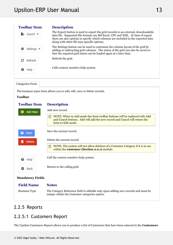<span id="page-13-0"></span>

| <b>Toolbar Item</b> | <b>Description</b>                                                                                                                                                                                                                                                                                       |  |
|---------------------|----------------------------------------------------------------------------------------------------------------------------------------------------------------------------------------------------------------------------------------------------------------------------------------------------------|--|
| Export              | The Export button is used to export the grid records to an external, downloadable<br>data file. Supported file formats are MS Excel, CSV and XML. At time of export<br>there are also options to specify which columns are included in the exported data<br>along with other file type specific options. |  |
| Settinas ▼          | The Settings button can be used to customise the column layout of the grid by<br>adding or subtracting grid columns. The status of the grid can also be saved so<br>that the required grid status can be loaded again at a later time.                                                                   |  |
| Refresh             | Refresh the grid.                                                                                                                                                                                                                                                                                        |  |
| Help                | Calls context sensitive help system.                                                                                                                                                                                                                                                                     |  |
|                     |                                                                                                                                                                                                                                                                                                          |  |

### Categories Form

The business types form allows you to add, edit, save or delete records.

### **Toolbar**

| <b>Toolbar Item</b> | <b>Description</b>                                                                                                                                                                 |
|---------------------|------------------------------------------------------------------------------------------------------------------------------------------------------------------------------------|
| <b>Add New</b>      | Add new record.                                                                                                                                                                    |
|                     | NOTE: When in Add mode the form toolbar buttons will be replaced with Add<br>自<br>and Cancel buttons. Add will add the new record and Cancel will return the<br>form to Edit mode. |
| a Save              | Save the current record.                                                                                                                                                           |
| <b>Delete</b>       | Delete the current record.                                                                                                                                                         |
|                     | NOTE: The system will not allow deletion of a Customer Category if it is in use<br>自<br>within the customer (Section 2.2.1) module.                                                |
| ❸<br>Help           | Call the context sensitive help system.                                                                                                                                            |
| Back                | Return to the calling grid.                                                                                                                                                        |
|                     |                                                                                                                                                                                    |

### **Mandatory Fields**

#### **Field Name Notes**

Business Type The Category Reference field Is editable only upon adding new records and must be unique within the Customer categories option.

## 2.2.5 Reports

## 2.2.5.1 Customers Report

The Upsilon Customers Report allows you to produce a list of Customers that have been entered in the **Customers**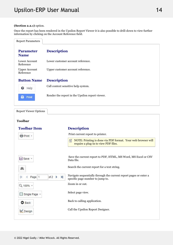### <span id="page-14-0"></span>**(Section 2.2.1)** option.

Once the report has been rendered in the Upsilon Report Viewer it is also possible to drill-down to view further information by clicking on the Account Reference field.

| <b>Report Parameters</b>          |                                                 |
|-----------------------------------|-------------------------------------------------|
| <b>Parameter</b><br><b>Name</b>   | <b>Description</b>                              |
| Lower Account<br>Reference        | Lower customer account reference.               |
| <b>Upper Account</b><br>Reference | Upper customer account reference.               |
| <b>Button Name</b>                | <b>Description</b>                              |
| ๏<br>Help                         | Call context sensitive help system.             |
| Print                             | Render the report in the Upsilon report viewer. |
| <b>Report Viewer Options</b>      |                                                 |

| <b>Toolbar Item</b>                          | <b>Description</b>                                                                                        |
|----------------------------------------------|-----------------------------------------------------------------------------------------------------------|
| Print +                                      | Print current report to printer.                                                                          |
|                                              | NOTE: Printing is done via PDF format. Your web browser will<br>囼<br>require a plug-in to view PDF files. |
|                                              |                                                                                                           |
| <b>El</b> Save ▼                             | Save the current report to PDF, HTML, MS Word, MS Excel or CSV<br>Data file.                              |
| 譱                                            | Search the current report for a text string.                                                              |
| $\mathbb{N}$<br>of $2 \rightarrow$<br>Page 1 | Navigate sequentially through the current report pages or enter a<br>specific page number to jump to.     |
| Q 100% +                                     | Zoom in or out.                                                                                           |
| ■ Single Page ▼                              | Select page view.                                                                                         |
| <b>O</b> Back                                | Back to calling application.                                                                              |
| Design                                       | Call the Upsilon Report Designer.                                                                         |
|                                              |                                                                                                           |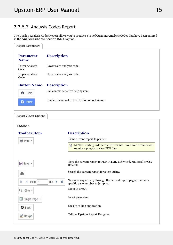## 2.2.5.2 Analysis Codes Report

The Upsilon Analysis Codes Report allows you to produce a list of Customer Analysis Codes that have been entered in the **Analysis Codes (Section 2.2.2)** option.

| <b>Report Parameters</b>        |                                                 |
|---------------------------------|-------------------------------------------------|
| <b>Parameter</b><br><b>Name</b> | <b>Description</b>                              |
| Lower Analysis<br>Code          | Lower sales analysis code.                      |
| <b>Upper Analysis</b><br>Code   | Upper sales analysis code.                      |
| <b>Button Name</b>              | <b>Description</b>                              |
| ๏<br>Help                       | Call context sensitive help system.             |
| Print                           | Render the report in the Upsilon report viewer. |
|                                 |                                                 |

Report Viewer Options

| <b>Toolbar Item</b>             | <b>Description</b>                                                                                        |
|---------------------------------|-----------------------------------------------------------------------------------------------------------|
| Print +                         | Print current report to printer.                                                                          |
|                                 | NOTE: Printing is done via PDF format. Your web browser will<br>自<br>require a plug-in to view PDF files. |
| $\Box$ Save $\sim$              | Save the current report to PDF, HTML, MS Word, MS Excel or CSV                                            |
|                                 | Data file.                                                                                                |
| 鸙                               | Search the current report for a text string.                                                              |
| N<br>of $2 \rightarrow$<br>Page | Navigate sequentially through the current report pages or enter a<br>specific page number to jump to.     |
| Q 100% +                        | Zoom in or out.                                                                                           |
| Single Page +                   | Select page view.                                                                                         |
| <b>O</b> Back                   | Back to calling application.                                                                              |
| Design                          | Call the Upsilon Report Designer.                                                                         |
|                                 |                                                                                                           |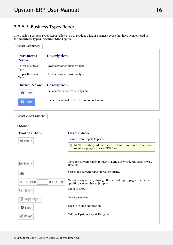## <span id="page-16-0"></span>2.2.5.3 Business Types Report

The Upsilon Business Types Report allows you to produce a list of Business Types that have been entered in the **Business Types (Section 2.2.3)** option.

| <b>Report Parameters</b>             |                                                 |
|--------------------------------------|-------------------------------------------------|
| <b>Parameter</b><br><b>Name</b>      | <b>Description</b>                              |
| <b>Lower Business</b><br><b>Type</b> | Lower customer business type.                   |
| <b>Upper Business</b><br><b>Type</b> | Upper customer business type.                   |
| <b>Button Name</b>                   | <b>Description</b>                              |
| ❸<br>Help                            | Call context sensitive help system.             |
| Print                                | Render the report in the Upsilon report viewer. |
|                                      |                                                 |

Report Viewer Options

| <b>Toolbar Item</b>                                 | <b>Description</b>                                                                                        |
|-----------------------------------------------------|-----------------------------------------------------------------------------------------------------------|
| Print +                                             | Print current report to printer.                                                                          |
|                                                     | NOTE: Printing is done via PDF format. Your web browser will<br>囼<br>require a plug-in to view PDF files. |
|                                                     |                                                                                                           |
| $\Box$ Save $\sim$                                  | Save the current report to PDF, HTML, MS Word, MS Excel or CSV<br>Data file.                              |
| 鸙                                                   | Search the current report for a text string.                                                              |
| $\blacktriangleright$<br>of $2 \rightarrow$<br>Page | Navigate sequentially through the current report pages or enter a<br>specific page number to jump to.     |
| Q 100% +                                            | Zoom in or out.                                                                                           |
| Single Page                                         | Select page view.                                                                                         |
| <b>O</b> Back                                       | Back to calling application.                                                                              |
| Design                                              | Call the Upsilon Report Designer.                                                                         |
|                                                     |                                                                                                           |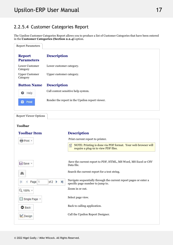## <span id="page-17-0"></span>2.2.5.4 Customer Categories Report

The Upsilon Customer Categories Report allows you to produce a list of Customer Categories that have been entered in the **Customer Categories (Section 2.2.4)** option.

| <b>Report Parameters</b>           |                                                 |
|------------------------------------|-------------------------------------------------|
| <b>Report</b><br><b>Parameters</b> | <b>Description</b>                              |
| Lower Customer<br>Category         | Lower customer category.                        |
| <b>Upper Customer</b><br>Category  | Upper customer category.                        |
| <b>Button Name</b>                 | <b>Description</b>                              |
| 0<br>Help                          | Call context sensitive help system.             |
| Ξ,<br>Print                        | Render the report in the Upsilon report viewer. |
|                                    |                                                 |

Report Viewer Options

| <b>Toolbar Item</b>                        | <b>Description</b>                                                                                        |
|--------------------------------------------|-----------------------------------------------------------------------------------------------------------|
| Print +                                    | Print current report to printer.                                                                          |
|                                            | NOTE: Printing is done via PDF format. Your web browser will<br>囼<br>require a plug-in to view PDF files. |
|                                            |                                                                                                           |
| $\Box$ Save $\sim$                         | Save the current report to PDF, HTML, MS Word, MS Excel or CSV<br>Data file.                              |
| 鸙                                          | Search the current report for a text string.                                                              |
| $\mathbf{H}$<br>of $2 \rightarrow$<br>Page | Navigate sequentially through the current report pages or enter a<br>specific page number to jump to.     |
| Q 100% +                                   | Zoom in or out.                                                                                           |
| Single Page *                              | Select page view.                                                                                         |
| <b>O</b> Back                              | Back to calling application.                                                                              |
| Design                                     | Call the Upsilon Report Designer.                                                                         |
|                                            |                                                                                                           |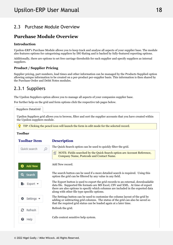## <span id="page-18-0"></span>2.3 Purchase Module Overview

#### **Purchase Module Overview COVER 1999**

### **Introduction**

Upsilon-ERP's Purchase Module allows you to keep track and analyse all aspects of your supplier base. The module also features options for categorising suppliers by ISO Rating and is backed by fully-featured reporting options.

Additionally, there are options to set free carriage thresholds for each supplier and specify suppliers as internal suppliers.

## **Product / Supplier Pricing**

Supplier pricing, part numbers, lead times and other information can be managed by the Products Supplied option allowing unique information to be created on a per-product per-supplier basis. This information is then shared by the Purchase Order and Debit Notes modules.

## 2.3.1 Suppliers

The Upsilon Suppliers option allows you to manage all aspects of your companies supplier base.

For further help on the grid and form options click the respective tab pages below.

Suppliers DataGrid

Upsilon Suppliers grid allows you to browse, filter and sort the supplier accounts that you have created within the Upsilon suppliers module.

TIP: Clicking the pencil icon will launch the form in edit mode for the selected record.

### **Toolbar**

### **Toolbar**

### **Description**

The Quick Search option can be used to quickly filter the grid. Quick search NOTE: Fields searched by the Quick Search option are Account Reference, Company Name, Postcode and Contact Name. Add New record. **Add New** The search button can be used if a more detailed search is required. Using this Search option the grid can be filtered by any value in any field. The Export button is used to export the grid records to an external, downloadable Export data file. Supported file formats are MS Excel, CSV and XML. At time of export there are also options to specify which columns are included in the exported data along with other file type specific options. The Settings button can be used to customise the column layout of the grid by Settings adding or subtracting grid columns. The status of the grid can also be saved so that the required grid status can be loaded again at a later time. Refresh the grid. Refresh Calls context sensitive help system. ຄ Help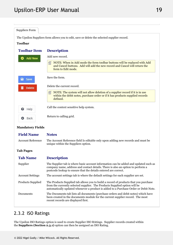<span id="page-19-0"></span>Suppliers Form The Upsilon Suppliers form allows you to edit, save or delete the selected supplier record. **Toolbar Toolbar Description** Add new record. **Add New** ω  $\Box$  NOTE: When in Add mode the form toolbar buttons will be replaced with Add and Cancel buttons. Add will add the new record and Cancel will return the form to Edit mode. Save the form. a Save Delete the current record. **Delete**  $\equiv$  NOTE: The system will not allow deletion of a supplier record if it is in use within the debit notes, purchase order or if it has products supplied records defined. Call the context sensitive help system. 0 Help Return to calling grid. Back **Mandatory Fields**

| <b>Field Name</b>        | <b>Notes</b>                                                                                                                                                                                                                                               |  |
|--------------------------|------------------------------------------------------------------------------------------------------------------------------------------------------------------------------------------------------------------------------------------------------------|--|
| <b>Account Reference</b> | The Account Reference field Is editable only upon adding new records and must be<br>unique within the Suppliers option.                                                                                                                                    |  |
| <b>Tab Pages</b>         |                                                                                                                                                                                                                                                            |  |
| <b>Tab Name</b>          | <b>Description</b>                                                                                                                                                                                                                                         |  |
| Supplier                 | The Supplier tab is where basic account information can be added and updated such as<br>company name, address and contact details. There is also an option to perform a<br>postcode lookup to ensure that the details entered are correct.                 |  |
| <b>Account Settings</b>  | The account settings tab is where the default settings for each supplier are set.                                                                                                                                                                          |  |
| <b>Products Supplied</b> | The Products Supplied tab allows you to build a record of products that you purchase<br>from the currently selected supplier. The Products Supplied option will be<br>automatically updated whenever a product is added to a Purchase Order or Debit Note. |  |
| Documents                | The Documents tab lists all documents (purchase orders and debit notes) which have<br>been created in the documents module for the current supplier record. The most<br>recent records are displayed first.                                                |  |
|                          |                                                                                                                                                                                                                                                            |  |

## 2.3.2 ISO Ratings

The Upsilon ISO Ratings option is used to create Supplier ISO RAtings. Supplier records created within the **Suppliers (Section 2.3.1)** option can then be assigned an ISO Rating.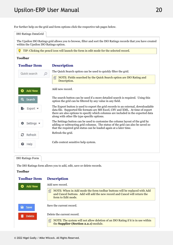For further help on the grid and form options click the respective tab pages below.

ISO Ratings DataGrid The Upsilon ISO Ratings grid allows you to browse, filter and sort the ISO Ratings records that you have created within the Upsilon ISO Ratings option. TIP: Clicking the pencil icon will launch the form in edit mode for the selected record. **Toolbar Toolbar Description** The Quick Search option can be used to quickly filter the grid. Quick search 昏 NOTE: Fields searched by the Quick Search option are ISO Rating and Description. Add new record. **Add New** The search button can be used if a more detailed search is required. Using this Search option the grid can be filtered by any value in any field. The Export button is used to export the grid records to an external, downloadable Export \* data file. Supported file formats are MS Excel, CSV and XML. At time of export there are also options to specify which columns are included in the exported data along with other file type specific options. The Settings button can be used to customise the column layout of the grid by Settings adding or subtracting grid columns. The status of the grid can also be saved so that the required grid status can be loaded again at a later time. Refresh the grid. Refresh Calls context sensitive help system. Help ฌ

ISO Ratings Form

The ISO Ratings form allows you to add, edit, save or delete records.

### **Toolbar**

#### **Toolbar Description**

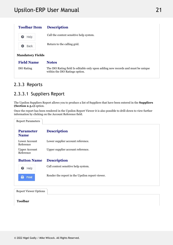<span id="page-21-0"></span>

| <b>Toolbar Item</b> | <b>Description</b>                      |  |
|---------------------|-----------------------------------------|--|
| Help<br>❸           | Call the context sensitive help system. |  |
| Back<br>o           | Return to the calling grid.             |  |

### **Mandatory Fields**

| <b>Field Name Notes</b> |  |
|-------------------------|--|
|                         |  |

ISO Rating The ISO Rating field Is editable only upon adding new records and must be unique within the ISO Ratings option.

## 2.3.3 Reports

## 2.3.3.1 Suppliers Report

The Upsilon Suppliers Report allows you to produce a list of Suppliers that have been entered in the **Suppliers (Section 2.3.1)** option.

Once the report has been rendered in the Upsilon Report Viewer it is also possible to drill-down to view further information by clicking on the Account Reference field.

| <b>Report Parameters</b>          |                                                 |
|-----------------------------------|-------------------------------------------------|
| <b>Parameter</b><br><b>Name</b>   | <b>Description</b>                              |
| Lower Account<br>Reference        | Lower supplier account reference.               |
| <b>Upper Account</b><br>Reference | Upper supplier account reference.               |
| <b>Button Name</b>                | <b>Description</b>                              |
| ❸<br>Help                         | Call context sensitive help system.             |
| E<br>Print                        | Render the report in the Upsilon report viewer. |
|                                   |                                                 |

Report Viewer Options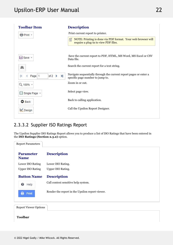<span id="page-22-0"></span>

| <b>Toolbar Item</b>                                   | <b>Description</b>                                                                                        |
|-------------------------------------------------------|-----------------------------------------------------------------------------------------------------------|
| <b>骨 Print</b> ▼                                      | Print current report to printer.                                                                          |
|                                                       | NOTE: Printing is done via PDF format. Your web browser will<br>昏<br>require a plug-in to view PDF files. |
| $\Box$ Save $\sim$                                    | Save the current report to PDF, HTML, MS Word, MS Excel or CSV<br>Data file.                              |
| 鸙                                                     | Search the current report for a text string.                                                              |
| $\blacktriangleright$<br>of $2 \rightarrow$<br>Page 1 | Navigate sequentially through the current report pages or enter a<br>specific page number to jump to.     |
| Q 100% +                                              | Zoom in or out.                                                                                           |
| Single Page *                                         | Select page view.                                                                                         |
| <b>O</b> Back                                         | Back to calling application.                                                                              |
| Design                                                | Call the Upsilon Report Designer.                                                                         |
|                                                       |                                                                                                           |

## 2.3.3.2 Supplier ISO Ratings Report

The Upsilon Supplier ISO Ratings Report allows you to produce a list of ISO Ratings that have been entered in the **ISO Ratings (Section 2.3.2)** option.

| <b>Parameter</b><br><b>Name</b> | <b>Description</b>                              |
|---------------------------------|-------------------------------------------------|
| Lower ISO Rating                | Lower ISO Rating.                               |
| <b>Upper ISO Rating</b>         | Upper ISO Rating.                               |
| <b>Button Name</b>              | <b>Description</b>                              |
| ๏<br>Help                       | Call context sensitive help system.             |
| в<br>Print                      | Render the report in the Upsilon report viewer. |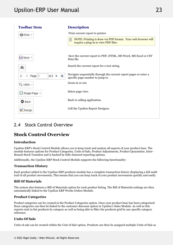<span id="page-23-0"></span>

| <b>Toolbar Item</b>                                   | <b>Description</b>                                                                                        |
|-------------------------------------------------------|-----------------------------------------------------------------------------------------------------------|
| Print +                                               | Print current report to printer.                                                                          |
|                                                       | NOTE: Printing is done via PDF format. Your web browser will<br>昏<br>require a plug-in to view PDF files. |
| <b>El</b> Save ▼                                      | Save the current report to PDF, HTML, MS Word, MS Excel or CSV<br>Data file.                              |
| 鸙                                                     | Search the current report for a text string.                                                              |
| $\blacktriangleright$<br>of $2 \rightarrow$<br>Page 1 | Navigate sequentially through the current report pages or enter a<br>specific page number to jump to.     |
| Q 100% +                                              | Zoom in or out.                                                                                           |
| ■ Single Page ▼                                       | Select page view.                                                                                         |
| <b>O</b> Back                                         | Back to calling application.                                                                              |
| Design                                                | Call the Upsilon Report Designer.                                                                         |
|                                                       |                                                                                                           |

## 2.4 Stock Control Overview

#### **Stock Control Overview**

## **Introduction**

Upsilon-ERP's Stock Control Module allows you to keep track and analyse all aspects of your product base. The module features options for Product Categories, Units of Sale, Product Adjustments, Product Quarantine, Inter-Branch Stock Transfers and is backed by fully-featured reporting options.

Additionally, the Upsilon-ERP Stock Control Module supports the following functionality:

## **Transaction History**

Each product added to the Upsilon-ERP products module has a complete transaction history displaying a full audit trail of all product movements; This means that you can keep track of your product movements quickly and easily.

## **Bill Of Materials**

The system also features a Bill of Materials option for each product listing. The Bill of Materials settings are then automatically linked to the Upsilon-ERP Works Orders Module.

### **Product Categories**

Product categories can be created in the Product Categories option. Once your product base has been categorised these categories can then be linked to the customer discount option in Upsilon's Sales Module. As well as this reports exist to list products by category as well as being able to filter the products grid by any specific category reference.

#### **Units Of Sale**

Units of sale can be created within the Unit of Sale option. Products can then be assigned multiple Units of Sale as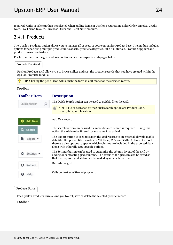<span id="page-24-0"></span>required. Units of sale can then be selected when adding items in Upsilon's Quotation, Sales Order, Invoice, Credit Note, Pro-Forma Invoice, Purchase Order and Debit Note modules.

## 2.4.1 Products

The Upsilon Products option allows you to manage all aspects of your companies Product base. The module includes options for specifying multiple product units of sale, product categories, Bill Of Materials, Product Suppliers and product transaction history.

For further help on the grid and form options click the respective tab pages below.

| Products DataGrid        |                                                                                                                                                                                                                                                                                                          |
|--------------------------|----------------------------------------------------------------------------------------------------------------------------------------------------------------------------------------------------------------------------------------------------------------------------------------------------------|
| Upsilon Products module. | Upsilon Products grid allows you to browse, filter and sort the product records that you have created within the                                                                                                                                                                                         |
|                          | TIP: Clicking the pencil icon will launch the form in edit mode for the selected record.                                                                                                                                                                                                                 |
| <b>Toolbar</b>           |                                                                                                                                                                                                                                                                                                          |
| <b>Toolbar Item</b>      | <b>Description</b>                                                                                                                                                                                                                                                                                       |
| Quick search             | The Quick Search option can be used to quickly filter the grid.                                                                                                                                                                                                                                          |
|                          | NOTE: Fields searched by the Quick Search option are Product Code,<br>Description, and Location.                                                                                                                                                                                                         |
| <b>Add New</b>           | Add New record.                                                                                                                                                                                                                                                                                          |
| Search                   | The search button can be used if a more detailed search is required. Using this<br>option the grid can be filtered by any value in any field.                                                                                                                                                            |
| Export *                 | The Export button is used to export the grid records to an external, downloadable<br>data file. Supported file formats are MS Excel, CSV and XML. At time of export<br>there are also options to specify which columns are included in the exported data<br>along with other file type specific options. |
| Settings -               | The Settings button can be used to customise the column layout of the grid by<br>adding or subtracting grid columns. The status of the grid can also be saved so<br>that the required grid status can be loaded again at a later time.                                                                   |
| е<br>Refresh             | Refresh the grid.                                                                                                                                                                                                                                                                                        |
| Help<br>Ø                | Calls context sensitive help system.                                                                                                                                                                                                                                                                     |

The Upsilon Products form allows you to edit, save or delete the selected product record.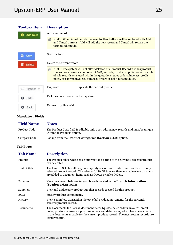| <b>Toolbar Item</b>               | <b>Description</b>                                                                                                                                                                                                                                                                                                             |
|-----------------------------------|--------------------------------------------------------------------------------------------------------------------------------------------------------------------------------------------------------------------------------------------------------------------------------------------------------------------------------|
| <b>Add New</b><br>Ð               | Add new record.                                                                                                                                                                                                                                                                                                                |
|                                   | NOTE: When in Add mode the form toolbar buttons will be replaced with Add<br>囼<br>and Cancel buttons. Add will add the new record and Cancel will return the<br>form to Edit mode.                                                                                                                                             |
| а<br>Save                         | Save the form.                                                                                                                                                                                                                                                                                                                 |
| <b>Delete</b>                     | Delete the current record.                                                                                                                                                                                                                                                                                                     |
|                                   | NOTE: The system will not allow deletion of a Product Record if it has product<br>昏<br>transactions records, component (BoM) records, product supplier records, units<br>of sale records or is used within the quotations, sales orders, invoices, credit<br>notes, pro-forma invoices, purchase orders or debit note modules. |
| 狂<br>Options $\blacktriangledown$ | Duplicate<br>Duplicate the current product.                                                                                                                                                                                                                                                                                    |
| Help<br>ଈ                         | Call the context sensitive help system.                                                                                                                                                                                                                                                                                        |
| Back                              | Return to calling grid.                                                                                                                                                                                                                                                                                                        |

### **Mandatory Fields**

| <b>Field Name</b>   | <b>Notes</b>                                                                                                                                                                                                                                                                         |  |
|---------------------|--------------------------------------------------------------------------------------------------------------------------------------------------------------------------------------------------------------------------------------------------------------------------------------|--|
| <b>Product Code</b> | The Product Code field Is editable only upon adding new records and must be unique<br>within the Products option.                                                                                                                                                                    |  |
| Category Code       | Lookup from the Product Categories (Section 2.4.2) option.                                                                                                                                                                                                                           |  |
| Tab Pages           |                                                                                                                                                                                                                                                                                      |  |
| <b>Tab Name</b>     | <b>Description</b>                                                                                                                                                                                                                                                                   |  |
| Product             | The Product tab is where basic information relating to the currently selected product<br>can be edited.                                                                                                                                                                              |  |
| Unit Of Sale        | The Unit Of Sale tab allows you to specify one or more units of sale for the currently<br>selected product record. The selected Units Of Sale are then available when products<br>are added to document items such as Quotes or Sales Orders.                                        |  |
| <b>Balances</b>     | View the current balance for each branch created in the <b>Branch Information</b><br>$(Section 2.6.2)$ option.                                                                                                                                                                       |  |
| Suppliers           | View and update any product supplier records created for this product.                                                                                                                                                                                                               |  |
| <b>BOM</b>          | Specify product components.                                                                                                                                                                                                                                                          |  |
| History             | View a complete transaction history of all product movements for the currently<br>selected product record.                                                                                                                                                                           |  |
| Documents           | The Documents tab lists all document items (quotes, sales orders, invoices, credit<br>notes, pro-forma invoices, purchase orders and debit notes) which have been created<br>in the documents module for the current product record. The most recent records are<br>displayed first. |  |
|                     |                                                                                                                                                                                                                                                                                      |  |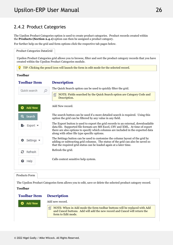## <span id="page-26-0"></span>2.4.2 Product Categories

The Upsilon Product Categories option is used to create product categories. Product records created within the **Products (Section 2.4.1)** option can then be assigned a product category.

For further help on the grid and form options click the respective tab pages below.

| Product Categories DataGrid |                                                                                                                                                                                                                                                                                                          |
|-----------------------------|----------------------------------------------------------------------------------------------------------------------------------------------------------------------------------------------------------------------------------------------------------------------------------------------------------|
|                             | Upsilon Product Categories grid allows you to browse, filter and sort the product category records that you have<br>created within the Upsilon Product Categories module.                                                                                                                                |
|                             | TIP: Clicking the pencil icon will launch the form in edit mode for the selected record.                                                                                                                                                                                                                 |
| <b>Toolbar</b>              |                                                                                                                                                                                                                                                                                                          |
| <b>Toolbar Item</b>         | <b>Description</b>                                                                                                                                                                                                                                                                                       |
| Quick search                | The Quick Search option can be used to quickly filter the grid.                                                                                                                                                                                                                                          |
|                             | 昏<br>NOTE: Fields searched by the Quick Search option are Category Code and<br>Description.                                                                                                                                                                                                              |
| <b>Add New</b>              | Add New record.                                                                                                                                                                                                                                                                                          |
| Search                      | The search button can be used if a more detailed search is required. Using this<br>option the grid can be filtered by any value in any field.                                                                                                                                                            |
| Export *                    | The Export button is used to export the grid records to an external, downloadable<br>data file. Supported file formats are MS Excel, CSV and XML. At time of export<br>there are also options to specify which columns are included in the exported data<br>along with other file type specific options. |
| Settings -                  | The Settings button can be used to customise the column layout of the grid by<br>adding or subtracting grid columns. The status of the grid can also be saved so<br>that the required grid status can be loaded again at a later time.                                                                   |
| Refresh                     | Refresh the grid.                                                                                                                                                                                                                                                                                        |
| Help                        | Calls context sensitive help system.                                                                                                                                                                                                                                                                     |

Products Form

The Upsilon Product Categories form allows you to edit, save or delete the selected product category record.

### **Toolbar**

Add New

#### **Toolbar Description**

Add new record.

 $\Box$  NOTE: When in Add mode the form toolbar buttons will be replaced with Add and Cancel buttons. Add will add the new record and Cancel will return the form to Edit mode.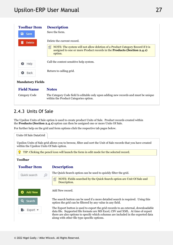<span id="page-27-0"></span>

Category Code The Category Code field Is editable only upon adding new records and must be unique within the Product Categories option.

## 2.4.3 Units Of Sale

The Upsilon Units of Sale option is used to create product Units of Sale. Product records created within the **Products (Section 2.4.1)** option can then be assigned one or more Units Of Sale.

For further help on the grid and form options click the respective tab pages below.

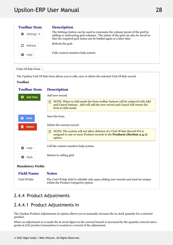<span id="page-28-0"></span>

| <b>Toolbar Item</b>           | <b>Description</b>                                                                                                                                                                                                                     |  |
|-------------------------------|----------------------------------------------------------------------------------------------------------------------------------------------------------------------------------------------------------------------------------------|--|
| Settings $\blacktriangledown$ | The Settings button can be used to customise the column layout of the grid by<br>adding or subtracting grid columns. The status of the grid can also be saved so<br>that the required grid status can be loaded again at a later time. |  |
| Refresh                       | Refresh the grid.                                                                                                                                                                                                                      |  |
| Help                          | Calls context sensitive help system.                                                                                                                                                                                                   |  |
|                               |                                                                                                                                                                                                                                        |  |

### Units Of Sale Form

The Upsilon Unit Of Sale form allows you to edit, save or delete the selected Unit Of Sale record.

### **Toolbar**

| <b>Toolbar Item</b>     | <b>Description</b>                                                                                                                                                                 |
|-------------------------|------------------------------------------------------------------------------------------------------------------------------------------------------------------------------------|
| <b>Add New</b>          | Add new record.                                                                                                                                                                    |
|                         | NOTE: When in Add mode the form toolbar buttons will be replaced with Add<br>囼<br>and Cancel buttons. Add will add the new record and Cancel will return the<br>form to Edit mode. |
| a Save                  | Save the form.                                                                                                                                                                     |
| <b>Delete</b>           | Delete the current record.                                                                                                                                                         |
|                         | 囼<br>NOTE: The system will not allow deletion of a Unit Of Sale Record if it is<br>assigned to one or more Product records in the Products (Section 2.4.1)<br>option.              |
| 0<br>Help               | Call the context sensitive help system.                                                                                                                                            |
| Back<br>o               | Return to calling grid.                                                                                                                                                            |
| <b>Mandatory Fields</b> |                                                                                                                                                                                    |
| <b>Field Name</b>       | <b>Notes</b>                                                                                                                                                                       |
| Unit Of Sale            | The Unit Of Sale field Is editable only upon adding new records and must be unique                                                                                                 |

## 2.4.4 Product Adjustments

## 2.4.4.1 Product Adjustments In

The Upsilon Product Adjustments In option allows you to manually increase the in stock quantity for a selected product.

within the Product Categories option.

When an adjustment in is made the in stock figure in the current branch is increased by the quantity entered and a goods in (GI) product transaction is created as a record of the adjustment.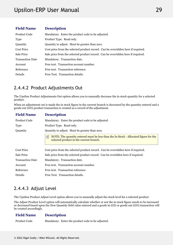<span id="page-29-0"></span>

| <b>Field Name</b>       | <b>Description</b>                                                               |
|-------------------------|----------------------------------------------------------------------------------|
| Product Code            | Mandatory. Enter the product code to be adjusted.                                |
| <b>Type</b>             | Product Type. Read only.                                                         |
| Quantity                | Quantity to adjust. Must be greater than zero.                                   |
| <b>Cost Price</b>       | Cost price from the selected product record. Can be overridden here if required. |
| Sale Price              | Sale price from the selected product record. Can be overridden here if required. |
| <b>Transaction Date</b> | Mandatory. Transaction date.                                                     |
| Account                 | Free text. Transaction account number.                                           |
| Reference               | Free text. Transaction reference.                                                |
| Details                 | Free Text. Transaction details.                                                  |

## 2.4.4.2 Product Adjustments Out

The Upsilon Product Adjustments Out option allows you to manually decrease the in stock quantity for a selected product.

When an adjustment out is made the in stock figure in the current branch is decreased by the quantity entered and a goods out (GO) product transaction is created as a record of the adjustment.

| <b>Field Name</b>       | <b>Description</b>                                                                                                                   |
|-------------------------|--------------------------------------------------------------------------------------------------------------------------------------|
| <b>Product Code</b>     | Mandatory. Enter the product code to be adjusted.                                                                                    |
| Type                    | Product Type. Read only.                                                                                                             |
| Quantity                | Quantity to adjust. Must be greater than zero.                                                                                       |
|                         | NOTE: The quantity entered must be less than the In Stock - Allocated figure for the<br>囼<br>selected product in the current branch. |
| Cost Price              | Cost price from the selected product record. Can be overridden here if required.                                                     |
| Sale Price              | Sale price from the selected product record. Can be overidden here if required.                                                      |
| <b>Transaction Date</b> | Mandatory. Transaction date.                                                                                                         |
| Account                 | Free text. Transaction account number.                                                                                               |
| Reference               | Free text. Transaction reference.                                                                                                    |
| Details                 | Free Text. Transaction details.                                                                                                      |

## 2.4.4.3 Adjust Level

The Upsilon Product Adjust Level option allows you to manually adjust the stock level for a selected product.

The Adjust Product Level option will automatically calculate whether or not the in stock figure needs to be increased or decreased based upon the New Quantity field value entered and a goods in (GI) or goods out (GO) transaction will be created accordingly.

#### **Field Description**

Product Code Mandatory. Enter the product code to be adjusted.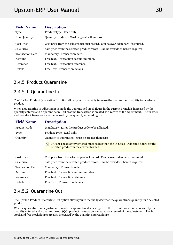<span id="page-30-0"></span>

| <b>Field Name</b>       | <b>Description</b>                                                              |
|-------------------------|---------------------------------------------------------------------------------|
| Type                    | Product Type. Read only.                                                        |
| New Quantity            | Quantity to adjust. Must be greater than zero.                                  |
| Cost Price              | Cost price from the selected product record. Can be overidden here if required. |
| Sale Price              | Sale price from the selected product record. Can be overidden here if required. |
| <b>Transaction Date</b> | Mandatory. Transaction date.                                                    |
| Account                 | Free text. Transaction account number.                                          |
| Reference               | Free text. Transaction reference.                                               |
| Details                 | Free Text. Transaction details.                                                 |

## 2.4.5 Product Quarantine

## 2.4.5.1 Quarantine In

The Upsilon Product Quarantine In option allows you to manually increase the quarantined quantity for a selected product.

When a quarantine in adjustment is made the quarantined stock figure in the current branch is increased by the quantity entered and a quarantine in (QI) product transaction is created as a record of the adjustment. The in stock and free stock figures are also decreased by the quantity entered figure.

| <b>Field Name</b>       | <b>Description</b>                                                                                                                   |
|-------------------------|--------------------------------------------------------------------------------------------------------------------------------------|
| Product Code            | Mandatory. Enter the product code to be adjusted.                                                                                    |
| <b>Type</b>             | Product Type. Read only.                                                                                                             |
| Quantity                | Quantity to quarantine. Must be greater than zero.                                                                                   |
|                         | NOTE: The quantity entered must be less than the In Stock - Allocated figure for the<br>囼<br>selected product in the current branch. |
| <b>Cost Price</b>       | Cost price from the selected product record. Can be overidden here if required.                                                      |
| Sale Price              | Sale price from the selected product record. Can be overidden here if required.                                                      |
| <b>Transaction Date</b> | Mandatory. Transaction date.                                                                                                         |
| Account                 | Free text. Transaction account number.                                                                                               |
| Reference               | Free text. Transaction reference.                                                                                                    |
| Details                 | Free Text. Transaction details.                                                                                                      |

## 2.4.5.2 Quarantine Out

The Upsilon Product Quarantine Out option allows you to manually decrease the quarantined quantity for a selected product.

When a quarantine out adjustment is made the quarantined stock figure in the current branch is decreased by the quantity entered and a quarantine out (QO) product transaction is created as a record of the adjustment. The in stock and free stock figures are also increased by the quantity entered figure.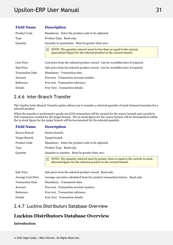<span id="page-31-0"></span>

| <b>Field Name</b>       | <b>Description</b>                                                                                                                              |
|-------------------------|-------------------------------------------------------------------------------------------------------------------------------------------------|
| Product Code            | Mandatory. Enter the product code to be adjusted.                                                                                               |
| <b>Type</b>             | Product Type. Read only.                                                                                                                        |
| Quantity                | Quantity to quarantine. Must be greater than zero.                                                                                              |
|                         | NOTE: The quantity entered must be less than or equal to the current<br>自<br>quarantined figure for the selected product in the current branch. |
| <b>Cost Price</b>       | Cost price from the selected product record. Can be overidden here if required.                                                                 |
| Sale Price              | Sale price from the selected product record. Can be overidden here if required.                                                                 |
| <b>Transaction Date</b> | Mandatory. Transaction date.                                                                                                                    |
| Account                 | Free text. Transaction account number.                                                                                                          |
| Reference               | Free text. Transaction reference.                                                                                                               |
| Details                 | Free Text. Transaction details.                                                                                                                 |

## 2.4.6 Inter-Branch Transfer

The Upsilon Inter-Branch Transfer option allows you to transfer a selected quantity of stock between branches for a selected product.

When the transfer is performed a goods out (GO) transaction will be created for the source branch and a goods in (GI) transaction created for the target branch. The in stock figure for the source branch will be decremented whilst the in stock figure for the target branch will be incremented for the selected quantity.

| <b>Field Name</b>         | <b>Description</b>                                                                                                                                          |
|---------------------------|-------------------------------------------------------------------------------------------------------------------------------------------------------------|
| Source Branch             | Source branch.                                                                                                                                              |
| <b>Target Branch</b>      | Target branch.                                                                                                                                              |
| Product Code              | Mandatory. Enter the product code to be adjusted.                                                                                                           |
| Type                      | Product Type. Read only.                                                                                                                                    |
| Quantity                  | Quantity to transfer. Must be greater than zero.                                                                                                            |
|                           | NOTE: The quantity entered must be greater than or equal to the current in stock -<br>自<br>allocated figure for the selected product in the current branch. |
| Sale Price                | Sale price from the selected product record. Read only.                                                                                                     |
| <b>Average Cost Price</b> | Average cost price calculated from the product transaction history. Read only.                                                                              |
| <b>Transaction Date</b>   | Mandatory. Transaction date.                                                                                                                                |
| Account                   | Free text. Transaction account number.                                                                                                                      |
| Reference                 | Free text. Transaction reference.                                                                                                                           |
| Details                   | Free Text. Transaction details.                                                                                                                             |

## 2.4.7 Luckins Distributors Database Overview

#### **Luckins Distributors Database Overview**

## **Introduction**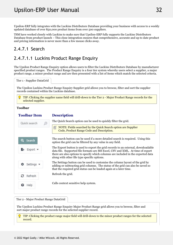<span id="page-32-0"></span>Upsilon-ERP fully integrates with the Luckins Distributors Database providing your business with access to a weekly updated database of over 850,000 product items from over 500 suppliers.

TSM have worked closely with Luckins to make sure that Upsilon-ERP fully supports the Luckins Distributors Database from product launch – This close integration ensures that comprehensive, accurate and up to date product and pricing information is never more than a few mouse clicks away.

## 2.4.7.1 Search

## 2.4.7.1.1 Luckins Product Range Enquiry

The Upsilon Product Range Enquiry option allows users to filter the Luckins Distributors Database by manufacturer specified product ranges. The Product Range Enquiry is a four tier system whereby users select a supplier, a major product range, a minor product range and are then presented with a list of items which match the selected criteria.

Tier 1 - Supplier DataGrid

The Upsilon Luckins Product Range Enquiry Supplier grid allows you to browse, filter and sort the supplier records contained within the Luckins database.

TIP: Clicking the supplier name field will drill-down to the Tier 2 - Major Product Range records for the selected supplier.

### **Toolbar**

| <b>Toolbar Item</b> | <b>Description</b>                                                                                                                                                                                                                                                                                       |
|---------------------|----------------------------------------------------------------------------------------------------------------------------------------------------------------------------------------------------------------------------------------------------------------------------------------------------------|
| Quick search        | The Quick Search option can be used to quickly filter the grid.                                                                                                                                                                                                                                          |
|                     | NOTE: Fields searched by the Quick Search option are Supplier<br>自<br>Code, Product Range Code and Description.                                                                                                                                                                                          |
| Search              | The search button can be used if a more detailed search is required. Using this<br>option the grid can be filtered by any value in any field.                                                                                                                                                            |
| $Export$ $\sim$     | The Export button is used to export the grid records to an external, downloadable<br>data file. Supported file formats are MS Excel, CSV and XML. At time of export<br>there are also options to specify which columns are included in the exported data<br>along with other file type specific options. |
| Settings $\sqrt{ }$ | The Settings button can be used to customise the column layout of the grid by<br>adding or subtracting grid columns. The status of the grid can also be saved so<br>that the required grid status can be loaded again at a later time.                                                                   |
| Refresh             | Refresh the grid.                                                                                                                                                                                                                                                                                        |
| €<br>Help           | Calls context sensitive help system.                                                                                                                                                                                                                                                                     |

Tier 2 - Major Product Range DataGrid

The Upsilon Luckins Product Range Enquiry Major Product Range grid allows you to browse, filter and sort major product range records for the selected supplier record.

TIP: Clicking the product range major field will drill-down to the minor product ranges for the selected record.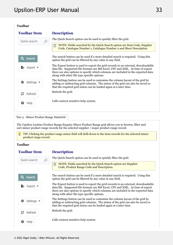## **Toolbar**

| <b>Toolbar Item</b> | <b>Description</b>                                                                                                                                                                                                                                                                                       |
|---------------------|----------------------------------------------------------------------------------------------------------------------------------------------------------------------------------------------------------------------------------------------------------------------------------------------------------|
| Quick search        | The Quick Search option can be used to quickly filter the grid.                                                                                                                                                                                                                                          |
|                     | NOTE: Fields searched by the Quick Search option are Item Code, Supplier<br>囼<br>Code, Catalogue Number 1, Catalogue Number 2 and Short Description.                                                                                                                                                     |
| Q<br>Search         | The search button can be used if a more detailed search is required. Using this<br>option the grid can be filtered by any value in any field.                                                                                                                                                            |
| Export              | The Export button is used to export the grid records to an external, downloadable<br>data file. Supported file formats are MS Excel, CSV and XML. At time of export<br>there are also options to specify which columns are included in the exported data<br>along with other file type specific options. |
| Settings ។          | The Settings button can be used to customise the column layout of the grid by<br>adding or subtracting grid columns. The status of the grid can also be saved so<br>that the required grid status can be loaded again at a later time.                                                                   |
| з<br>Refresh        | Refresh the grid.                                                                                                                                                                                                                                                                                        |
| ๏<br>Help           | Calls context sensitive help system.                                                                                                                                                                                                                                                                     |

Tier 3 - Minor Product Range DataGrid

The Upsilon Luckins Product Range Enquiry Minor Product Range grid allows you to browse, filter and sort minor product range records for the selected supplier / major product range record.

Ω. TIP: Clicking the product range minor field will drill-down to the item records for the selected minor product range record.

## **Toolbar**

## **Toolbar**

### **Description**

| Quick search | The Quick Search option can be used to quickly filter the grid.                                                                                                                                                                                                                                          |  |
|--------------|----------------------------------------------------------------------------------------------------------------------------------------------------------------------------------------------------------------------------------------------------------------------------------------------------------|--|
|              | NOTE: Fields searched by the Quick Search option are Supplier<br>昏<br>Code, Product Range Code and Description.                                                                                                                                                                                          |  |
| Search       | The search button can be used if a more detailed search is required. Using this<br>option the grid can be filtered by any value in any field.                                                                                                                                                            |  |
| EXport .     | The Export button is used to export the grid records to an external, downloadable<br>data file. Supported file formats are MS Excel, CSV and XML. At time of export<br>there are also options to specify which columns are included in the exported data<br>along with other file type specific options. |  |
| Settings ▼   | The Settings button can be used to customise the column layout of the grid by<br>adding or subtracting grid columns. The status of the grid can also be saved so<br>that the required grid status can be loaded again at a later time.                                                                   |  |
| з<br>Refresh | Refresh the grid.                                                                                                                                                                                                                                                                                        |  |
| Help         | Calls context sensitive help system.                                                                                                                                                                                                                                                                     |  |
|              |                                                                                                                                                                                                                                                                                                          |  |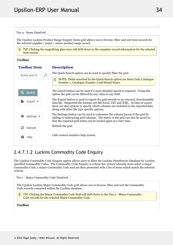<span id="page-34-0"></span>

| Tier 4 - Items DataGrid     |                                                                                                                                                                                                                                                                                                          |
|-----------------------------|----------------------------------------------------------------------------------------------------------------------------------------------------------------------------------------------------------------------------------------------------------------------------------------------------------|
|                             | The Upsilon Luckins Product Range Enquiry Items grid allows you to browse, filter and sort item records for<br>the selected supplier / major / minor product range record.                                                                                                                               |
| item record.                | TIP: Clicking the magnifying glass icon will drill-down to the complete record information for the selected                                                                                                                                                                                              |
| <b>Toolbar</b>              |                                                                                                                                                                                                                                                                                                          |
| <b>Toolbar Item</b>         | <b>Description</b>                                                                                                                                                                                                                                                                                       |
| Quick search                | The Quick Search option can be used to quickly filter the grid.                                                                                                                                                                                                                                          |
|                             | NOTE: Fields searched by the Quick Search option are Item Code, Catalogue<br>Number 1, Catalogue Number 2 and Brand Name.                                                                                                                                                                                |
| $\mathbf{\Omega}$<br>Search | The search button can be used if a more detailed search is required. Using this<br>option the grid can be filtered by any value in any field.                                                                                                                                                            |
| Export *                    | The Export button is used to export the grid records to an external, downloadable<br>data file. Supported file formats are MS Excel, CSV and XML. At time of export<br>there are also options to specify which columns are included in the exported data<br>along with other file type specific options. |
| Settings .                  | The Settings button can be used to customise the column layout of the grid by<br>adding or subtracting grid columns. The status of the grid can also be saved so<br>that the required grid status can be loaded again at a later time.                                                                   |
| Refresh                     | Refresh the grid.                                                                                                                                                                                                                                                                                        |
| Help                        | Calls context sensitive help system.                                                                                                                                                                                                                                                                     |
|                             |                                                                                                                                                                                                                                                                                                          |

## 2.4.7.1.2 Luckins Commodity Code Enquiry

The Upsilon Commodity Code Enquiry option allows users to filter the Luckins Distributors Database by Luckins specified Commodity Codes. The Commodity Code Enquiry is a three tier system whereby users select a major Commodity Code, a minor Commodity Code and are then presented with a list of items which match the selected criteria.

Tier 1 - Major Commodity Code DataGrid

The Upsilon Luckins Major Commodity Code grid allows you to browse, filter and sort the Commodity Code records contained within the Luckins database.

TIP: Clicking the Major Commodity Code field will drill-down to the Tier 2 - Minor Commodity Code records for the selected Major Commodity Code.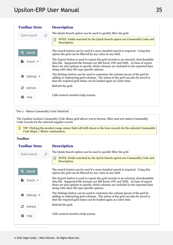| <b>Toolbar Item</b> | <b>Description</b>                                                                                                                                                                                                                                                                                       |
|---------------------|----------------------------------------------------------------------------------------------------------------------------------------------------------------------------------------------------------------------------------------------------------------------------------------------------------|
| Quick search        | The Quick Search option can be used to quickly filter the grid.                                                                                                                                                                                                                                          |
|                     | NOTE: Fields searched by the Quick Search option are Commodity Code and<br>昏<br>Description.                                                                                                                                                                                                             |
| Search              | The search button can be used if a more detailed search is required. Using this<br>option the grid can be filtered by any value in any field.                                                                                                                                                            |
| Export *            | The Export button is used to export the grid records to an external, downloadable<br>data file. Supported file formats are MS Excel, CSV and XML. At time of export<br>there are also options to specify which columns are included in the exported data<br>along with other file type specific options. |
| Settings •          | The Settings button can be used to customise the column layout of the grid by<br>adding or subtracting grid columns. The status of the grid can also be saved so<br>that the required grid status can be loaded again at a later time.                                                                   |
| е<br>Refresh        | Refresh the grid.                                                                                                                                                                                                                                                                                        |
| Help<br>๏           | Calls context sensitive help system.                                                                                                                                                                                                                                                                     |
|                     |                                                                                                                                                                                                                                                                                                          |

Tier 2 - Minor Commodity Code DataGrid

The Upsilon Luckins Commodity Code Minor grid allows you to browse, filter and sort minor Commodity Code records for the selected supplier record.

**TIP:** Clicking the product range minor field will drill-down to the item records for the selected Commodity Code Major / Minor combination.

### **Toolbar**

### **Toolbar**

### **Description**

The Quick Search option can be used to quickly filter the grid. Quick search 儨 NOTE: Fields searched by the Quick Search option are Commodity Code and Description. The search button can be used if a more detailed search is required. Using this Search option the grid can be filtered by any value in any field. The Export button is used to export the grid records to an external, downloadable Export \* data file. Supported file formats are MS Excel, CSV and XML. At time of export there are also options to specify which columns are included in the exported data along with other file type specific options. The Settings button can be used to customise the column layout of the grid by Settings adding or subtracting grid columns. The status of the grid can also be saved so that the required grid status can be loaded again at a later time. Refresh the grid. Refresh Calls context sensitive help system. Help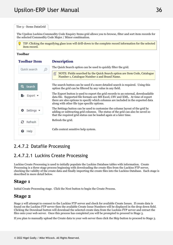| Tier 3 - Items DataGrid |                                                                                                                                                                                                                                                                                                          |
|-------------------------|----------------------------------------------------------------------------------------------------------------------------------------------------------------------------------------------------------------------------------------------------------------------------------------------------------|
|                         | The Upsilon Luckins Commodity Code Enquiry Items grid allows you to browse, filter and sort item records for<br>the selected Commodity Code Major / Minor combination.                                                                                                                                   |
| item record.            | TIP: Clicking the magnifying glass icon will drill-down to the complete record information for the selected                                                                                                                                                                                              |
| <b>Toolbar</b>          |                                                                                                                                                                                                                                                                                                          |
| <b>Toolbar Item</b>     | <b>Description</b>                                                                                                                                                                                                                                                                                       |
| Quick search            | The Quick Search option can be used to quickly filter the grid.                                                                                                                                                                                                                                          |
|                         | NOTE: Fields searched by the Quick Search option are Item Code, Catalogue<br>Number 1, Catalogue Number 2 and Brand Name.                                                                                                                                                                                |
| Search                  | The search button can be used if a more detailed search is required. Using this<br>option the grid can be filtered by any value in any field.                                                                                                                                                            |
| Export                  | The Export button is used to export the grid records to an external, downloadable<br>data file. Supported file formats are MS Excel, CSV and XML. At time of export<br>there are also options to specify which columns are included in the exported data<br>along with other file type specific options. |
| Settings                | The Settings button can be used to customise the column layout of the grid by<br>adding or subtracting grid columns. The status of the grid can also be saved so<br>that the required grid status can be loaded again at a later time.                                                                   |
| Refresh                 | Refresh the grid.                                                                                                                                                                                                                                                                                        |
| Help                    | Calls context sensitive help system.                                                                                                                                                                                                                                                                     |

# 2.4.7.2 Datafile Processing

# 2.4.7.2.1 Luckins Create Processing

Luckins Create Processing is used to initially populate the Luckins Database tables with information. Create Processing is a three stage process beginning with downloading the create files from the Luckins FTP server, checking the validity of the create data and finally importing the create files into the Luckins Database. Each stage is described in more detail below.

### **Stage 1**

Initial Create Processing stage. Click the Next button to begin the Create Process.

#### **Stage 2**

Stage 2 will attempt to connect to the Luckins FTP server and check for available Create Issues. If create data is found on the Luckins FTP server then the available Create Issue Numbers will be displayed in the drop down field. Clicking the Download button will download the selected create data from the Luckins FTP server and extract the files onto your web server. Once this process has completed you will be prompted to proceed to Stage 3.

If you plan to manually upload the Create data to your web server then click the Skip button to proceed to Stage 3.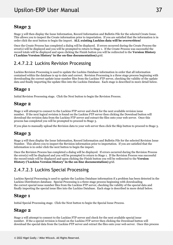### **Stage 3**

Stage 3 will then display the Issue Information, Record Information and Bulletin File for the selected Create Issue. This allows you to inspect the Create information prior to importation. If you are satisfied that the information is in order click the next button to begin the import. **ALL existing Luckins data will be overwritten!**

Once the Create Process has completed a dialog will be displayed. If errors occurred during the Create Process the error(s) will be displayed and you will be prompted to return to Stage 1. If the Create Process was successful the record totals will be displayed and upon clicking the Finish button you will be redirected to the **Version History ('Luckins Version History' in the on-line documentation)** grid.

# 2.4.7.2.2 Luckins Revision Processing

Luckins Revision Processing is used to update the Luckins Database information in order that all information contained within the database is up to date and correct. Revision Processing is a three stage process beginning with downloading the correct update issue number files from the Luckins FTP server, checking the validity of the update data and finally importing the update files into the Luckins Database. Each stage is described in more detail below.

#### **Stage 1**

Initial Revision Processing stage. Click the Next button to begin the Revision Process.

#### **Stage 2**

Stage 2 will attempt to connect to the Luckins FTP server and check for the next available revision issue number. If the next logical revision is found on the Luckins FTP server then clicking the Download button will download the revision data from the Luckins FTP server and extract the files onto your web server. Once this process has completed you will be prompted to proceed to Stage 3.

If you plan to manually upload the Revision data to your web server then click the Skip button to proceed to Stage 3.

### **Stage 3**

Stage 3 will then display the Issue Information, Record Information and Bulletin File for the selected Revision Issue Number. This allows you to inspect the Revision information prior to importation. If you are satisfied that the information is in order click the next button to begin the import.

Once the Revision Process has completed a dialog will be displayed. If errors occurred during the Revision Process the error(s) will be displayed and you will be prompted to return to Stage 1. If the Revision Process was successful the record totals will be displayed and upon clicking the Finish button you will be redirected to the **Version History ('Luckins Version History' in the on-line documentation)** grid.

# 2.4.7.2.3 Luckins Special Processing

Luckins Special Processing is used to update the Luckins Database information if a problem has been detected in the Luckins Distributors database. Special Processing is a three stage process beginning with downloading the correct special issue number files from the Luckins FTP server, checking the validity of the special data and finally importing the special issue files into the Luckins Database. Each stage is described in more detail below.

#### **Stage 1**

Initial Special Processing stage. Click the Next button to begin the Special Issue Process.

#### **Stage 2**

Stage 2 will attempt to connect to the Luckins FTP server and check for the next available special issue number. If the a special revision is found on the Luckins FTP server then clicking the Download button will download the special data from the Luckins FTP server and extract the files onto your web server. Once this process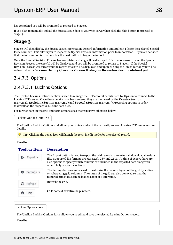has completed you will be prompted to proceed to Stage 3.

If you plan to manually upload the Special Issue data to your web server then click the Skip button to proceed to Stage 3.

#### **Stage 3**

Stage 3 will then display the Special Issue Information, Record Information and Bulletin File for the selected Special Issue Number. This allows you to inspect the Special Revision information prior to importation. If you are satisfied that the information is in order click the next button to begin the import.

Once the Special Revision Process has completed a dialog will be displayed. If errors occurred during the Special Revision Process the error(s) will be displayed and you will be prompted to return to Stage 1. If the Special Revision Process was successful the record totals will be displayed and upon clicking the Finish button you will be redirected to the **Version History ('Luckins Version History' in the on-line documentation)** grid.

# 2.4.7.3 Options

## 2.4.7.3.1 Luckins Options

The Upsilon Luckins Options section is used to manage the FTP account details used by Upsilon to connect to the Luckins FTP server. Once these details have been entered they are then used by the **Create (Section 2.4.7.2.1)**, **Revision (Section 2.4.7.2.2)** and **Special (Section 2.4.7.2.3)** Processing options in order to download the respective Luckins data files.

For further help on the grid and form options click the respective tab pages below.

Luckins Options DataGrid

The Upsilon Luckins Options grid allows you to view and edit the currently entered Luckins FTP server account details.

TIP: Clicking the pencil icon will launch the form in edit mode for the selected record.

### **Toolbar**

#### **Toolbar Description**

| Export *                      | The Export button is used to export the grid records to an external, downloadable data<br>file. Supported file formats are MS Excel, CSV and XML. At time of export there are<br>also options to specify which columns are included in the exported data along with<br>other file type specific options. |  |
|-------------------------------|----------------------------------------------------------------------------------------------------------------------------------------------------------------------------------------------------------------------------------------------------------------------------------------------------------|--|
| Settings $\blacktriangledown$ | The Settings button can be used to customise the column layout of the grid by adding<br>or subtracting grid columns. The status of the grid can also be saved so that the<br>required grid status can be loaded again at a later time.                                                                   |  |
| $\mathbf{C}$ Refresh          | Refresh the grid.                                                                                                                                                                                                                                                                                        |  |
| Help                          | Calls context sensitive help system.                                                                                                                                                                                                                                                                     |  |
|                               |                                                                                                                                                                                                                                                                                                          |  |

Luckins Options Form

The Upsilon Luckins Options form allows you to edit and save the selected Luckins Options record.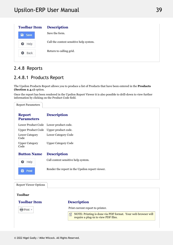| <b>Toolbar Item</b> | <b>Description</b>                      |  |
|---------------------|-----------------------------------------|--|
| R<br>Save           | Save the form.                          |  |
| Help<br>⊌           | Call the context sensitive help system. |  |
| Back<br>э           | Return to calling grid.                 |  |
|                     |                                         |  |

# 2.4.8 Reports

# 2.4.8.1 Products Report

The Upsilon Products Report allows you to produce a list of Products that have been entered in the **Products (Section 2.4.1)** option.

Once the report has been rendered in the Upsilon Report Viewer it is also possible to drill-down to view further information by clicking on the Product Code field.

| <b>Report Parameters</b>           |                                                                                                           |
|------------------------------------|-----------------------------------------------------------------------------------------------------------|
| <b>Report</b><br><b>Parameters</b> | <b>Description</b>                                                                                        |
| Lower Product Code                 | Lower product code.                                                                                       |
| <b>Upper Product Code</b>          | Upper product code.                                                                                       |
| <b>Lower Category</b><br>Code      | Lower Category Code                                                                                       |
| <b>Upper Category</b><br>Code      | <b>Upper Category Code</b>                                                                                |
| <b>Button Name</b>                 | <b>Description</b>                                                                                        |
| Help<br>❸                          | Call context sensitive help system.                                                                       |
| Print<br>в                         | Render the report in the Upsilon report viewer.                                                           |
| <b>Report Viewer Options</b>       |                                                                                                           |
| <b>Toolbar</b>                     |                                                                                                           |
| <b>Toolbar Item</b>                | <b>Description</b>                                                                                        |
| Print +                            | Print current report to printer.                                                                          |
|                                    | NOTE: Printing is done via PDF format. Your web browser will<br>倡<br>require a plug-in to view PDF files. |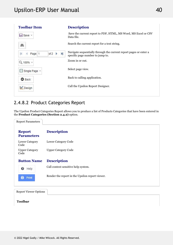| <b>Toolbar Item</b>                          | <b>Description</b>                                                                                    |  |
|----------------------------------------------|-------------------------------------------------------------------------------------------------------|--|
| <b>El</b> Save ▼                             | Save the current report to PDF, HTML, MS Word, MS Excel or CSV<br>Data file.                          |  |
| 鸙                                            | Search the current report for a text string.                                                          |  |
| $\mathbb{N}$<br>of $2 \rightarrow$<br>Page 1 | Navigate sequentially through the current report pages or enter a<br>specific page number to jump to. |  |
| Q 100% +                                     | Zoom in or out.                                                                                       |  |
| Single Page *                                | Select page view.                                                                                     |  |
| <b>O</b> Back                                | Back to calling application.                                                                          |  |
| Design                                       | Call the Upsilon Report Designer.                                                                     |  |
|                                              |                                                                                                       |  |

# 2.4.8.2 Product Categories Report

The Upsilon Product Categories Report allows you to produce a list of Products Categories that have been entered in the **Product Categories (Section 2.4.2)** option.

| <b>Report Parameters</b>           |                                                 |
|------------------------------------|-------------------------------------------------|
| <b>Report</b><br><b>Parameters</b> | <b>Description</b>                              |
| <b>Lower Category</b><br>Code      | Lower Category Code                             |
| <b>Upper Category</b><br>Code      | <b>Upper Category Code</b>                      |
| <b>Button Name</b>                 | <b>Description</b>                              |
| ๏<br>Help                          | Call context sensitive help system.             |
| с<br>Print                         | Render the report in the Upsilon report viewer. |
|                                    |                                                 |

Report Viewer Options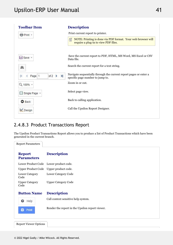| <b>Toolbar Item</b>                                   | <b>Description</b>                                                                                        |
|-------------------------------------------------------|-----------------------------------------------------------------------------------------------------------|
| ePrint +                                              | Print current report to printer.                                                                          |
|                                                       | NOTE: Printing is done via PDF format. Your web browser will<br>儨<br>require a plug-in to view PDF files. |
| $\Box$ Save $\sim$                                    | Save the current report to PDF, HTML, MS Word, MS Excel or CSV<br>Data file.                              |
| A                                                     | Search the current report for a text string.                                                              |
| $\blacktriangleright$<br>of $2 \rightarrow$<br>Page 1 | Navigate sequentially through the current report pages or enter a<br>specific page number to jump to.     |
| Q 100% +                                              | Zoom in or out.                                                                                           |
| ■ Single Page ▼                                       | Select page view.                                                                                         |
| <b>O</b> Back                                         | Back to calling application.                                                                              |
| Design                                                | Call the Upsilon Report Designer.                                                                         |
|                                                       |                                                                                                           |

## 2.4.8.3 Product Transactions Report

The Upsilon Product Transactions Report allows you to produce a list of Product Transactions which have been generated in the current branch.

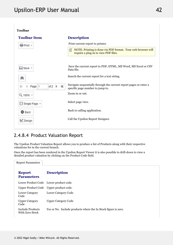| <b>Toolbar</b>                                        |                                                                                                           |
|-------------------------------------------------------|-----------------------------------------------------------------------------------------------------------|
| <b>Toolbar Item</b>                                   | <b>Description</b>                                                                                        |
| Print +                                               | Print current report to printer.                                                                          |
|                                                       | NOTE: Printing is done via PDF format. Your web browser will<br>儨<br>require a plug-in to view PDF files. |
| Save -                                                | Save the current report to PDF, HTML, MS Word, MS Excel or CSV<br>Data file.                              |
| A                                                     | Search the current report for a text string.                                                              |
| $\blacktriangleright$<br>of $2 \rightarrow$<br>Page 1 | Navigate sequentially through the current report pages or enter a<br>specific page number to jump to.     |
| Q 100% +                                              | Zoom in or out.                                                                                           |
| Single Page *<br>目                                    | Select page view.                                                                                         |
| <b>O</b> Back                                         | Back to calling application.                                                                              |
| Design                                                | Call the Upsilon Report Designer.                                                                         |
|                                                       |                                                                                                           |

# 2.4.8.4 Product Valuation Report

Report Parameters

The Upsilon Product Valuation Report allows you to produce a list of Products along with their respective valuations for in the current branch.

Once the report has been rendered in the Upsilon Report Viewer it is also possible to drill-down to view a detailed product valuation by clicking on the Product Code field.

| <b>Report</b><br><b>Parameters</b>  | <b>Description</b>                                             |
|-------------------------------------|----------------------------------------------------------------|
|                                     | Lower Product Code Lower product code.                         |
|                                     | Upper Product Code Upper product code.                         |
| Lower Category<br>Code              | Lower Category Code                                            |
| <b>Upper Category</b><br>Code       | <b>Upper Category Code</b>                                     |
| Include Products<br>With Zero Stock | Yes or No. Include products where the In Stock figure is zero. |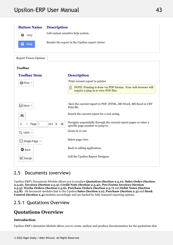# Upsilon-ERP User Manual 2022 12:00 12:00 13:00 143



## 2.5 Documents (overview)

Upsilon-ERP's Documents Module allows you to produce **Quotation (Section 2.5.1)**s, **Sales Order (Section 2.5.2)**s, **Invoices (Section 2.5.3)**, **Credit Note (Section 2.5.4)**s, **Pro-Forma Invoices (Section 2.5.5)**, **Works Orders (Section 2.5.6)**, **Purchase Orders (Section 2.5.7)** and **Debit Notes (Section 2.5.8)**. All document modules link to the Upsilon **Sales (Section 2.2)**, **Purchase (Section 2.3)** and **Stock Control (Section 2.4)** modules accordingly and are backed by fully featured reporting options.

## 2.5.1 Quotations Overview

# **Quotations Overview**

## **Introduction**

Upsilon-ERP's Quotation Module allows you to create, analyse and produce documentation for the quotations that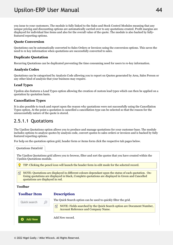you issue to your customers. The module is fully linked to the Sales and Stock Control Modules meaning that any unique pricing and discounting options are automatically carried over to any quotations created. Profit margins are displayed for individual line items and also for the overall value of the quote. The module is also backed by fullyfeatured reporting options.

### **Quote Conversion**

Quotations can be automatically converted to Sales Orders or Invoices using the conversion options. This saves the need to re key information when quotations are successfully converted to sales.

### **Duplicate Quotation**

Recurring Quotations can be duplicated preventing the time consuming need for users to re-key information.

### **Analysis Codes**

Quotations can be categorised by Analysis Code allowing you to report on Quotes generated by Area, Sales Person or any other kind of analysis that your business may require.

### **Lead Types**

Upsilon also features a Lead Types option allowing the creation of custom lead types which can then be applied on a quotation by quotation basis.

### **Cancellation Types**

It is also possible to track and report upon the reason why quotations were not successfully using the Cancellation Types option. At the point a quotation is cancelled a cancellation type can be selected so that the reason for the unsuccessfully nature of the quote is stored.

# 2.5.1.1 Quotations

The Upsilon Quotations option allows you to produce and manage quotations for your customer base. The module includes options to analyse quotes by analysis code, convert quotes to sales orders or invoices and is backed by fully featured reporting options.

For help on the quotation option grid, header form or items form click the respective tab pages below.

| <b>Quotations DataGrid</b>            |                                                                                                                                                                                                           |
|---------------------------------------|-----------------------------------------------------------------------------------------------------------------------------------------------------------------------------------------------------------|
| <b>Upsilon Quotations module.</b>     | The Upsilon Quotations grid allows you to browse, filter and sort the quotes that you have created within the                                                                                             |
|                                       | TIP: Clicking the pencil icon will launch the header form in edit mode for the selected record.                                                                                                           |
| 昏<br>quotations are displayed in red. | NOTE: Quotations are displayed in different colours dependant upon the status of each quotation. On-<br>Going quotations are displayed in black, Complete quotations are displayed in Green and Cancelled |
| <b>Toolbar</b>                        |                                                                                                                                                                                                           |
| <b>Toolbar Item</b>                   | <b>Description</b>                                                                                                                                                                                        |
| Quick search                          | The Quick Search option can be used to quickly filter the grid.                                                                                                                                           |
|                                       | NOTE: Fields searched by the Quick Search option are Document Number,<br>自<br>Account Reference and Company Name.                                                                                         |
| \dd New                               | Add New record.                                                                                                                                                                                           |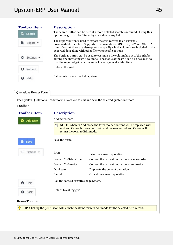| <b>Toolbar Item</b> | <b>Description</b>                                                                                                                                                                                                                                                                                       |  |
|---------------------|----------------------------------------------------------------------------------------------------------------------------------------------------------------------------------------------------------------------------------------------------------------------------------------------------------|--|
| Q Search            | The search button can be used if a more detailed search is required. Using this<br>option the grid can be filtered by any value in any field.                                                                                                                                                            |  |
| Export              | The Export button is used to export the grid records to an external,<br>downloadable data file. Supported file formats are MS Excel, CSV and XML. At<br>time of export there are also options to specify which columns are included in the<br>exported data along with other file type specific options. |  |
| Settings •          | The Settings button can be used to customise the column layout of the grid by<br>adding or subtracting grid columns. The status of the grid can also be saved so<br>that the required grid status can be loaded again at a later time.                                                                   |  |
| з<br>Refresh        | Refresh the grid.                                                                                                                                                                                                                                                                                        |  |
| Help<br>€           | Calls context sensitive help system.                                                                                                                                                                                                                                                                     |  |
|                     |                                                                                                                                                                                                                                                                                                          |  |

Quotations Header Form

The Upsilon Quotations Header form allows you to edit and save the selected quotation record.

| <b>Toolbar Item</b>               | <b>Description</b>                                                                                                                                                                 |                                                 |
|-----------------------------------|------------------------------------------------------------------------------------------------------------------------------------------------------------------------------------|-------------------------------------------------|
| <b>Add New</b>                    | Add new record.                                                                                                                                                                    |                                                 |
|                                   | NOTE: When in Add mode the form toolbar buttons will be replaced with<br>儨<br>Add and Cancel buttons. Add will add the new record and Cancel will<br>return the form to Edit mode. |                                                 |
| в.<br>Save                        | Save the form.                                                                                                                                                                     |                                                 |
| 注<br>Options $\blacktriangledown$ | Print                                                                                                                                                                              | Print the current quotation.                    |
|                                   | <b>Convert To Sales Order</b>                                                                                                                                                      | Convert the current quotation to a sales order. |
|                                   | <b>Convert To Invoice</b>                                                                                                                                                          | Convert the current quotation to an invoice.    |
|                                   | Duplicate                                                                                                                                                                          | Duplicate the current quotation.                |
|                                   | Cancel                                                                                                                                                                             | Cancel the current quotation.                   |
| ❸<br>Help                         | Call the context sensitive help system.                                                                                                                                            |                                                 |
|                                   | Return to calling grid.                                                                                                                                                            |                                                 |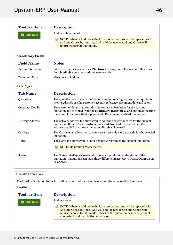| <b>Toolbar Item</b>         | Description.                                                                                                                                                                                                                                               |
|-----------------------------|------------------------------------------------------------------------------------------------------------------------------------------------------------------------------------------------------------------------------------------------------------|
| <b>Add New</b>              | Add new item record.                                                                                                                                                                                                                                       |
|                             | NOTE: When in Add mode the form toolbar buttons will be replaced with<br>囼<br>Add and Cancel buttons. Add will add the new record and Cancel will<br>return the form to Edit mode.                                                                         |
| <b>Mandatory Fields</b>     |                                                                                                                                                                                                                                                            |
| <b>Field Name</b>           | <b>Notes</b>                                                                                                                                                                                                                                               |
| <b>Account Reference</b>    | Lookup from the Customers (Section 2.2.1) option. The Account Reference<br>field Is editable only upon adding new records.                                                                                                                                 |
| Document Date               | Must be a valid date.                                                                                                                                                                                                                                      |
| <b>Tab Pages</b>            |                                                                                                                                                                                                                                                            |
| <b>Tab Name</b>             | <b>Description</b>                                                                                                                                                                                                                                         |
| Quotation                   | The quotation tab is where the key information relating to the current quotation<br>is entered, such ass the customer account reference, document date and so on.                                                                                          |
| <b>Customer Details</b>     | The customer details tab contains the contact information for the current<br>quotation and is copied from the <b>customers</b> ( <b>Section 2.2.1</b> ) option at the time<br>the account reference field is populated. Details can be edited if required. |
| <b>Delivery Address</b>     | The delivery address tab allows you to edit the delivery address for the current<br>quotation. If the selected customer has no delivery addresses defined the<br>address details from the customer details tab will be used.                               |
| Carriage                    | The Carriage tab allows you to enter a carriage value and tax code for the selected<br>quotation.                                                                                                                                                          |
| <b>Notes</b>                | The Notes tab allows you to enter any notes relating to the current quotation.                                                                                                                                                                             |
|                             | 囼<br>NOTE: Maximum 255 characters.                                                                                                                                                                                                                         |
| <b>Status</b>               | The Status tab displays read-only information relating to the status of the<br>quotation. Quotations can have three different stages: ON-GOING, COMPLETE<br>or CANCEL.                                                                                     |
| <b>Quotation Items Form</b> |                                                                                                                                                                                                                                                            |

The Upsilon Quotation Items form allows you to edit, save or delete the selected quotation item record.

### **Toolbar**

### **Toolbar**

**Description** 

٥ **Add New** 

### Add new record.

 $\equiv$  NOTE: When in Add mode the form toolbar buttons will be replaced with Add and Cancel buttons. Add will add the new record and Cancel will return the form to Edit mode or back to the quotation header dependant upon which add item button was clicked.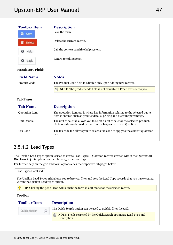| <b>Toolbar Item</b>     | <b>Description</b>                                                                                                                                             |
|-------------------------|----------------------------------------------------------------------------------------------------------------------------------------------------------------|
| а<br>Save               | Save the form.                                                                                                                                                 |
| <b>Delete</b>           | Delete the current record.                                                                                                                                     |
| Help<br>๏               | Call the context sensitive help system.                                                                                                                        |
| Back<br>o               | Return to calling form.                                                                                                                                        |
| <b>Mandatory Fields</b> |                                                                                                                                                                |
| <b>Field Name</b>       | <b>Notes</b>                                                                                                                                                   |
| <b>Product Code</b>     | The Product Code field Is editable only upon adding new records.                                                                                               |
|                         | 百<br>NOTE: The product code field is not available if Free Text is set to yes.                                                                                 |
| <b>Tab Pages</b>        |                                                                                                                                                                |
| <b>Tab Name</b>         | <b>Description</b>                                                                                                                                             |
| <b>Quotation Item</b>   | The quotation item tab is where key information relating to the selected quote<br>item is entered such as product details, pricing and discount percentage.    |
| Unit Of Sale            | The unit of sale tab allows you to select a unit of sale for the selected product.<br>Units of sale are defined in the <b>Products</b> (Section 2.4.1) option. |
| Tax Code                | The tax code tab allows you to select a tax code to apply to the current quotation<br>item.                                                                    |

# 2.5.1.2 Lead Types

The Upsilon Lead Types option is used to create Lead Types. Quotation records created within the **Quotation (Section 2.3.1)**s option can then be assigned a Lead Type.

For further help on the grid and form options click the respective tab pages below.

| Lead Types DataGrid                   |                                                                                                               |  |
|---------------------------------------|---------------------------------------------------------------------------------------------------------------|--|
| within the Upsilon Lead types option. | The Upsilon Lead Types grid allows you to browse, filter and sort the Lead Type records that you have created |  |
|                                       | TIP: Clicking the pencil icon will launch the form in edit mode for the selected record.                      |  |
| <b>Toolbar</b>                        |                                                                                                               |  |
| <b>Toolbar Item</b>                   | <b>Description</b>                                                                                            |  |
| Quick search                          | The Quick Search option can be used to quickly filter the grid.                                               |  |
|                                       | NOTE: Fields searched by the Quick Search option are Lead Type and<br>囼<br>Description.                       |  |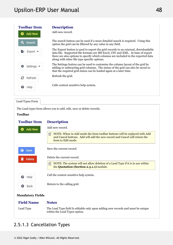

Lead Types Form

The Lead types form allows you to add, edit, save or delete records.

### **Toolbar**

#### **Toolbar Description**

| <b>Add New</b> | Add new record.                                                                                                                                                                    |
|----------------|------------------------------------------------------------------------------------------------------------------------------------------------------------------------------------|
|                | 儨<br>NOTE: When in Add mode the form toolbar buttons will be replaced with Add<br>and Cancel buttons. Add will add the new record and Cancel will return the<br>form to Edit mode. |
| в.<br>Save     | Save the current record.                                                                                                                                                           |
| <b>Delete</b>  | Delete the current record.                                                                                                                                                         |
|                | NOTE: The system will not allow deletion of a Lead Type if it is in use within<br>昏<br>the Quotation (Section 2.5.1.1) module.                                                     |
| ๏<br>Help      | Call the context sensitive help system.                                                                                                                                            |
| Back           | Return to the calling grid.                                                                                                                                                        |
|                |                                                                                                                                                                                    |

### **Mandatory Fields**

#### **Field Name Notes**

Lead Type The Lead Type field Is editable only upon adding new records and must be unique within the Lead Types option.

## 2.5.1.3 Cancellation Types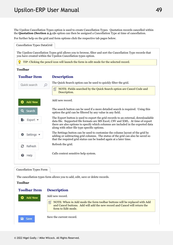The Upsilon Cancellation Types option is used to create Cancellation Types. Quotation records cancelled within the **Quotation (Section 2.3.1)**s option can then be assigned a Cancellation Type at time of cancellation.

For further help on the grid and form options click the respective tab pages below.

Cancellation Types DataGrid

The Upsilon Cancellation Types grid allows you to browse, filter and sort the Cancellation Type records that you have created within the Upsilon Cancellation types option.

TIP: Clicking the pencil icon will launch the form in edit mode for the selected record.

### **Toolbar**

| <b>Toolbar Item</b> | <b>Description</b>                                                                                                                                                                                                                                                                                       |
|---------------------|----------------------------------------------------------------------------------------------------------------------------------------------------------------------------------------------------------------------------------------------------------------------------------------------------------|
| Quick search        | The Quick Search option can be used to quickly filter the grid.                                                                                                                                                                                                                                          |
|                     | 囼<br>NOTE: Fields searched by the Quick Search option are Cancel Code and<br>Description.                                                                                                                                                                                                                |
| <b>Add New</b>      | Add new record.                                                                                                                                                                                                                                                                                          |
| Q<br>Search         | The search button can be used if a more detailed search is required. Using this<br>option the grid can be filtered by any value in any field.                                                                                                                                                            |
| Export *            | The Export button is used to export the grid records to an external, downloadable<br>data file. Supported file formats are MS Excel, CSV and XML. At time of export<br>there are also options to specify which columns are included in the exported data<br>along with other file type specific options. |
| Settings $\sim$     | The Settings button can be used to customise the column layout of the grid by<br>adding or subtracting grid columns. The status of the grid can also be saved so<br>that the required grid status can be loaded again at a later time.                                                                   |
| е<br>Refresh        | Refresh the grid.                                                                                                                                                                                                                                                                                        |
| Help<br>๏           | Calls context sensitive help system.                                                                                                                                                                                                                                                                     |

### Cancellation Types Form

The cancellation types form allows you to add, edit, save or delete records.

### **Toolbar**

#### **Toolbar Description**

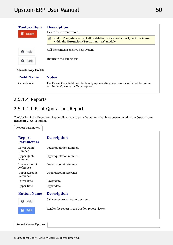| <b>Toolbar Item</b><br><b>Delete</b> | <b>Description</b><br>Delete the current record.                                                                                       |  |
|--------------------------------------|----------------------------------------------------------------------------------------------------------------------------------------|--|
|                                      | NOTE: The system will not allow deletion of a Cancellation Type if it is in use<br>囼<br>within the Quotation (Section 2.5.1.1) module. |  |
| Help<br>€                            | Call the context sensitive help system.                                                                                                |  |
| Back<br>œ                            | Return to the calling grid.                                                                                                            |  |
| <b>Mandatory Fields</b>              |                                                                                                                                        |  |
| <b>Field Name</b>                    | <b>Notes</b>                                                                                                                           |  |
| Cancel Code                          | The Cancel Code field Is editable only upon adding new records and must be unique<br>within the Cancellation Types option.             |  |

## 2.5.1.4 Reports

# 2.5.1.4.1 Print Quotations Report

The Upsilon Print Quotations Report allows you to print Quotations that have been entered in the **Quotations (Section 2.5.1.1)** option.

| <b>Report Parameters</b>           |                                                 |
|------------------------------------|-------------------------------------------------|
| <b>Report</b><br><b>Parameters</b> | <b>Description</b>                              |
| Lower Quote<br>Number              | Lower quotation number.                         |
| <b>Upper Quote</b><br>Number       | Upper quotation number.                         |
| Lower Account<br>Reference         | Lower account reference.                        |
| <b>Upper Account</b><br>Reference  | Upper account reference                         |
| Lower Date                         | Lower date.                                     |
| <b>Upper Date</b>                  | Upper date.                                     |
| <b>Button Name</b>                 | <b>Description</b>                              |
| ๏<br>Help                          | Call context sensitive help system.             |
| в<br>Print                         | Render the report in the Upsilon report viewer. |
|                                    |                                                 |

Report Viewer Options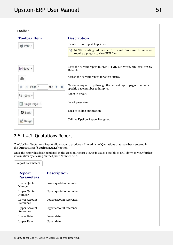

# 2.5.1.4.2 Quotations Report

The Upsilon Quotations Report allows you to produce a filtered list of Quotations that have been entered in the **Quotations (Section 2.5.1.1)** option.

Once the report has been rendered in the Upsilon Report Viewer it is also possible to drill-down to view further information by clicking on the Quote Number field.

| <b>Report Parameters</b>           |                          |
|------------------------------------|--------------------------|
| <b>Report</b><br><b>Parameters</b> | <b>Description</b>       |
| Lower Quote<br>Number              | Lower quotation number.  |
| <b>Upper Quote</b><br>Number       | Upper quotation number.  |
| Lower Account<br>Reference         | Lower account reference. |
| <b>Upper Account</b><br>Reference  | Upper account reference  |
| <b>Lower Date</b>                  | Lower date.              |
| <b>Upper Date</b>                  | Upper date.              |
|                                    |                          |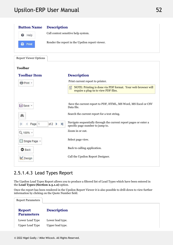

## 2.5.1.4.3 Lead Types Report

The Upsilon Lead Types Report allows you to produce a filtered list of Lead Types which have been entered in the **Lead Types (Section 2.5.1.2)** option.

Once the report has been rendered in the Upsilon Report Viewer it is also possible to drill-down to view further information by clicking on the Quote Number field.

| <b>Report Parameters</b>                  |                                      |  |
|-------------------------------------------|--------------------------------------|--|
| <b>Report</b><br><b>Parameters</b>        | <b>Description</b>                   |  |
| Lower Lead Type<br><b>Upper Lead Type</b> | Lower lead type.<br>Upper lead type. |  |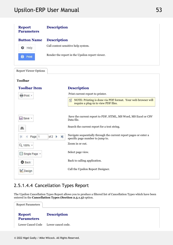| <b>Report</b><br><b>Parameters</b> | <b>Description</b>                                                                                                       |  |  |
|------------------------------------|--------------------------------------------------------------------------------------------------------------------------|--|--|
| <b>Button Name</b>                 | <b>Description</b>                                                                                                       |  |  |
| ❸<br>Help                          | Call context sensitive help system.                                                                                      |  |  |
| Print                              | Render the report in the Upsilon report viewer.                                                                          |  |  |
| <b>Report Viewer Options</b>       |                                                                                                                          |  |  |
| <b>Toolbar</b>                     |                                                                                                                          |  |  |
| <b>Toolbar Item</b>                | <b>Description</b>                                                                                                       |  |  |
| 骨 Print +                          | Print current report to printer.                                                                                         |  |  |
|                                    | 昏<br>NOTE: Printing is done via PDF format. Your web browser will<br>require a plug-in to view PDF files.                |  |  |
| Save *                             | Save the current report to PDF, HTML, MS Word, MS Excel or CSV<br>Data file.                                             |  |  |
| å                                  | Search the current report for a text string.                                                                             |  |  |
| Page 1                             | Navigate sequentially through the current report pages or enter a<br>of 2<br>N<br>b.<br>specific page number to jump to. |  |  |
| Q 100% -                           | Zoom in or out.                                                                                                          |  |  |
| Single Page +                      | Select page view.                                                                                                        |  |  |
| A                                  | Back to calling application.                                                                                             |  |  |

# 2.5.1.4.4 Cancellation Types Report

**O** Back

Lesign

The Upsilon Cancellation Types Report allows you to produce a filtered list of Cancellation Types which have been entered in the **Cancellation Types (Section 2.5.1.3)** option.

Call the Upsilon Report Designer.

| <b>Report Parameters</b>           |                                      |  |
|------------------------------------|--------------------------------------|--|
| <b>Report</b><br><b>Parameters</b> | <b>Description</b>                   |  |
|                                    | Lower Cancel Code Lower cancel code. |  |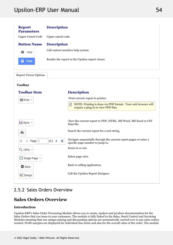| <b>Report</b><br><b>Parameters</b> | <b>Description</b>                                                                                                                                   |  |  |
|------------------------------------|------------------------------------------------------------------------------------------------------------------------------------------------------|--|--|
| <b>Upper Cancel Code</b>           | Upper cancel code.                                                                                                                                   |  |  |
| <b>Button Name</b>                 | <b>Description</b>                                                                                                                                   |  |  |
| ๏<br>Help                          | Call context sensitive help system.                                                                                                                  |  |  |
| e<br>Print                         | Render the report in the Upsilon report viewer.                                                                                                      |  |  |
| <b>Report Viewer Options</b>       |                                                                                                                                                      |  |  |
| <b>Toolbar</b>                     |                                                                                                                                                      |  |  |
| <b>Toolbar Item</b>                | <b>Description</b>                                                                                                                                   |  |  |
| Print +                            | Print current report to printer.                                                                                                                     |  |  |
|                                    | 昏<br>NOTE: Printing is done via PDF format. Your web browser will<br>require a plug-in to view PDF files.                                            |  |  |
|                                    |                                                                                                                                                      |  |  |
| Save -                             | Save the current report to PDF, HTML, MS Word, MS Excel or CSV<br>Data file.                                                                         |  |  |
| a,                                 | Search the current report for a text string.                                                                                                         |  |  |
| Page 1<br>K                        | Navigate sequentially through the current report pages or enter a<br>of $2 \rightarrow$<br>$\blacktriangleright$<br>specific page number to jump to. |  |  |
| Q 100% +                           | Zoom in or out.                                                                                                                                      |  |  |
| ■ Single Page ▼                    | Select page view.                                                                                                                                    |  |  |
| <b>O</b> Back                      | Back to calling application.                                                                                                                         |  |  |
| Design                             | Call the Upsilon Report Designer.                                                                                                                    |  |  |
|                                    |                                                                                                                                                      |  |  |

# 2.5.2 Sales Orders Overview

### **Sales Orders Overview**

## **Introduction**

Upsilon-ERP's Sales Order Processing Module allows you to create, analyse and produce documentation for the Sales Orders that you issue to your customers. The module is fully linked to the Sales, Stock Control and Invoicing Modules meaning that any unique pricing and discounting options are automatically carried over to any sales orders created. Profit margins are displayed for individual line items and also for the overall value of the order. The module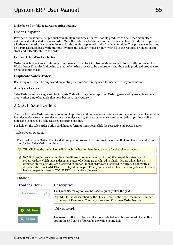is also backed by fully-featured reporting options.

### **Order Despatch**

Provided there is sufficient product availability in the Stock Control module products can be either manually or automatically allocated to a sales order. Once the order is allocated it can then be despatched. This despatch process will then automatically create an invoice for the goods despatched in the Invoicing module. This process can be done on a Part Despatch basis with multiple invoices and delivery notes or only when all of the required products are in stock and fully allocated to the order.

### **Convert To Works Order**

Orders which have items containing components in the Stock Control module can be automatically converted to a Works Order if required, allowing the manufacturing process to be undertaken and the newly produced products to be booked into stock.

### **Duplicate Sales Order**

Recurring orders can be duplicated preventing the time consuming need for users to re-key information.

### **Analysis Codes**

Sales Orders can be categorised by Analysis Code allowing you to report on Orders generated by Area, Sales Person or any other kind of analysis that your business may require.

## 2.5.2.1 Sales Orders

The Upsilon Sales Orders option allows you to produce and manage sales orders for your customer base. The module includes options to analyse sales orders by analysis code, allocate stock to selected sales orders, produce delivery notes and is backed by fully featured reporting options.

For help on the sales order option grid, header form or items form click the respective tab pages below.

Sales Orders DataGrid

The Upsilon Sales Orders DataGrid allows you to browse, filter and sort the orders that you have created within the Upsilon Sales Orders module.

TIP: Clicking the pencil icon will launch the header form in edit mode for the selected record.

**NOTE:** Sales Orders are displayed in different colours dependant upon the despatch status of each order. Orders which have a despatch status of NONE are displayed in black. Orders which have a despatch status of PART are displayed in amber. HELD orders are displayed in purple. Order with a despatch status of CANCEL are displayed in purple. Finally, orders which have been fully despatched and have a despatch status of COMPLETE are displayed in green.

### **Toolbar**

### **Toolbar**

### **Description**



The Quick Search option can be used to quickly filter the grid.

 $\Box$  NOTE: Fields searched by the Quick Search option are Document Number, Account Reference, Company Name and Customer Order Number.

Add New record.

The search button can be used if a more detailed search is required. Using this option the grid can be filtered by any value in any field.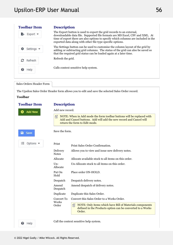| <b>Toolbar Item</b> | <b>Description</b>                                                                                                                                                                                                                                                                                       |  |
|---------------------|----------------------------------------------------------------------------------------------------------------------------------------------------------------------------------------------------------------------------------------------------------------------------------------------------------|--|
| Export .            | The Export button is used to export the grid records to an external,<br>downloadable data file. Supported file formats are MS Excel, CSV and XML. At<br>time of export there are also options to specify which columns are included in the<br>exported data along with other file type specific options. |  |
| Settings •          | The Settings button can be used to customise the column layout of the grid by<br>adding or subtracting grid columns. The status of the grid can also be saved so<br>that the required grid status can be loaded again at a later time.                                                                   |  |
| Refresh             | Refresh the grid.                                                                                                                                                                                                                                                                                        |  |
| Help                | Calls context sensitive help system.                                                                                                                                                                                                                                                                     |  |
|                     |                                                                                                                                                                                                                                                                                                          |  |

The Upsilon Sales Order Header form allows you to edit and save the selected Sales Order record.

| <b>Toolbar Item</b>          | <b>Description</b>       |                                                                                                                                                                               |  |
|------------------------------|--------------------------|-------------------------------------------------------------------------------------------------------------------------------------------------------------------------------|--|
| <b>Add New</b>               | Add new record.          |                                                                                                                                                                               |  |
|                              | 囼                        | NOTE: When in Add mode the form toolbar buttons will be replaced with<br>Add and Cancel buttons. Add will add the new record and Cancel will<br>return the form to Edit mode. |  |
| a<br>Save                    | Save the form.           |                                                                                                                                                                               |  |
| Options $\blacktriangledown$ | Print                    | Print Sales Order Confirmation.                                                                                                                                               |  |
|                              | Delivery<br><b>Notes</b> | Allows you to view and issue new delivery notes.                                                                                                                              |  |
|                              | Allocate                 | Allocate available stock to all items on this order.                                                                                                                          |  |
|                              | $Un-$<br>Allocate        | Un-Allocate stock to all items on this order.                                                                                                                                 |  |
|                              | Put On<br>Hold           | Place order ON-HOLD.                                                                                                                                                          |  |
|                              | Despatch                 | Despatch delivery notes.                                                                                                                                                      |  |
|                              | Amend<br>Despatch        | Amend despatch of delivery notes.                                                                                                                                             |  |
|                              | Duplicate                | Duplicate this Sales Order.                                                                                                                                                   |  |
|                              | Convert To               | Convert this Sales Order to a Works Order.                                                                                                                                    |  |
|                              | Works<br>Order           | 儨<br>NOTE: Only items which have Bill of Materials components<br>defined in the Products option can be converted to a Works<br>Order.                                         |  |
| Help<br>๏                    |                          | Call the context sensitive help system.                                                                                                                                       |  |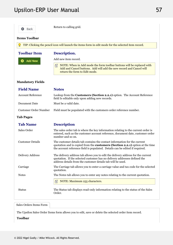

Return to calling grid.

### **Items Toolbar**

| TIP: Clicking the pencil icon will launch the items form in edit mode for the selected item record. |                                                                                                                                                                                                                                                            |  |
|-----------------------------------------------------------------------------------------------------|------------------------------------------------------------------------------------------------------------------------------------------------------------------------------------------------------------------------------------------------------------|--|
| <b>Toolbar Item</b>                                                                                 | Description.                                                                                                                                                                                                                                               |  |
| <b>Add New</b>                                                                                      | Add new item record.                                                                                                                                                                                                                                       |  |
|                                                                                                     | NOTE: When in Add mode the form toolbar buttons will be replaced with<br>Add and Cancel buttons. Add will add the new record and Cancel will<br>return the form to Edit mode.                                                                              |  |
| <b>Mandatory Fields</b>                                                                             |                                                                                                                                                                                                                                                            |  |
| <b>Field Name</b>                                                                                   | <b>Notes</b>                                                                                                                                                                                                                                               |  |
| <b>Account Reference</b>                                                                            | Lookup from the Customers (Section 2.2.1) option. The Account Reference<br>field Is editable only upon adding new records.                                                                                                                                 |  |
| Document Date                                                                                       | Must be a valid date.                                                                                                                                                                                                                                      |  |
| Customer Order Number                                                                               | Field must be populated with the customers order reference number.                                                                                                                                                                                         |  |
| <b>Tab Pages</b>                                                                                    |                                                                                                                                                                                                                                                            |  |
| <b>Tab Name</b>                                                                                     | <b>Description</b>                                                                                                                                                                                                                                         |  |
| Sales Order                                                                                         | The sales order tab is where the key information relating to the current order is<br>entered, such as the customer account reference, document date, customer order<br>number and so on.                                                                   |  |
| <b>Customer Details</b>                                                                             | The customer details tab contains the contact information for the current<br>quotation and is copied from the <b>customers</b> ( <b>Section 2.2.1</b> ) option at the time<br>the account reference field is populated. Details can be edited if required. |  |
| <b>Delivery Address</b>                                                                             | The delivery address tab allows you to edit the delivery address for the current<br>quotation. If the selected customer has no delivery addresses defined the<br>address details from the customer details tab will be used.                               |  |
| Carriage                                                                                            | The Carriage tab allows you to enter a carriage value and tax code for the selected<br>quotation.                                                                                                                                                          |  |
| <b>Notes</b>                                                                                        | The Notes tab allows you to enter any notes relating to the current quotation.                                                                                                                                                                             |  |
|                                                                                                     | NOTE: Maximum 255 characters.                                                                                                                                                                                                                              |  |
| <b>Status</b>                                                                                       | The Status tab displays read-only information relating to the status of the Sales<br>Order.                                                                                                                                                                |  |

The Upsilon Sales Order Items form allows you to edit, save or delete the selected order item record.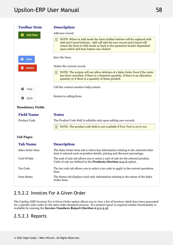| <b>Toolbar Item</b>     | <b>Description</b>                                                                                                                                                                                                                                                |
|-------------------------|-------------------------------------------------------------------------------------------------------------------------------------------------------------------------------------------------------------------------------------------------------------------|
| <b>Add New</b>          | Add new record.                                                                                                                                                                                                                                                   |
|                         | NOTE: When in Add mode the form toolbar buttons will be replaced with<br>Add and Cancel buttons. Add will add the new record and Cancel will<br>return the form to Edit mode or back to the quotation header dependant<br>upon which add item button was clicked. |
| B<br>Save               | Save the form.                                                                                                                                                                                                                                                    |
| <b>Delete</b>           | Delete the current record.                                                                                                                                                                                                                                        |
|                         | 自<br>NOTE: The system will not allow deletion of a Sales Order Item if the order<br>has been cancelled, if there is a despatch quantity, if there is an allocation<br>quantity or if there is a quantity of items printed.                                        |
| ๏<br>Help               | Call the context sensitive help system.                                                                                                                                                                                                                           |
| Back                    | Return to calling form.                                                                                                                                                                                                                                           |
| <b>Mandatory Fields</b> |                                                                                                                                                                                                                                                                   |
| <b>Field Name</b>       | <b>Notes</b>                                                                                                                                                                                                                                                      |
| Product Code            | The Product Code field Is editable only upon adding new records.                                                                                                                                                                                                  |
|                         | NOTE: The product code field is not available if Free Text is set to yes.<br>自                                                                                                                                                                                    |
| <b>Tab Pages</b>        |                                                                                                                                                                                                                                                                   |
| <b>Tab Name</b>         | <b>Description</b>                                                                                                                                                                                                                                                |
| Sales Order Item        | The Sales Order Item tab is where key information relating to the selected order<br>item is entered such as product details, pricing and discount percentage.                                                                                                     |
| Unit Of Sale            | The unit of sale tab allows you to select a unit of sale for the selected product.<br>Units of sale are defined in the <b>Products</b> (Section 2.4.1) option.                                                                                                    |
| Tax Code                | The tax code tab allows you to select a tax code to apply to the current quotation<br>item.                                                                                                                                                                       |
| Item Status             | The Status tab displays read-only information relating to the status of the Sales<br>Order Item.                                                                                                                                                                  |
|                         |                                                                                                                                                                                                                                                                   |

# 2.5.2.2 Invoices For A Given Order

The Upsilon-ERP Invoices For A Given Order option allows you to view a list of Invoices which have been generated for a specific sales order by the sales order despatch process. If a printed report is required similar functionality is available by running the **Invoice Numbers Report (Section 2.5.2.3.3)**.

## 2.5.2.3 Reports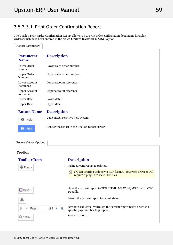# 2.5.2.3.1 Print Order Confirmation Report

The Upsilon Print Order Confirmation Report allows you to print order confirmation documents for Sales Orders which have been entered in the **Sales Orders (Section 2.5.2.1)** option.

| <b>Report Parameters</b>          |                                                 |
|-----------------------------------|-------------------------------------------------|
| <b>Parameter</b><br><b>Name</b>   | <b>Description</b>                              |
| Lower Order<br>Number             | Lower sales order number.                       |
| <b>Upper Order</b><br>Number      | Upper sales order number.                       |
| Lower Account<br>Reference        | Lower account reference.                        |
| <b>Upper Account</b><br>Reference | Upper account reference                         |
| <b>Lower Date</b>                 | Lower date.                                     |
| <b>Upper Date</b>                 | Upper date.                                     |
| <b>Button Name</b>                | <b>Description</b>                              |
| Help<br>❸                         | Call context sensitive help system.             |
| Print<br>в                        | Render the report in the Upsilon report viewer. |
| <b>Report Viewer Options</b>      |                                                 |
| <b>Toolbar</b>                    |                                                 |
| <b>Toolbar Item</b>               | <b>Description</b>                              |

Print current report to printer.

 $\equiv$  NOTE: Printing is done via PDF format. Your web browser will require a plug-in to view PDF files.

 Save the current report to PDF, HTML, MS Word, MS Excel or CSV Data file.

Search the current report for a text string.

Navigate sequentially through the current report pages or enter a specific page number to jump to.

Zoom in or out.

of  $2 \rightarrow$ 

м

Print +

 $H$  Save  $\sim$ 

4

Q 100%

Page 1

A

K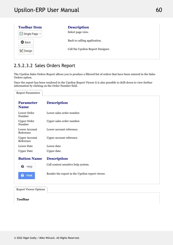| <b>Toolbar Item</b> | <b>Description</b>                |  |
|---------------------|-----------------------------------|--|
| Single Page -       | Select page view.                 |  |
| <b>O</b> Back       | Back to calling application.      |  |
| Design              | Call the Upsilon Report Designer. |  |
|                     |                                   |  |

# 2.5.2.3.2 Sales Orders Report

The Upsilon Sales Orders Report allows you to produce a filtered list of orders that have been entered in the Sales Orders option.

Once the report has been rendered in the Upsilon Report Viewer it is also possible to drill-down to view further information by clicking on the Order Number field.

| <b>Report Parameters</b>          |                                                 |
|-----------------------------------|-------------------------------------------------|
| <b>Parameter</b><br><b>Name</b>   | <b>Description</b>                              |
| Lower Order<br>Number             | Lower sales order number.                       |
| <b>Upper Order</b><br>Number      | Upper sales order number.                       |
| Lower Account<br>Reference        | Lower account reference.                        |
| <b>Upper Account</b><br>Reference | Upper account reference                         |
| Lower Date                        | Lower date.                                     |
| <b>Upper Date</b>                 | Upper date.                                     |
| <b>Button Name</b>                | <b>Description</b>                              |
| <b>O</b> Help                     | Call context sensitive help system.             |
| Print                             | Render the report in the Upsilon report viewer. |
|                                   |                                                 |

Report Viewer Options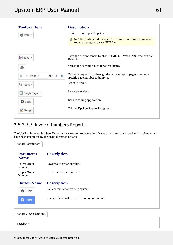| <b>Toolbar Item</b>                                   | <b>Description</b>                                                                                        |
|-------------------------------------------------------|-----------------------------------------------------------------------------------------------------------|
| ePrint +                                              | Print current report to printer.                                                                          |
|                                                       | NOTE: Printing is done via PDF format. Your web browser will<br>自<br>require a plug-in to view PDF files. |
| <b>El</b> Save ▼                                      | Save the current report to PDF, HTML, MS Word, MS Excel or CSV<br>Data file.                              |
| a,                                                    | Search the current report for a text string.                                                              |
| $\blacktriangleright$<br>of $2 \rightarrow$<br>Page 1 | Navigate sequentially through the current report pages or enter a<br>specific page number to jump to.     |
| Q 100% +                                              | Zoom in or out.                                                                                           |
| ■ Single Page ▼                                       | Select page view.                                                                                         |
| <b>O</b> Back                                         | Back to calling application.                                                                              |
| Design                                                | Call the Upsilon Report Designer.                                                                         |
|                                                       |                                                                                                           |

# 2.5.2.3.3 Invoice Numbers Report

The Upsilon Invoice Numbers Report allows you to produce a list of sales orders and any associated invoices which have been generated by the order despatch process.

| <b>Report Parameters</b>        |                                                 |
|---------------------------------|-------------------------------------------------|
| <b>Parameter</b><br><b>Name</b> | <b>Description</b>                              |
| Lower Order<br>Number           | Lower sales order number.                       |
| <b>Upper Order</b><br>Number    | Upper sales order number.                       |
| <b>Button Name</b>              | <b>Description</b>                              |
| ๏<br>Help                       | Call context sensitive help system.             |
| в<br>Print                      | Render the report in the Upsilon report viewer. |
| <b>Report Viewer Options</b>    |                                                 |
| <b>Toolbar</b>                  |                                                 |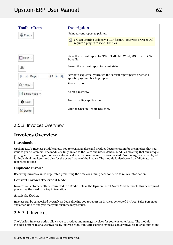| <b>Toolbar Item</b>                                              | <b>Description</b>                                                                                        |
|------------------------------------------------------------------|-----------------------------------------------------------------------------------------------------------|
| Print +                                                          | Print current report to printer.                                                                          |
|                                                                  | NOTE: Printing is done via PDF format. Your web browser will<br>儨<br>require a plug-in to view PDF files. |
|                                                                  | Save the current report to PDF, HTML, MS Word, MS Excel or CSV                                            |
| <b>□</b> Save ▼                                                  | Data file.                                                                                                |
| A                                                                | Search the current report for a text string.                                                              |
| $\blacktriangleright$<br>of 2<br>Page 1<br>$\blacktriangleright$ | Navigate sequentially through the current report pages or enter a<br>specific page number to jump to.     |
| Q 100% +                                                         | Zoom in or out.                                                                                           |
| Single Page *                                                    | Select page view.                                                                                         |
| <b>O</b> Back                                                    | Back to calling application.                                                                              |
| Design                                                           | Call the Upsilon Report Designer.                                                                         |
|                                                                  |                                                                                                           |

# 2.5.3 Invoices Overview

### **Invoices Overview**

## **Introduction**

Upsilon-ERP's Invoices Module allows you to create, analyse and produce documentation for the invoices that you issue to your customers. The module is fully linked to the Sales and Stock Control Modules meaning that any unique pricing and discounting options are automatically carried over to any invoices created. Profit margins are displayed for individual line items and also for the overall value of the invoice. The module is also backed by fully-featured reporting options.

## **Duplicate Invoice**

Recurring Invoices can be duplicated preventing the time consuming need for users to re-key information.

#### **Convert Invoice To Credit Note**

Invoices can automatically be converted to a Credit Note in the Upsilon Credit Notes Module should this be required preventing the need to re key information.

## **Analysis Codes**

Invoices can be categorised by Analysis Code allowing you to report on Invoices generated by Area, Sales Person or any other kind of analysis that your business may require.

## 2.5.3.1 Invoices

The Upsilon Invoices option allows you to produce and manage invoices for your customer base. The module includes options to analyse invoices by analysis code, duplicate existing invoices, convert invoices to credit notes and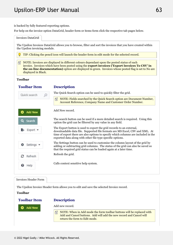is backed by fully featured reporting options.

For help on the invoice option DataGrid, header form or items form click the respective tab pages below.



**Toolbar** 

**Description** 



Add new record.

 $\equiv$  NOTE: When in Add mode the form toolbar buttons will be replaced with Add and Cancel buttons. Add will add the new record and Cancel will return the form to Edit mode.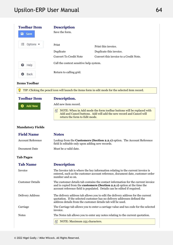| <b>Toolbar Item</b><br>а<br>Save | <b>Description</b><br>Save the form.    |                                        |  |
|----------------------------------|-----------------------------------------|----------------------------------------|--|
| 狂<br>Options $\bullet$           | Print                                   | Print this invoice.                    |  |
|                                  | Duplicate                               | Duplicate this invoice.                |  |
|                                  | <b>Convert To Credit Note</b>           | Convert this invoice to a Credit Note. |  |
| Help<br>❸                        | Call the context sensitive help system. |                                        |  |
| Back<br>o                        | Return to calling grid.                 |                                        |  |
| <b>Items Toolbar</b>             |                                         |                                        |  |

**P** TIP: Clicking the pencil icon will launch the items form in edit mode for the selected item record. **Toolbar Description.** 

Add new item record.

Add New

 $\equiv$  NOTE: When in Add mode the form toolbar buttons will be replaced with Add and Cancel buttons. Add will add the new record and Cancel will return the form to Edit mode.

### **Mandatory Fields**

| <b>Field Name</b>        | <b>Notes</b>                                                                                                                                                                                                                                    |  |
|--------------------------|-------------------------------------------------------------------------------------------------------------------------------------------------------------------------------------------------------------------------------------------------|--|
| <b>Account Reference</b> | Lookup from the Customers (Section 2.2.1) option. The Account Reference<br>field Is editable only upon adding new records.                                                                                                                      |  |
| Document Date            | Must be a valid date.                                                                                                                                                                                                                           |  |
| <b>Tab Pages</b>         |                                                                                                                                                                                                                                                 |  |
| <b>Tab Name</b>          | <b>Description</b>                                                                                                                                                                                                                              |  |
| Invoice                  | The Invoice tab is where the key information relating to the current invoice is<br>entered, such as the customer account reference, document date, customer order<br>number and so on.                                                          |  |
| <b>Customer Details</b>  | The customer details tab contains the contact information for the current invoice<br>and is copied from the <b>customers</b> (Section 2.2.1) option at the time the<br>account reference field is populated. Details can be edited if required. |  |
| Delivery Address         | The delivery address tab allows you to edit the delivery address for the current<br>quotation. If the selected customer has no delivery addresses defined the<br>address details from the customer details tab will be used.                    |  |
| Carriage                 | The Carriage tab allows you to enter a carriage value and tax code for the selected<br>invoice.                                                                                                                                                 |  |
| <b>Notes</b>             | The Notes tab allows you to enter any notes relating to the current quotation.                                                                                                                                                                  |  |
|                          | NOTE: Maximum 255 characters.<br>囼                                                                                                                                                                                                              |  |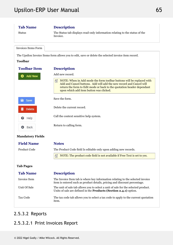## **Tab Name Description** Status The Status tab displays read-only information relating to the status of the Invoice. Invoices Items Form The Upsilon Invoice Items form allows you to edit, save or delete the selected invoice item record. **Toolbar Toolbar Description** Add new record. **O** Add New  $\equiv$  NOTE: When in Add mode the form toolbar buttons will be replaced with Add and Cancel buttons. Add will add the new record and Cancel will return the form to Edit mode or back to the quotation header dependant upon which add item button was clicked. Save the form. a Save Delete the current record. **Delete** Call the context sensitive help system. Help Return to calling form. Back **Mandatory Fields Name Notes Field** Product Code The Product Code field Is editable only upon adding new records.  $\equiv$  NOTE: The product code field is not available if Free Text is set to yes. **Tab Pages Tab Description** Invoice Item The Invoice Item tab is where key information relating to the selected invoice item is entered such as product details, pricing and discount percentage. Unit Of Sale The unit of sale tab allows you to select a unit of sale for the selected product. Units of sale are defined in the **Products (Section 2.4.1)** option. Tax Code The tax code tab allows you to select a tax code to apply to the current quotation item.

## 2.5.3.2 Reports

# 2.5.3.2.1 Print Invoices Report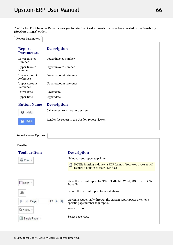The Upsilon Print Invoices Report allows you to print Invoice documents that have been created in the **Invoicing (Section 2.5.3.1)** option.

| <b>Report Parameters</b>           |                                                 |  |
|------------------------------------|-------------------------------------------------|--|
| <b>Report</b><br><b>Parameters</b> | <b>Description</b>                              |  |
| Lower Invoice<br>Number            | Lower invoice number.                           |  |
| <b>Upper Invoice</b><br>Number     | Upper invoice number.                           |  |
| Lower Account<br>Reference         | Lower account reference.                        |  |
| <b>Upper Account</b><br>Reference  | Upper account reference                         |  |
| <b>Lower Date</b>                  | Lower date.                                     |  |
| <b>Upper Date</b>                  | Upper date.                                     |  |
| <b>Button Name</b>                 | <b>Description</b>                              |  |
| ๏<br>Help                          | Call context sensitive help system.             |  |
| Print                              | Render the report in the Upsilon report viewer. |  |

| <b>Report Viewer Options</b> |                    |  |
|------------------------------|--------------------|--|
| <b>Toolbar</b>               |                    |  |
| <b>Toolbar Item</b>          | <b>Description</b> |  |

| <b>骨Print</b> ▼                            | Print current report to printer.                                                                          |  |
|--------------------------------------------|-----------------------------------------------------------------------------------------------------------|--|
|                                            | NOTE: Printing is done via PDF format. Your web browser will<br>自<br>require a plug-in to view PDF files. |  |
|                                            |                                                                                                           |  |
| <b>□</b> Save ▼                            | Save the current report to PDF, HTML, MS Word, MS Excel or CSV<br>Data file.                              |  |
|                                            | Search the current report for a text string.                                                              |  |
| of $2$ $\rightarrow$ $\rightarrow$<br>Page | Navigate sequentially through the current report pages or enter a<br>specific page number to jump to.     |  |
| Q 100% +                                   | Zoom in or out.                                                                                           |  |
| Single Page +                              | Select page view.                                                                                         |  |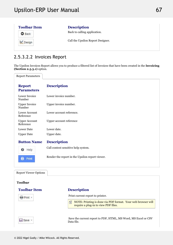| <b>Toolbar Item</b> | <b>Description</b>                |  |
|---------------------|-----------------------------------|--|
| <b>O</b> Back       | Back to calling application.      |  |
| Design              | Call the Upsilon Report Designer. |  |
|                     |                                   |  |

# 2.5.3.2.2 Invoices Report

The Upsilon Invoices Report allows you to produce a filtered list of Invoices that have been created in the **Invoicing (Section 2.5.3.1)** option.

Report Parameters

| <b>Report</b><br><b>Parameters</b> | <b>Description</b>                              |
|------------------------------------|-------------------------------------------------|
| Lower Invoice<br>Number            | Lower invoice number.                           |
| <b>Upper Invoice</b><br>Number     | Upper invoice number.                           |
| Lower Account<br>Reference         | Lower account reference.                        |
| <b>Upper Account</b><br>Reference  | Upper account reference                         |
| Lower Date                         | Lower date.                                     |
| <b>Upper Date</b>                  | Upper date.                                     |
| <b>Button Name</b>                 | <b>Description</b>                              |
| Help<br>๏                          | Call context sensitive help system.             |
| Print                              | Render the report in the Upsilon report viewer. |
| <b>Report Viewer Options</b>       |                                                 |

| <b>Toolbar</b>      |                                                                                                           |
|---------------------|-----------------------------------------------------------------------------------------------------------|
| <b>Toolbar Item</b> | <b>Description</b>                                                                                        |
| <b>骨Print</b> ▼     | Print current report to printer.                                                                          |
|                     | NOTE: Printing is done via PDF format. Your web browser will<br>儨<br>require a plug-in to view PDF files. |
| <b>⊟</b> Save ▼     | Save the current report to PDF, HTML, MS Word, MS Excel or CSV<br>Data file.                              |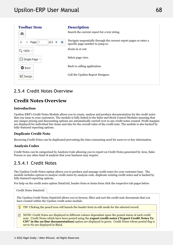

# 2.5.4 Credit Notes Overview

### **Credit Notes Overview**

### **Introduction**

Upsilon-ERP's Credit Notes Module allows you to create, analyse and produce documentation for the credit notes that you issue to your customers. The module is fully linked to the Sales and Stock Control Modules meaning that any unique pricing and discounting options are automatically carried over to any credit notes created. Profit margins are displayed for individual line items and also for the overall value of the credit note. The module is also backed by fully-featured reporting options.

#### **Duplicate Credit Note**

Recurring Credit Notes can be duplicated preventing the time consuming need for users to re-key information.

### **Analysis Codes**

Credit Notes can be categorised by Analysis Code allowing you to report on Credit Notes generated by Area, Sales Person or any other kind of analysis that your business may require.

## 2.5.4.1 Credit Notes

The Upsilon Credit Notes option allows you to produce and manage credit notes for your customer base. The module includes options to analyse credit notes by analysis code, duplicate existing credit notes and is backed by fully featured reporting options.

For help on the credit notes option DataGrid, header form or items form click the respective tab pages below.

The Upsilon Credit Notes DataGrid allows you to browse, filter and sort the credit note documents that you have created within the Upsilon credit notes module. TIP: Clicking the pencil icon will launch the header form in edit mode for the selected record. Credit Notes DataGrid

**NOTE:** Credit Notes are displayed in different colours dependant upon the posted status of each credit note. Credit Notes which have been posted using the **export credit notes ('Export Credit Notes To CSV' in the on-line documentation)** option are displayed in green. Credit Notes whose posted flag is set to No are displayed in Black.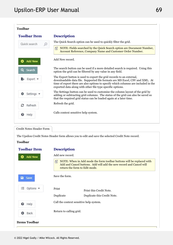| <b>Toolbar</b>         |                                                                                                                                                                                                                                                                                                          |
|------------------------|----------------------------------------------------------------------------------------------------------------------------------------------------------------------------------------------------------------------------------------------------------------------------------------------------------|
| <b>Toolbar Item</b>    | <b>Description</b>                                                                                                                                                                                                                                                                                       |
| Quick search           | The Quick Search option can be used to quickly filter the grid.                                                                                                                                                                                                                                          |
|                        | NOTE: Fields searched by the Quick Search option are Document Number,<br>晋<br>Account Reference, Company Name and Customer Order Number.                                                                                                                                                                 |
| <b>Add New</b>         | Add New record.                                                                                                                                                                                                                                                                                          |
| Search                 | The search button can be used if a more detailed search is required. Using this<br>option the grid can be filtered by any value in any field.                                                                                                                                                            |
| $Export$ $\rightarrow$ | The Export button is used to export the grid records to an external,<br>downloadable data file. Supported file formats are MS Excel, CSV and XML. At<br>time of export there are also options to specify which columns are included in the<br>exported data along with other file type specific options. |
| Settings $\sim$        | The Settings button can be used to customise the column layout of the grid by<br>adding or subtracting grid columns. The status of the grid can also be saved so<br>that the required grid status can be loaded again at a later time.                                                                   |
| Refresh                | Refresh the grid.                                                                                                                                                                                                                                                                                        |
| Help                   | Calls context sensitive help system.                                                                                                                                                                                                                                                                     |

### Credit Notes Header Form

The Upsilon Credit Notes Header form allows you to edit and save the selected Credit Note record.

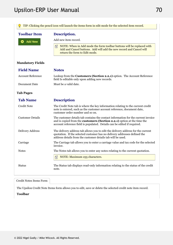# Upsilon-ERP User Manual 2022 2022 12:00 12:00 12:00 12:00 12:00 12:00 12:00 12:00 12:00 12:00 12:00 12:00 12:0

| <b>Toolbar Item</b>      | Description.                                                                                                                                                                                                                             |
|--------------------------|------------------------------------------------------------------------------------------------------------------------------------------------------------------------------------------------------------------------------------------|
| <b>Add New</b>           | Add new item record.                                                                                                                                                                                                                     |
|                          | NOTE: When in Add mode the form toolbar buttons will be replaced with<br>Add and Cancel buttons. Add will add the new record and Cancel will<br>return the form to Edit mode.                                                            |
| <b>Mandatory Fields</b>  |                                                                                                                                                                                                                                          |
| <b>Field Name</b>        | <b>Notes</b>                                                                                                                                                                                                                             |
| <b>Account Reference</b> | Lookup from the Customers (Section 2.2.1) option. The Account Reference<br>field Is editable only upon adding new records.                                                                                                               |
| Document Date            | Must be a valid date.                                                                                                                                                                                                                    |
| <b>Tab Pages</b>         |                                                                                                                                                                                                                                          |
| <b>Tab Name</b>          | <b>Description</b>                                                                                                                                                                                                                       |
| <b>Credit Note</b>       | The Credit Note tab is where the key information relating to the current credit<br>note is entered, such as the customer account reference, document date,<br>customer order number and so on.                                           |
| <b>Customer Details</b>  | The customer details tab contains the contact information for the current invoice<br>and is copied from the customers (Section 2.2.1) option at the time the<br>account reference field is populated. Details can be edited if required. |
| <b>Delivery Address</b>  | The delivery address tab allows you to edit the delivery address for the current<br>quotation. If the selected customer has no delivery addresses defined the<br>address details from the customer details tab will be used.             |
| Carriage                 | The Carriage tab allows you to enter a carriage value and tax code for the selected<br>invoice.                                                                                                                                          |
| <b>Notes</b>             | The Notes tab allows you to enter any notes relating to the current quotation.                                                                                                                                                           |
|                          | NOTE: Maximum 255 characters.<br>自                                                                                                                                                                                                       |
| <b>Status</b>            | The Status tab displays read-only information relating to the status of the credit<br>note.                                                                                                                                              |

Credit Notes Items Form

The Upsilon Credit Note Items form allows you to edit, save or delete the selected credit note item record.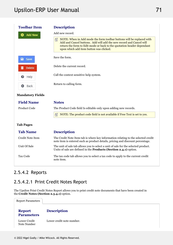# Upsilon-ERP User Manual 2022 12:20 12:20 12:20 12:20 12:20 12:20 12:20 12:20 12:20 12:20 12:20 12:20 12:20 12:20 12:20 12:20 12:20 12:20 12:20 12:20 12:20 12:20 12:20 12:20 12:20 12:20 12:20 12:20 12:20 12:20 12:20 12:20 1

| <b>Toolbar Item</b>     | <b>Description</b>                                                                                                                                                                                                                                                     |
|-------------------------|------------------------------------------------------------------------------------------------------------------------------------------------------------------------------------------------------------------------------------------------------------------------|
| Add New                 | Add new record.                                                                                                                                                                                                                                                        |
|                         | 昏<br>NOTE: When in Add mode the form toolbar buttons will be replaced with<br>Add and Cancel buttons. Add will add the new record and Cancel will<br>return the form to Edit mode or back to the quotation header dependant<br>upon which add item button was clicked. |
| a Save                  | Save the form.                                                                                                                                                                                                                                                         |
| <b>Delete</b>           | Delete the current record.                                                                                                                                                                                                                                             |
| Help<br>๏               | Call the context sensitive help system.                                                                                                                                                                                                                                |
| Back                    | Return to calling form.                                                                                                                                                                                                                                                |
| <b>Mandatory Fields</b> |                                                                                                                                                                                                                                                                        |
| <b>Field Name</b>       | <b>Notes</b>                                                                                                                                                                                                                                                           |
| Product Code            | The Product Code field Is editable only upon adding new records.                                                                                                                                                                                                       |
|                         | 昏<br>NOTE: The product code field is not available if Free Text is set to yes.                                                                                                                                                                                         |
| <b>Tab Pages</b>        |                                                                                                                                                                                                                                                                        |
| <b>Tab Name</b>         | <b>Description</b>                                                                                                                                                                                                                                                     |
| Credit Note Item        | The Credit Note Item tab is where key information relating to the selected credit<br>note item is entered such as product details, pricing and discount percentage.                                                                                                    |
| Unit Of Sale            | The unit of sale tab allows you to select a unit of sale for the selected product.<br>Units of sale are defined in the Products (Section 2.4.1) option.                                                                                                                |
| Tax Code                | The tax code tab allows you to select a tax code to apply to the current credit<br>note item.                                                                                                                                                                          |

# 2.5.4.2 Reports

# 2.5.4.2.1 Print Credit Notes Report

The Upsilon Print Credit Notes Report allows you to print credit note documents that have been created in the **Credit Notes (Section 2.5.4.1)** option.

| <b>Report Parameters</b>           |                           |
|------------------------------------|---------------------------|
| <b>Report</b><br><b>Parameters</b> | <b>Description</b>        |
| Lower Credit<br>Note Number        | Lower credit note number. |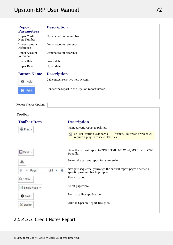| <b>Report</b><br><b>Parameters</b> | <b>Description</b>                              |  |
|------------------------------------|-------------------------------------------------|--|
| <b>Upper Credit</b><br>Note Number | Upper credit note number.                       |  |
| Lower Account<br>Reference         | Lower account reference.                        |  |
| <b>Upper Account</b><br>Reference  | Upper account reference                         |  |
| <b>Lower Date</b>                  | Lower date.                                     |  |
| <b>Upper Date</b>                  | Upper date.                                     |  |
| <b>Button Name</b>                 | <b>Description</b>                              |  |
| Help<br>€                          | Call context sensitive help system.             |  |
| B<br>Print                         | Render the report in the Upsilon report viewer. |  |

Report Viewer Options

### **Toolbar**

| <b>Toolbar Item</b>                                              | <b>Description</b>                                                                                        |
|------------------------------------------------------------------|-----------------------------------------------------------------------------------------------------------|
| Print +                                                          | Print current report to printer.                                                                          |
|                                                                  | NOTE: Printing is done via PDF format. Your web browser will<br>昏<br>require a plug-in to view PDF files. |
| <b>El</b> Save ▼                                                 | Save the current report to PDF, HTML, MS Word, MS Excel or CSV<br>Data file.                              |
| 鸙                                                                | Search the current report for a text string.                                                              |
| $\blacktriangleright$<br>of 2<br>Page 1<br>$\blacktriangleright$ | Navigate sequentially through the current report pages or enter a<br>specific page number to jump to.     |
| Q 100% +                                                         | Zoom in or out.                                                                                           |
| ■ Single Page ▼                                                  | Select page view.                                                                                         |
| <b>O</b> Back                                                    | Back to calling application.                                                                              |
| Design                                                           | Call the Upsilon Report Designer.                                                                         |

## 2.5.4.2.2 Credit Notes Report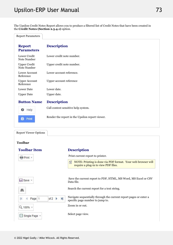The Upsilon Credit Notes Report allows you to produce a filtered list of Credit Notes that have been created in the **Credit Notes (Section 2.5.4.1)** option.

Report Parameters

| <b>Description</b>                              |  |
|-------------------------------------------------|--|
| Lower credit note number.                       |  |
| Upper credit note number.                       |  |
| Lower account reference.                        |  |
| Upper account reference                         |  |
| Lower date.                                     |  |
| Upper date.                                     |  |
| <b>Description</b>                              |  |
| Call context sensitive help system.             |  |
| Render the report in the Upsilon report viewer. |  |
|                                                 |  |

Report Viewer Options

### **Toolbar**

| <b>Toolbar Item</b>             | <b>Description</b>                                                                                        |
|---------------------------------|-----------------------------------------------------------------------------------------------------------|
| e Print +                       | Print current report to printer.                                                                          |
|                                 | NOTE: Printing is done via PDF format. Your web browser will<br>晋<br>require a plug-in to view PDF files. |
| Save -                          | Save the current report to PDF, HTML, MS Word, MS Excel or CSV<br>Data file.                              |
| 鸙                               | Search the current report for a text string.                                                              |
| H<br>of $2 \rightarrow$<br>Page | Navigate sequentially through the current report pages or enter a<br>specific page number to jump to.     |
| Q 100% +                        | Zoom in or out.                                                                                           |
| ■ Single Page ▼                 | Select page view.                                                                                         |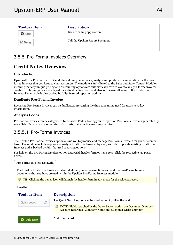

## 2.5.5 Pro-Forma Invoices Overview

#### **Credit Notes Overview**

### **Introduction**

Upsilon-ERP's Pro-Forma Invoice Module allows you to create, analyse and produce documentation for the proforma invoices that you issue to your customers. The module is fully linked to the Sales and Stock Control Modules meaning that any unique pricing and discounting options are automatically carried over to any pro-forma invoices created. Profit margins are displayed for individual line items and also for the overall value of the Pro-Forma Invoice. The module is also backed by fully-featured reporting options.

### **Duplicate Pro-Forma Invoice**

Recurring Pro-Forma Invoices can be duplicated preventing the time consuming need for users to re-key information.

### **Analysis Codes**

Pro-Forma Invoices can be categorised by Analysis Code allowing you to report on Pro-Forma Invoices generated by Area, Sales Person or any other kind of analysis that your business may require.

### 2.5.5.1 Pro-Forma Invoices

The Upsilon Pro-Forma Invoices option allows you to produce and manage Pro-Forma Invoices for your customer base. The module includes options to analyse Pro-Forma Invoices by analysis code, duplicate existing Pro-Forma Invoices and is backed by fully featured reporting options.

For help on the Pro-Forma Invoices option DataGrid, header form or items form click the respective tab pages below.

Pro-Forma Invoices DataGrid

The Upsilon Pro-Forma Invoices DataGrid allows you to browse, filter and sort the Pro-Forma Invoice documents that you have created within the Upsilon Pro-Forma Invoices module.

TIP: Clicking the pencil icon will launch the header form in edit mode for the selected record.

**Toolbar**

**Toolbar** 

### **Description**

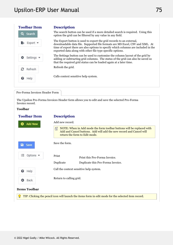| <b>Toolbar Item</b>           | <b>Description</b>                                                                                                                                                                                                                                                                                       |  |
|-------------------------------|----------------------------------------------------------------------------------------------------------------------------------------------------------------------------------------------------------------------------------------------------------------------------------------------------------|--|
| <b>Search</b><br>Q            | The search button can be used if a more detailed search is required. Using this<br>option the grid can be filtered by any value in any field.                                                                                                                                                            |  |
|                               | The Export button is used to export the grid records to an external,<br>downloadable data file. Supported file formats are MS Excel, CSV and XML. At<br>time of export there are also options to specify which columns are included in the<br>exported data along with other file type specific options. |  |
| Settings $\blacktriangledown$ | The Settings button can be used to customise the column layout of the grid by<br>adding or subtracting grid columns. The status of the grid can also be saved so<br>that the required grid status can be loaded again at a later time.                                                                   |  |
| з<br>Refresh                  | Refresh the grid.                                                                                                                                                                                                                                                                                        |  |
| ๏<br>Help                     | Calls context sensitive help system.                                                                                                                                                                                                                                                                     |  |
|                               |                                                                                                                                                                                                                                                                                                          |  |

Pro-Forma Invoices Header Form

The Upsilon Pro-Forma Invoices Header form allows you to edit and save the selected Pro-Forma Invoice record.

### **Toolbar**

| <b>Toolbar Item</b>               | <b>Description</b>                                                                                                                                                                 |
|-----------------------------------|------------------------------------------------------------------------------------------------------------------------------------------------------------------------------------|
| Add New<br>c)                     | Add new record.                                                                                                                                                                    |
|                                   | NOTE: When in Add mode the form toolbar buttons will be replaced with<br>囼<br>Add and Cancel buttons. Add will add the new record and Cancel will<br>return the form to Edit mode. |
| a<br>Save                         | Save the form.                                                                                                                                                                     |
| 狂<br>Options $\blacktriangledown$ | Print<br>Print this Pro-Forma Invoice.                                                                                                                                             |
|                                   | Duplicate<br>Duplicate this Pro-Forma Invoice.                                                                                                                                     |
| ❸<br>Help                         | Call the context sensitive help system.                                                                                                                                            |
| Back<br>o                         | Return to calling grid.                                                                                                                                                            |
| <b>Items Toolbar</b>              |                                                                                                                                                                                    |
|                                   | TIP: Clicking the pencil icon will launch the items form in edit mode for the selected item record.                                                                                |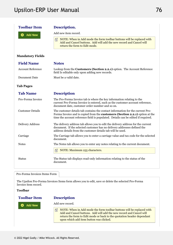| <b>Toolbar Item</b>      | Description.                                                                                                                                                                                                                                        |
|--------------------------|-----------------------------------------------------------------------------------------------------------------------------------------------------------------------------------------------------------------------------------------------------|
| <b>Add New</b>           | Add new item record.                                                                                                                                                                                                                                |
|                          | NOTE: When in Add mode the form toolbar buttons will be replaced with<br>Add and Cancel buttons. Add will add the new record and Cancel will<br>return the form to Edit mode.                                                                       |
| <b>Mandatory Fields</b>  |                                                                                                                                                                                                                                                     |
| <b>Field Name</b>        | <b>Notes</b>                                                                                                                                                                                                                                        |
| <b>Account Reference</b> | Lookup from the Customers (Section 2.2.1) option. The Account Reference<br>field Is editable only upon adding new records.                                                                                                                          |
| Document Date            | Must be a valid date.                                                                                                                                                                                                                               |
| <b>Tab Pages</b>         |                                                                                                                                                                                                                                                     |
| <b>Tab Name</b>          | <b>Description</b>                                                                                                                                                                                                                                  |
| Pro-Forma Invoice        | The Pro-Forma Invoice tab is where the key information relating to the<br>current Pro-Forma Invoice is entered, such as the customer account reference,<br>document date, customer order number and so on.                                          |
| <b>Customer Details</b>  | The customer details tab contains the contact information for the current Pro-<br>Forma Invoice and is copied from the customers (Section 2.2.1) option at the<br>time the account reference field is populated. Details can be edited if required. |
| <b>Delivery Address</b>  | The delivery address tab allows you to edit the delivery address for the current<br>document. If the selected customer has no delivery addresses defined the<br>address details from the customer details tab will be used.                         |
| Carriage                 | The Carriage tab allows you to enter a carriage value and tax code for the selected<br>document.                                                                                                                                                    |
| <b>Notes</b>             | The Notes tab allows you to enter any notes relating to the current document.                                                                                                                                                                       |
|                          | 自<br>NOTE: Maximum 255 characters.                                                                                                                                                                                                                  |
| <b>Status</b>            | The Status tab displays read-only information relating to the status of the<br>document.                                                                                                                                                            |

The Upsilon Pro-Forma Invoices Items form allows you to edit, save or delete the selected Pro-Forma Invoice item record.

#### **Toolbar**

### **Toolbar**

### **Description** Add new record.

Add New

 $\equiv$  NOTE: When in Add mode the form toolbar buttons will be replaced with Add and Cancel buttons. Add will add the new record and Cancel will return the form to Edit mode or back to the quotation header dependant upon which add item button was clicked.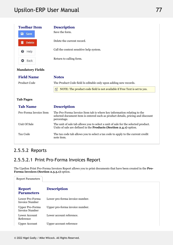| <b>Toolbar Item</b>     | <b>Description</b>                                                                                                                                                        |  |
|-------------------------|---------------------------------------------------------------------------------------------------------------------------------------------------------------------------|--|
| a<br>Save               | Save the form.                                                                                                                                                            |  |
| <b>Delete</b><br>ПT     | Delete the current record.                                                                                                                                                |  |
| Help<br>❸               | Call the context sensitive help system.                                                                                                                                   |  |
| Back<br>ය               | Return to calling form.                                                                                                                                                   |  |
| <b>Mandatory Fields</b> |                                                                                                                                                                           |  |
| <b>Field Name</b>       | <b>Notes</b>                                                                                                                                                              |  |
| Product Code            | The Product Code field Is editable only upon adding new records.                                                                                                          |  |
|                         | NOTE: The product code field is not available if Free Text is set to yes.<br>昏                                                                                            |  |
| <b>Tab Pages</b>        |                                                                                                                                                                           |  |
| <b>Tab Name</b>         | <b>Description</b>                                                                                                                                                        |  |
| Pro-Forma Invoice Item  | The Pro-Forma Invoice Item tab is where key information relating to the<br>selected document item is entered such as product details, pricing and discount<br>percentage. |  |
| Unit Of Sale            | The unit of sale tab allows you to select a unit of sale for the selected product.<br>Units of sale are defined in the Products (Section 2.4.1) option.                   |  |
|                         |                                                                                                                                                                           |  |
| <b>Tax Code</b>         | The tax code tab allows you to select a tax code to apply to the current credit<br>note item.                                                                             |  |

## 2.5.5.2 Reports

## 2.5.5.2.1 Print Pro-Forma Invoices Report

The Upsilon Print Pro-Forma Invoices Report allows you to print documents that have been created in the **Pro-Forma Invoices (Section 2.5.5.1)** option.

| <b>Report Parameters</b>                 |                                 |
|------------------------------------------|---------------------------------|
| <b>Report</b><br><b>Parameters</b>       | <b>Description</b>              |
| Lower Pro-Forma<br>Invoice Number        | Lower pro-forma invoice number. |
| Upper Pro-Forma<br><b>Invoice Number</b> | Upper pro-forma invoice number. |
| Lower Account<br>Reference               | Lower account reference.        |
| <b>Upper Account</b>                     | Upper account reference         |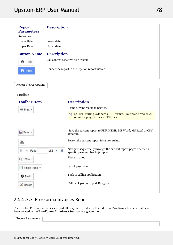# Upsilon-ERP User Manual 2022 12:20 12:20 12:20 12:20 12:20 12:20 12:20 12:20 12:20 12:20 12:20 12:20 12:20 12:20

| <b>Report</b><br><b>Parameters</b> | <b>Description</b>                              |  |
|------------------------------------|-------------------------------------------------|--|
| Reference                          |                                                 |  |
| Lower Date                         | Lower date.                                     |  |
| <b>Upper Date</b>                  | Upper date.                                     |  |
| <b>Button Name</b>                 | <b>Description</b>                              |  |
| Help<br>0                          | Call context sensitive help system.             |  |
| Print<br>B                         | Render the report in the Upsilon report viewer. |  |

| <b>Report Viewer Options</b>                               |                                                                                                           |
|------------------------------------------------------------|-----------------------------------------------------------------------------------------------------------|
| <b>Toolbar</b>                                             |                                                                                                           |
| <b>Toolbar Item</b>                                        | <b>Description</b>                                                                                        |
| Print +                                                    | Print current report to printer.                                                                          |
|                                                            | NOTE: Printing is done via PDF format. Your web browser will<br>昏<br>require a plug-in to view PDF files. |
|                                                            |                                                                                                           |
| Save -                                                     | Save the current report to PDF, HTML, MS Word, MS Excel or CSV<br>Data file.                              |
| 鸙                                                          | Search the current report for a text string.                                                              |
| of $2 \rightarrow$<br>$\blacktriangleright$<br>Page 1<br>и | Navigate sequentially through the current report pages or enter a<br>specific page number to jump to.     |
| Q 100% +                                                   | Zoom in or out.                                                                                           |
| Single Page *<br>▣                                         | Select page view.                                                                                         |
| <b>O</b> Back                                              | Back to calling application.                                                                              |
| Design                                                     | Call the Upsilon Report Designer.                                                                         |
|                                                            |                                                                                                           |

## 2.5.5.2.2 Pro-Forma Invoices Report

The Upsilon Pro-Forma Invoices Report allows you to produce a filtered list of Pro-Forma Invoices that have been created in the **Pro-Forma Invoices (Section 2.5.5.1)** option.

| Report Parame<br>$\sim$ 300 $\sim$<br>.eters |  |
|----------------------------------------------|--|
|                                              |  |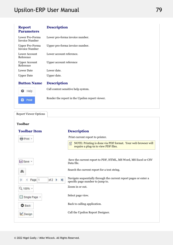# Upsilon-ERP User Manual 2022 12:20 12:20 12:20 12:20 12:20 12:20 12:20 12:20 12:20 12:20 12:20 12:20 12:20 12:20

| <b>Report</b><br><b>Parameters</b>       | <b>Description</b>                              |  |
|------------------------------------------|-------------------------------------------------|--|
| Lower Pro-Forma<br><b>Invoice Number</b> | Lower pro-forma invoice number.                 |  |
| Upper Pro-Forma<br><b>Invoice Number</b> | Upper pro-forma invoice number.                 |  |
| Lower Account<br>Reference               | Lower account reference.                        |  |
| <b>Upper Account</b><br>Reference        | Upper account reference                         |  |
| <b>Lower Date</b>                        | Lower date.                                     |  |
| <b>Upper Date</b>                        | Upper date.                                     |  |
| <b>Button Name</b>                       | <b>Description</b>                              |  |
| ๏<br>Help                                | Call context sensitive help system.             |  |
| Print                                    | Render the report in the Upsilon report viewer. |  |

Report Viewer Options

### **Toolbar**

| <b>Toolbar Item</b>                   | <b>Description</b>                                                                                                    |
|---------------------------------------|-----------------------------------------------------------------------------------------------------------------------|
| Print +                               | Print current report to printer.                                                                                      |
|                                       | NOTE: Printing is done via PDF format. Your web browser will<br>儨<br>require a plug-in to view PDF files.             |
| <b>El</b> Save ▼                      | Save the current report to PDF, HTML, MS Word, MS Excel or CSV<br>Data file.                                          |
| 鸙                                     | Search the current report for a text string.                                                                          |
| of 2<br>$\blacktriangleright$<br>Page | Navigate sequentially through the current report pages or enter a<br>$\mathbb{N}$<br>specific page number to jump to. |
| Q 100% +                              | Zoom in or out.                                                                                                       |
| ■ Single Page ▼                       | Select page view.                                                                                                     |
| <b>O</b> Back                         | Back to calling application.                                                                                          |
| Design                                | Call the Upsilon Report Designer.                                                                                     |
|                                       |                                                                                                                       |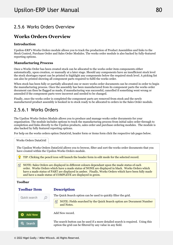### 2.5.6 Works Orders Overview

#### **Works Orders Overview**

### **Introduction**

Upsilon-ERP's Works Orders module allows you to track the production of Product Assemblies and links to the Stock Control, Purchase Order and Sales Order Modules. The works order module is also backed by fully-featured reporting options.

### **Manufacturing Process**

Once a Works Order has been created stock can be allocated to the works order item components either automatically, upon creation, or manually at a later stage. Should any components have an insufficient stock level the stock shortages report can be printed to highlight any components below the required stock level. A picking list can also be printed showing all component parts required to fulfil the works order.

When stock has been fully or partially allocated one or more works order documents can be created in order to begin the manufacturing process. Once the assembly has been manufactured from its component parts the works order document can then be flagged as made, if manufacturing was successful, cancelled if something went wrong or amended if the component parts were incorrect and needed to be changed.

Finally, once the works order is completed the component parts are removed from stock and the newly manufactured product assembly is booked in to stock ready to be allocated to orders in the Sales Order module.

### 2.5.6.1 Works Orders

The Upsilon Works Orders Module allows you to produce and manage works order documents for your organisation. The module includes options to track the manufacturing process from initial sales order through to completion and links directly to the Upsilon products, sales order and purchase ordering modules. The module is also backed by fully featured reporting options.

For help on the works orders option DataGrid, header form or items form click the respective tab pages below.

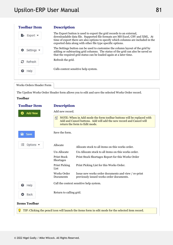| <b>Toolbar Item</b>           | <b>Description</b>                                                                                                                                                                                                                                                                                       |  |
|-------------------------------|----------------------------------------------------------------------------------------------------------------------------------------------------------------------------------------------------------------------------------------------------------------------------------------------------------|--|
| $Export$ $\rightarrow$        | The Export button is used to export the grid records to an external,<br>downloadable data file. Supported file formats are MS Excel, CSV and XML. At<br>time of export there are also options to specify which columns are included in the<br>exported data along with other file type specific options. |  |
| Settings $\blacktriangledown$ | The Settings button can be used to customise the column layout of the grid by<br>adding or subtracting grid columns. The status of the grid can also be saved so<br>that the required grid status can be loaded again at a later time.                                                                   |  |
| Refresh                       | Refresh the grid.                                                                                                                                                                                                                                                                                        |  |
| Help                          | Calls context sensitive help system.                                                                                                                                                                                                                                                                     |  |
|                               |                                                                                                                                                                                                                                                                                                          |  |

Works Orders Header Form

The Upsilon Works Order Header form allows you to edit and save the selected Works Order record.

#### **Toolbar**

| <b>Toolbar Item</b>               |                                 | <b>Description</b>                                                                                                                                                            |  |  |
|-----------------------------------|---------------------------------|-------------------------------------------------------------------------------------------------------------------------------------------------------------------------------|--|--|
| <b>Add New</b>                    | Add new record.                 |                                                                                                                                                                               |  |  |
|                                   | 囼                               | NOTE: When in Add mode the form toolbar buttons will be replaced with<br>Add and Cancel buttons. Add will add the new record and Cancel will<br>return the form to Edit mode. |  |  |
| a<br>Save                         | Save the form.                  |                                                                                                                                                                               |  |  |
| 注<br>Options $\blacktriangledown$ | Allocate                        | Allocate stock to all items on this works order.                                                                                                                              |  |  |
|                                   | Un-Allocate                     | Un-Allocate stock to all items on this works order.                                                                                                                           |  |  |
|                                   | <b>Print Stock</b><br>Shortages | Print Stock Shortages Report for this Works Order                                                                                                                             |  |  |
|                                   | Print Picking<br>List           | Print Picking List for this Works Order.                                                                                                                                      |  |  |
|                                   | Works Order<br>Documents        | Issue new works order documents and view / re-print<br>previously issued works order documents.                                                                               |  |  |
| ๏<br>Help                         |                                 | Call the context sensitive help system.                                                                                                                                       |  |  |
|                                   | Return to calling grid.         |                                                                                                                                                                               |  |  |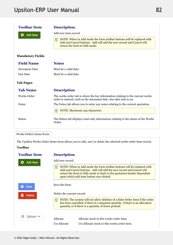| <b>Toolbar Item</b>     | Description.                                                                                                                                                                       |
|-------------------------|------------------------------------------------------------------------------------------------------------------------------------------------------------------------------------|
| <b>Add New</b>          | Add new item record.                                                                                                                                                               |
|                         | NOTE: When in Add mode the form toolbar buttons will be replaced with<br>自<br>Add and Cancel buttons. Add will add the new record and Cancel will<br>return the form to Edit mode. |
| <b>Mandatory Fields</b> |                                                                                                                                                                                    |
| <b>Field Name</b>       | <b>Notes</b>                                                                                                                                                                       |
| <b>Document Date</b>    | Must be a valid date.                                                                                                                                                              |
| Due Date                | Must be a valid date.                                                                                                                                                              |
| <b>Tab Pages</b>        |                                                                                                                                                                                    |
| <b>Tab Name</b>         | <b>Description</b>                                                                                                                                                                 |
| Works Order             | The works order tab is where the key information relating to the current works<br>order is entered, such as the document date, due date and so on.                                 |
| <b>Notes</b>            | The Notes tab allows you to enter any notes relating to the current quotation.                                                                                                     |
|                         | NOTE: Maximum 255 characters.<br>昏                                                                                                                                                 |
| <b>Status</b>           | The Status tab displays read-only information relating to the status of the Works<br>Order.                                                                                        |
| Works Orders Items Form |                                                                                                                                                                                    |
|                         | The Upsilon Works Order Items form allows you to edit, save or delete the selected works order item record.                                                                        |
| <b>Toolbar</b>          |                                                                                                                                                                                    |
|                         |                                                                                                                                                                                    |

| <b>Description</b>         |                                                                                                                                                                                                                                                                   |  |
|----------------------------|-------------------------------------------------------------------------------------------------------------------------------------------------------------------------------------------------------------------------------------------------------------------|--|
| Add new record.            |                                                                                                                                                                                                                                                                   |  |
| 自                          | NOTE: When in Add mode the form toolbar buttons will be replaced with<br>Add and Cancel buttons. Add will add the new record and Cancel will<br>return the form to Edit mode or back to the quotation header dependant<br>upon which add item button was clicked. |  |
| Save the form.             |                                                                                                                                                                                                                                                                   |  |
| Delete the current record. |                                                                                                                                                                                                                                                                   |  |
| 囼                          | NOTE: The system will not allow deletion of a Sales Order Item if the order<br>has been cancelled, if there is a despatch quantity, if there is an allocation<br>quantity or if there is a quantity of items printed.                                             |  |
| Allocate                   | Allocate stock to this works order item.                                                                                                                                                                                                                          |  |
|                            |                                                                                                                                                                                                                                                                   |  |
|                            |                                                                                                                                                                                                                                                                   |  |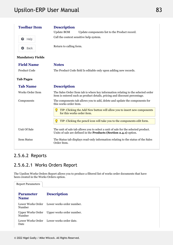| <b>Toolbar Item</b>     | <b>Description</b>                                                                                                                                             |
|-------------------------|----------------------------------------------------------------------------------------------------------------------------------------------------------------|
|                         | <b>Update BOM</b><br>Update components list to the Product record.                                                                                             |
| ❸<br>Help               | Call the context sensitive help system.                                                                                                                        |
| Back                    | Return to calling form.                                                                                                                                        |
| <b>Mandatory Fields</b> |                                                                                                                                                                |
| <b>Field Name</b>       | <b>Notes</b>                                                                                                                                                   |
| <b>Product Code</b>     | The Product Code field Is editable only upon adding new records.                                                                                               |
| <b>Tab Pages</b>        |                                                                                                                                                                |
| <b>Tab Name</b>         | <b>Description</b>                                                                                                                                             |
| Works Order Item        | The Sales Order Item tab is where key information relating to the selected order<br>item is entered such as product details, pricing and discount percentage.  |
| Components              | The components tab allows you to add, delete and update the components for<br>this works order item.                                                           |
|                         | TIP: Clicking the Add New button will allow you to insert new components<br>for this works order item.                                                         |
|                         | TIP: Clicking the pencil icon will take you to the components edit form.                                                                                       |
| Unit Of Sale            | The unit of sale tab allows you to select a unit of sale for the selected product.<br>Units of sale are defined in the <b>Products (Section 2.4.1)</b> option. |
| <b>Item Status</b>      | The Status tab displays read-only information relating to the status of the Sales<br>Order Item.                                                               |
|                         |                                                                                                                                                                |

## 2.5.6.2 Reports

## 2.5.6.2.1 Works Orders Report

The Upsilon Works Orders Report allows you to produce a filtered list of works order documents that have been created in the Works Orders option.

| <b>Report Parameters</b>        |                                             |
|---------------------------------|---------------------------------------------|
| <b>Parameter</b><br><b>Name</b> | <b>Description</b>                          |
| Number                          | Lower Works Order Lower works order number. |
| Number                          | Upper Works Order Upper works order number. |
| Date                            | Lower Works Order Lower works order date.   |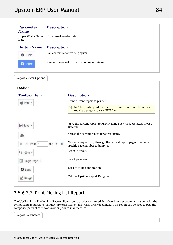| <b>Parameter</b><br><b>Name</b>  | <b>Description</b>                              |                                                                                                           |  |  |
|----------------------------------|-------------------------------------------------|-----------------------------------------------------------------------------------------------------------|--|--|
| <b>Upper Works Order</b><br>Date | Upper works order date.                         |                                                                                                           |  |  |
| <b>Button Name</b>               | <b>Description</b>                              |                                                                                                           |  |  |
| ❸<br>Help                        | Call context sensitive help system.             |                                                                                                           |  |  |
| Print                            | Render the report in the Upsilon report viewer. |                                                                                                           |  |  |
| <b>Report Viewer Options</b>     |                                                 |                                                                                                           |  |  |
| <b>Toolbar</b>                   |                                                 |                                                                                                           |  |  |
| <b>Toolbar Item</b>              |                                                 | <b>Description</b>                                                                                        |  |  |
| Print +                          |                                                 | Print current report to printer.                                                                          |  |  |
|                                  |                                                 | NOTE: Printing is done via PDF format. Your web browser will<br>昏<br>require a plug-in to view PDF files. |  |  |
| <b>El</b> Save ▼                 |                                                 | Save the current report to PDF, HTML, MS Word, MS Excel or CSV                                            |  |  |
|                                  |                                                 | Data file.                                                                                                |  |  |
| å                                |                                                 | Search the current report for a text string.                                                              |  |  |
| Page 1                           | of $2 \rightarrow$<br>$\blacktriangleright$     | Navigate sequentially through the current report pages or enter a<br>specific page number to jump to.     |  |  |
| Q 100% +                         |                                                 | Zoom in or out.                                                                                           |  |  |

### 2.5.6.2.2 Print Picking List Report

■ Single Page +

**O** Back

Design

The Upsilon Print Picking List Report allows you to produce a filtered list of works order documents along with the components required to manufacture each item on the works order document. This report can be used to pick the composite parts of each works order prior to manufacture.

Select page view.

Back to calling application.

Call the Upsilon Report Designer.

| $D_{\text{max}}$ |  |
|------------------|--|
|                  |  |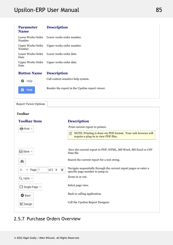| <b>Parameter</b><br><b>Name</b> | <b>Description</b>                              |  |
|---------------------------------|-------------------------------------------------|--|
| Number                          | Lower Works Order Lower works order number.     |  |
| Number                          | Upper Works Order Upper works order number.     |  |
| Date                            | Lower Works Order Lower works order date.       |  |
| Date                            | Upper Works Order Upper works order date.       |  |
| <b>Button Name</b>              | <b>Description</b>                              |  |
| ๏<br>Help                       | Call context sensitive help system.             |  |
| e<br>Print                      | Render the report in the Upsilon report viewer. |  |

Report Viewer Options

### **Toolbar**

| <b>Toolbar Item</b>          | <b>Description</b>                                                                                                    |  |
|------------------------------|-----------------------------------------------------------------------------------------------------------------------|--|
| Print +                      | Print current report to printer.                                                                                      |  |
|                              | NOTE: Printing is done via PDF format. Your web browser will<br>儨<br>require a plug-in to view PDF files.             |  |
|                              |                                                                                                                       |  |
| <b>El</b> Save ▼             | Save the current report to PDF, HTML, MS Word, MS Excel or CSV<br>Data file.                                          |  |
| 鸙                            | Search the current report for a text string.                                                                          |  |
| of $2 \rightarrow$<br>Page 1 | Navigate sequentially through the current report pages or enter a<br>$\mathbf{H}$<br>specific page number to jump to. |  |
| Q 100% +                     | Zoom in or out.                                                                                                       |  |
| ■ Single Page ▼              | Select page view.                                                                                                     |  |
| <b>O</b> Back                | Back to calling application.                                                                                          |  |
| Design                       | Call the Upsilon Report Designer.                                                                                     |  |
|                              |                                                                                                                       |  |

## 2.5.7 Purchase Orders Overview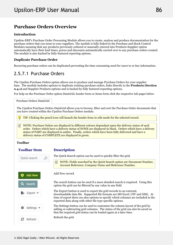#### **Purchase Orders Overview**

### **Introduction**

Upsilon-ERP's Purchase Order Processing Module allows you to create, analyse and produce documentation for the purchase orders that you issue to your suppliers. The module is fully linked to the Purchase and Stock Control Modules meaning that any products previously ordered or manually entered into Products Supplier option automatically have their lead times, prices and discounts automatically carried over to any purchase orders created. The module is also backed by fully-featured reporting options.

### **Duplicate Purchase Order**

Recurring purchase orders can be duplicated preventing the time consuming need for users to re-key information.

### 2.5.7.1 Purchase Orders

The Upsilon Purchase Orders option allows you to produce and manage Purchase Orders for your supplier base. The module includes options to duplicate existing purchase orders, links directly to the **Products (Section 2.4.1)** and Supplier Products options and is backed by fully featured reporting options.

For help on the Purchase Order option DataGrid, header form or items form click the respective tab pages below.

Purchase Orders DataGrid

The Upsilon Purchase Orders DataGrid allows you to browse, filter and sort the Purchase Order documents that you have created within the Upsilon Purchase Orders module.

TIP: Clicking the pencil icon will launch the header form in edit mode for the selected record.

 $\equiv$  NOTE: Purchase Orders are displayed in different colours dependant upon the delivery status of each order. Orders which have a delivery status of NONE are displayed in black. Orders which have a delivery status of PART are displayed in amber. Finally, orders which have been fully delivered and have a delivery status of COMPLETE are displayed in green.

#### **Toolbar**

### **Toolbar**

### **Description**

Quick search **Add New** Search Export + Settings Refresh

The Quick Search option can be used to quickly filter the grid.

 $\equiv$  NOTE: Fields searched by the Quick Search option are Document Number, Account Reference, Company Name and Reference Number.

Add New record.

The search button can be used if a more detailed search is required. Using this option the grid can be filtered by any value in any field.

The Export button is used to export the grid records to an external, downloadable data file. Supported file formats are MS Excel, CSV and XML. At time of export there are also options to specify which columns are included in the exported data along with other file type specific options.

The Settings button can be used to customise the column layout of the grid by adding or subtracting grid columns. The status of the grid can also be saved so that the required grid status can be loaded again at a later time.

Refresh the grid.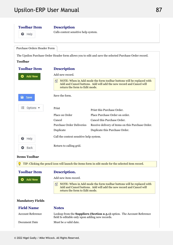### **Toolbar**

**O** Help

### **Description**

Calls context sensitive help system.

Purchase Orders Header Form

The Upsilon Purchase Order Header form allows you to edit and save the selected Purchase Order record. **Toolbar**

| <b>Toolbar Item</b>               | <b>Description</b>                              |                                                                                                                                              |
|-----------------------------------|-------------------------------------------------|----------------------------------------------------------------------------------------------------------------------------------------------|
| Add New                           | Add new record.                                 |                                                                                                                                              |
|                                   | return the form to Edit mode.                   | NOTE: When in Add mode the form toolbar buttons will be replaced with<br>Add and Cancel buttons. Add will add the new record and Cancel will |
| a<br>Save                         | Save the form.                                  |                                                                                                                                              |
| 狂<br>Options $\blacktriangledown$ | Print                                           | Print this Purchase Order.                                                                                                                   |
|                                   | Place on Order                                  | Place Purchase Order on order.                                                                                                               |
|                                   | Cancel                                          | Cancel this Purchase Order.                                                                                                                  |
|                                   | <b>Purchase Order Deliveries</b>                | Receive delivery of items on this Purchase Order.                                                                                            |
|                                   | Duplicate                                       | Duplicate this Purchase Order.                                                                                                               |
| ๏<br>Help                         | Call the context sensitive help system.         |                                                                                                                                              |
| Back<br>o                         | Return to calling grid.                         |                                                                                                                                              |
| <b>Items Toolbar</b>              |                                                 |                                                                                                                                              |
|                                   |                                                 | TIP: Clicking the pencil icon will launch the items form in edit mode for the selected item record.                                          |
| <b>Toolbar Item</b>               | Description.                                    |                                                                                                                                              |
| <b>Add New</b>                    | Add new item record.                            |                                                                                                                                              |
|                                   | 自<br>return the form to Edit mode.              | NOTE: When in Add mode the form toolbar buttons will be replaced with<br>Add and Cancel buttons. Add will add the new record and Cancel will |
| <b>Mandatory Fields</b>           |                                                 |                                                                                                                                              |
| <b>Field Name</b>                 | <b>Notes</b>                                    |                                                                                                                                              |
| <b>Account Reference</b>          | field Is editable only upon adding new records. | Lookup from the <b>Suppliers (Section 2.3.1)</b> option. The Account Reference                                                               |
| Document Date                     | Must be a valid date.                           |                                                                                                                                              |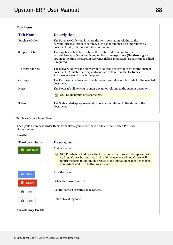### **Tab Pages**

| <b>Tab Name</b>         | <b>Description</b>                                                                                                                                                                                                                                        |  |
|-------------------------|-----------------------------------------------------------------------------------------------------------------------------------------------------------------------------------------------------------------------------------------------------------|--|
| Purchase Order          | The Purchase Order tab is where the key information relating to the<br>current Purchase Order is entered, such as the supplier account reference,<br>document date, reference number and so on.                                                           |  |
| <b>Supplier Details</b> | The supplier details tab contains the contact information for the<br>current Purchase Order and is copied from the <b>suppliers (Section 2.3.1)</b><br>option at the time the account reference field is populated. Details can be edited<br>if required. |  |
| Delivery Address        | The delivery address tab allows you to edit the delivery address for the current<br>document. Available delivery addresses are taken from the <b>Delivery</b><br>Addresses (Section 2.6.4) option.                                                        |  |
| Carriage                | The Carriage tab allows you to enter a carriage value and tax code for the selected<br>document.                                                                                                                                                          |  |
| <b>Notes</b>            | The Notes tab allows you to enter any notes relating to the current document.                                                                                                                                                                             |  |
|                         | NOTE: Maximum 255 characters.<br>囼                                                                                                                                                                                                                        |  |
| <b>Status</b>           | The Status tab displays read-only information relating to the status of the<br>document.                                                                                                                                                                  |  |
|                         |                                                                                                                                                                                                                                                           |  |

#### Purchase Orders Items Form

The Upsilon Purchase Order Items form allows you to edit, save or delete the selected Purchase Order item record.

**Description** 

**Mandatory Fields**

#### **Toolbar**

### **Toolbar**

#### Add new record. **Add New** Ω  $\equiv$  NOTE: When in Add mode the form toolbar buttons will be replaced with Add and Cancel buttons. Add will add the new record and Cancel will return the form to Edit mode or back to the quotation header dependant upon which add item button was clicked. Save the form. a Save Delete the current record. 面 **Delete** Call the context sensitive help system. ๏ Help Return to calling form. Back Θ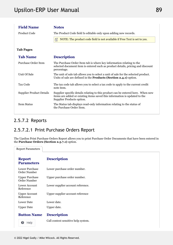| <b>Field Name</b>               | <b>Notes</b>                                                                                                                                                                                |
|---------------------------------|---------------------------------------------------------------------------------------------------------------------------------------------------------------------------------------------|
| <b>Product Code</b>             | The Product Code field Is editable only upon adding new records.                                                                                                                            |
|                                 | NOTE: The product code field is not available if Free Text is set to yes.<br>囼                                                                                                              |
| <b>Tab Pages</b>                |                                                                                                                                                                                             |
| <b>Tab Name</b>                 | <b>Description</b>                                                                                                                                                                          |
| Purchase Order Item             | The Purchase Order Item tab is where key information relating to the<br>selected document item is entered such as product details, pricing and discount<br>percentage.                      |
| Unit Of Sale                    | The unit of sale tab allows you to select a unit of sale for the selected product.<br>Units of sale are defined in the <b>Products</b> (Section 2.4.1) option.                              |
| Tax Code                        | The tax code tab allows you to select a tax code to apply to the current credit<br>note item.                                                                                               |
| <b>Supplier Product Details</b> | Supplier specific details relating to this product can be entered here. When new<br>items are added or existing items saved this information is updated to the<br>Supplier Products option. |
| <b>Item Status</b>              | The Status tab displays read-only information relating to the status of<br>the Purchase Order Item.                                                                                         |

### 2.5.7.2 Reports

### 2.5.7.2.1 Print Purchase Orders Report

The Upsilon Print Purchase Orders Report allows you to print Purchase Order Documents that have been entered in the **Purchase Orders (Section 2.5.7.1)** option.

| <b>Report Parameters</b>              |                                     |
|---------------------------------------|-------------------------------------|
| <b>Report</b><br><b>Parameters</b>    | <b>Description</b>                  |
| Lower Purchase<br>Order Number        | Lower purchase order number.        |
| <b>Upper Purchase</b><br>Order Number | Upper purchase order number.        |
| Lower Account<br>Reference            | Lower supplier account reference.   |
| <b>Upper Account</b><br>Reference     | Upper supplier account reference    |
| <b>Lower Date</b>                     | Lower date.                         |
| <b>Upper Date</b>                     | Upper date.                         |
| <b>Button Name</b>                    | <b>Description</b>                  |
| ❸<br>Help                             | Call context sensitive help system. |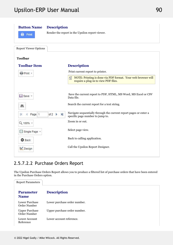

### 2.5.7.2.2 Purchase Orders Report

The Upsilon Purchase Orders Report allows you to produce a filtered list of purchase orders that have been entered in the Purchase Orders option.

| <b>Report Parameters</b>              |                              |
|---------------------------------------|------------------------------|
| <b>Parameter</b><br><b>Name</b>       | <b>Description</b>           |
| Lower Purchase<br>Order Number        | Lower purchase order number. |
| <b>Upper Purchase</b><br>Order Number | Upper purchase order number. |
| Lower Account<br>Reference            | Lower account reference.     |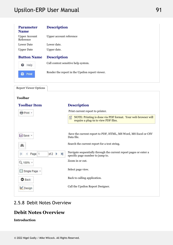| <b>Parameter</b><br><b>Name</b>   | <b>Description</b>                              |  |
|-----------------------------------|-------------------------------------------------|--|
| <b>Upper Account</b><br>Reference | Upper account reference                         |  |
| <b>Lower Date</b>                 | Lower date.                                     |  |
| <b>Upper Date</b>                 | Upper date.                                     |  |
| <b>Button Name</b>                | <b>Description</b>                              |  |
| ❸<br>Help                         | Call context sensitive help system.             |  |
| Е<br>Print                        | Render the report in the Upsilon report viewer. |  |
|                                   |                                                 |  |

Report Viewer Options

### **Toolbar**

| <b>Toolbar Item</b>                                   | <b>Description</b>                                                                                        |  |
|-------------------------------------------------------|-----------------------------------------------------------------------------------------------------------|--|
| <b>骨 Print</b> ▼                                      | Print current report to printer.                                                                          |  |
|                                                       | NOTE: Printing is done via PDF format. Your web browser will<br>儨<br>require a plug-in to view PDF files. |  |
|                                                       |                                                                                                           |  |
| <b>El</b> Save ▼                                      | Save the current report to PDF, HTML, MS Word, MS Excel or CSV<br>Data file.                              |  |
| 鸙                                                     | Search the current report for a text string.                                                              |  |
| $\blacktriangleright$<br>of $2 \rightarrow$<br>Page 1 | Navigate sequentially through the current report pages or enter a<br>specific page number to jump to.     |  |
| Q 100% +                                              | Zoom in or out.                                                                                           |  |
| ■ Single Page ▼                                       | Select page view.                                                                                         |  |
| <b>O</b> Back                                         | Back to calling application.                                                                              |  |
| Design                                                | Call the Upsilon Report Designer.                                                                         |  |

### 2.5.8 Debit Notes Overview

### **Debit Notes Overview**

### **Introduction**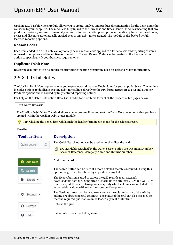Upsilon-ERP's Debit Notes Module allows you to create, analyse and produce documentation for the debit notes that you issue to your suppliers. The module is fully linked to the Purchase and Stock Control Modules meaning that any products previously ordered or manually entered into Products Supplier option automatically have their lead times, prices and discounts automatically carried over to any debit notes created. The module is also backed by fullyfeatured reporting options.

### **Reason Codes**

Each item added to a debit note can optionally have a reason code applied to allow analysis and reporting of items returned to suppliers and the motive for the return. Custom Reason Codes can be created in the Reason Codes option to specifically fit your business requirements.

#### **Duplicate Debit Note**

Recurring debit notes can be duplicated preventing the time consuming need for users to re-key information.

### 2.5.8.1 Debit Notes

The Upsilon Debit Notes option allows you to produce and manage Debit Notes for your supplier base. The module includes options to duplicate existing debit notes, links directly to the **Products (Section 2.4.1)** and Supplier Products options and is backed by fully featured reporting options.

For help on the Debit Note option DataGrid, header form or items form click the respective tab pages below.

Debit Notes DataGrid

The Upsilon Debit Notes DataGrid allows you to browse, filter and sort the Debit Note documents that you have created within the Upsilon Debit Notes module.

TIP: Clicking the pencil icon will launch the header form in edit mode for the selected record.

#### **Toolbar**

#### **Toolbar**

### **Description**

| Quick search   | The Quick Search option can be used to quickly filter the grid.                                                                                                                                                                                                                                          |
|----------------|----------------------------------------------------------------------------------------------------------------------------------------------------------------------------------------------------------------------------------------------------------------------------------------------------------|
|                | NOTE: Fields searched by the Quick Search option are Document Number,<br>自<br>Account Reference, Company Name and Returns Number.                                                                                                                                                                        |
| <b>Add New</b> | Add New record.                                                                                                                                                                                                                                                                                          |
| Search         | The search button can be used if a more detailed search is required. Using this<br>option the grid can be filtered by any value in any field.                                                                                                                                                            |
| Export *       | The Export button is used to export the grid records to an external,<br>downloadable data file. Supported file formats are MS Excel, CSV and XML. At<br>time of export there are also options to specify which columns are included in the<br>exported data along with other file type specific options. |
| Settings       | The Settings button can be used to customise the column layout of the grid by<br>adding or subtracting grid columns. The status of the grid can also be saved so<br>that the required grid status can be loaded again at a later time.                                                                   |
| з<br>Refresh   | Refresh the grid.                                                                                                                                                                                                                                                                                        |
| ๏<br>Help      | Calls context sensitive help system.                                                                                                                                                                                                                                                                     |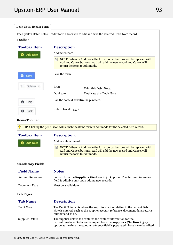| Debit Notes Header Form  |                                                                                                                                                                                                                                    |
|--------------------------|------------------------------------------------------------------------------------------------------------------------------------------------------------------------------------------------------------------------------------|
|                          | The Upsilon Debit Notes Header form allows you to edit and save the selected Debit Note record.                                                                                                                                    |
| <b>Toolbar</b>           |                                                                                                                                                                                                                                    |
| <b>Toolbar Item</b>      | <b>Description</b>                                                                                                                                                                                                                 |
| <b>Add New</b>           | Add new record.                                                                                                                                                                                                                    |
|                          | NOTE: When in Add mode the form toolbar buttons will be replaced with<br>自<br>Add and Cancel buttons. Add will add the new record and Cancel will<br>return the form to Edit mode.                                                 |
| Save<br>а                | Save the form.                                                                                                                                                                                                                     |
| 狂<br>Options $\bullet$   | Print<br>Print this Debit Note.                                                                                                                                                                                                    |
|                          | Duplicate<br>Duplicate this Debit Note.                                                                                                                                                                                            |
| ❸<br>Help                | Call the context sensitive help system.                                                                                                                                                                                            |
| Back<br>o                | Return to calling grid.                                                                                                                                                                                                            |
| <b>Items Toolbar</b>     |                                                                                                                                                                                                                                    |
|                          | TIP: Clicking the pencil icon will launch the items form in edit mode for the selected item record.                                                                                                                                |
| <b>Toolbar Item</b>      | Description.                                                                                                                                                                                                                       |
| <b>Add New</b>           | Add new item record.                                                                                                                                                                                                               |
|                          | NOTE: When in Add mode the form toolbar buttons will be replaced with<br>昌<br>Add and Cancel buttons. Add will add the new record and Cancel will<br>return the form to Edit mode.                                                 |
| <b>Mandatory Fields</b>  |                                                                                                                                                                                                                                    |
| <b>Field Name</b>        | <b>Notes</b>                                                                                                                                                                                                                       |
| <b>Account Reference</b> | Lookup from the <b>Suppliers (Section 2.3.1)</b> option. The Account Reference<br>field Is editable only upon adding new records.                                                                                                  |
| Document Date            | Must be a valid date.                                                                                                                                                                                                              |
| <b>Tab Pages</b>         |                                                                                                                                                                                                                                    |
| <b>Tab Name</b>          | <b>Description</b>                                                                                                                                                                                                                 |
| Debit Note               | The Debit Note tab is where the key information relating to the current Debit<br>Note is entered, such as the supplier account reference, document date, returns<br>number and so on.                                              |
| <b>Supplier Details</b>  | The supplier details tab contains the contact information for the<br>current Purchase Order and is copied from the suppliers (Section 2.3.1)<br>option at the time the account reference field is populated. Details can be edited |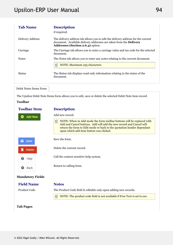| <b>Tab Name</b>  | <b>Description</b><br>if required.                                                                                                                                                          |  |
|------------------|---------------------------------------------------------------------------------------------------------------------------------------------------------------------------------------------|--|
| Delivery Address | The delivery address tab allows you to edit the delivery address for the current<br>document. Available delivery addresses are taken from the Delivery<br>Addresses (Section 2.6.4) option. |  |
| Carriage         | The Carriage tab allows you to enter a carriage value and tax code for the selected<br>document.                                                                                            |  |
| <b>Notes</b>     | The Notes tab allows you to enter any notes relating to the current document.<br>NOTE: Maximum 255 characters.<br>囼                                                                         |  |
| Status           | The Status tab displays read-only information relating to the status of the<br>document.                                                                                                    |  |

```
Debit Notes Items Form
```
The Upsilon Debit Note Items form allows you to edit, save or delete the selected Debit Note item record.

### **Toolbar**

| <b>Toolbar Item</b>     | <b>Description</b>                                                                                                                                                                                                                                                     |
|-------------------------|------------------------------------------------------------------------------------------------------------------------------------------------------------------------------------------------------------------------------------------------------------------------|
| Add New<br>æ            | Add new record.                                                                                                                                                                                                                                                        |
|                         | 昏<br>NOTE: When in Add mode the form toolbar buttons will be replaced with<br>Add and Cancel buttons. Add will add the new record and Cancel will<br>return the form to Edit mode or back to the quotation header dependant<br>upon which add item button was clicked. |
| а<br>Save               | Save the form.                                                                                                                                                                                                                                                         |
| <b>Delete</b>           | Delete the current record.                                                                                                                                                                                                                                             |
| ๏<br>Help               | Call the context sensitive help system.                                                                                                                                                                                                                                |
| Back<br>o               | Return to calling form.                                                                                                                                                                                                                                                |
| <b>Mandatory Fields</b> |                                                                                                                                                                                                                                                                        |
| <b>Field Name</b>       | <b>Notes</b>                                                                                                                                                                                                                                                           |
| Product Code            | The Product Code field Is editable only upon adding new records.                                                                                                                                                                                                       |
|                         | NOTE: The product code field is not available if Free Text is set to yes.<br>昏                                                                                                                                                                                         |
| <b>Tab Pages</b>        |                                                                                                                                                                                                                                                                        |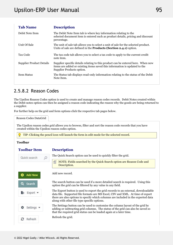| <b>Tab Name</b>                 | <b>Description</b>                                                                                                                                                                          |  |
|---------------------------------|---------------------------------------------------------------------------------------------------------------------------------------------------------------------------------------------|--|
| Debit Note Item                 | The Debit Note Item tab is where key information relating to the<br>selected document item is entered such as product details, pricing and discount<br>percentage.                          |  |
| Unit Of Sale                    | The unit of sale tab allows you to select a unit of sale for the selected product.<br>Units of sale are defined in the <b>Products (Section 2.4.1)</b> option.                              |  |
| Tax Code                        | The tax code tab allows you to select a tax code to apply to the current credit<br>note item.                                                                                               |  |
| <b>Supplier Product Details</b> | Supplier specific details relating to this product can be entered here. When new<br>items are added or existing items saved this information is updated to the<br>Supplier Products option. |  |
| <b>Item Status</b>              | The Status tab displays read-only information relating to the status of the Debit<br>Note Item.                                                                                             |  |
|                                 |                                                                                                                                                                                             |  |

### 2.5.8.2 Reason Codes

The Upsilon Reason Codes option is used to create and manage reason codes records. Debit Notes created within the Debit notes option can then be assigned a reason code indicating the reason why the goods are being returned to a supplier.

For further help on the grid and form options click the respective tab pages below.



The Upsilon reason codes grid allows you to browse, filter and sort the reason code records that you have created within the Upsilon reason codes option.

TIP: Clicking the pencil icon will launch the form in edit mode for the selected record.

#### **Toolbar**

#### **Toolbar**

#### **Description**

The Quick Search option can be used to quickly filter the grid. Quick search  $\circ$ 儨 NOTE: Fields searched by the Quick Search option are Reason Code and Description. Add new record. **Add New** The search button can be used if a more detailed search is required. Using this Search option the grid can be filtered by any value in any field. The Export button is used to export the grid records to an external, downloadable Export data file. Supported file formats are MS Excel, CSV and XML. At time of export there are also options to specify which columns are included in the exported data along with other file type specific options. The Settings button can be used to customise the column layout of the grid by Settings adding or subtracting grid columns. The status of the grid can also be saved so that the required grid status can be loaded again at a later time. Refresh the grid. Refresh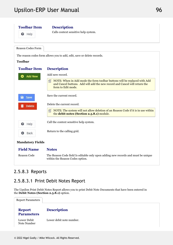### **Toolbar**

**O** Help

### **Description**

Calls context sensitive help system.

Reason Codes Form

The reason codes form allows you to add, edit, save or delete records.

### **Toolbar**

| <b>Toolbar Item</b> | <b>Description</b>                                                                                                                                                                 |
|---------------------|------------------------------------------------------------------------------------------------------------------------------------------------------------------------------------|
| Add New             | Add new record.                                                                                                                                                                    |
|                     | NOTE: When in Add mode the form toolbar buttons will be replaced with Add<br>自<br>and Cancel buttons. Add will add the new record and Cancel will return the<br>form to Edit mode. |
| <b>a</b> Save       | Save the current record.                                                                                                                                                           |
| <b>Delete</b>       | Delete the current record.                                                                                                                                                         |
|                     | 儨<br>NOTE: The system will not allow deletion of an Reason Code if it is in use within<br>the debit notes (Section 2.5.8.1) module.                                                |
| ๏<br>Help           | Call the context sensitive help system.                                                                                                                                            |
| Back                | Return to the calling grid.                                                                                                                                                        |
|                     |                                                                                                                                                                                    |

### **Mandatory Fields**

**Field Name Notes** Reason Code The Reason Code field Is editable only upon adding new records and must be unique within the Reason Codes option.

### 2.5.8.3 Reports

### 2.5.8.3.1 Print Debit Notes Report

The Upsilon Print Debit Notes Report allows you to print Debit Note Documents that have been entered in the **Debit Notes (Section 2.5.8.1)** option.

| <b>Report Parameters</b>           |                          |  |
|------------------------------------|--------------------------|--|
| <b>Report</b><br><b>Parameters</b> | <b>Description</b>       |  |
| Lower Debit<br>Note Number         | Lower debit note number. |  |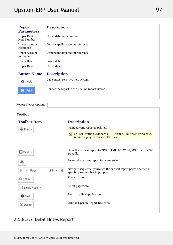| <b>Report</b><br><b>Parameters</b> | <b>Description</b>                              |  |
|------------------------------------|-------------------------------------------------|--|
| <b>Upper Debit</b><br>Note Number  | Upper debit note number.                        |  |
| Lower Account<br>Reference         | Lower supplier account reference.               |  |
| <b>Upper Account</b><br>Reference  | Upper supplier account reference                |  |
| <b>Lower Date</b>                  | Lower date.                                     |  |
| <b>Upper Date</b>                  | Upper date.                                     |  |
| <b>Button Name</b>                 | <b>Description</b>                              |  |
| Help<br>ଈ                          | Call context sensitive help system.             |  |
| Print                              | Render the report in the Upsilon report viewer. |  |

Report Viewer Options

### **Toolbar**

| <b>Toolbar Item</b>                                   | <b>Description</b>                                                                                        |
|-------------------------------------------------------|-----------------------------------------------------------------------------------------------------------|
| Print +                                               | Print current report to printer.                                                                          |
|                                                       | NOTE: Printing is done via PDF format. Your web browser will<br>囼<br>require a plug-in to view PDF files. |
| <b>El</b> Save ▼                                      | Save the current report to PDF, HTML, MS Word, MS Excel or CSV<br>Data file.                              |
| 鸙                                                     | Search the current report for a text string.                                                              |
| $\blacktriangleright$<br>of $2 \rightarrow$<br>Page 1 | Navigate sequentially through the current report pages or enter a<br>specific page number to jump to.     |
| Q 100% +                                              | Zoom in or out.                                                                                           |
| ■ Single Page ▼                                       | Select page view.                                                                                         |
| <b>O</b> Back                                         | Back to calling application.                                                                              |
| Oesign                                                | Call the Upsilon Report Designer.                                                                         |

## 2.5.8.3.2 Debit Notes Report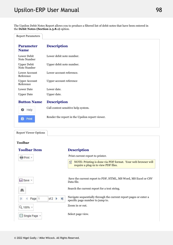The Upsilon Debit Notes Report allows you to produce a filtered list of debit notes that have been entered in the **Debit Notes (Section 2.5.8.1)** option.

Report Parameters

| <b>Description</b>                              |  |
|-------------------------------------------------|--|
| Lower debit note number.                        |  |
| Upper debit note number.                        |  |
| Lower account reference.                        |  |
| Upper account reference                         |  |
| Lower date.                                     |  |
| Upper date.                                     |  |
| <b>Description</b>                              |  |
| Call context sensitive help system.             |  |
| Render the report in the Upsilon report viewer. |  |
|                                                 |  |

Report Viewer Options

### **Toolbar**

| <b>Toolbar Item</b>             | <b>Description</b>                                                                                        |
|---------------------------------|-----------------------------------------------------------------------------------------------------------|
| e Print +                       | Print current report to printer.                                                                          |
|                                 | NOTE: Printing is done via PDF format. Your web browser will<br>晋<br>require a plug-in to view PDF files. |
| Save -                          | Save the current report to PDF, HTML, MS Word, MS Excel or CSV<br>Data file.                              |
| 鸙                               | Search the current report for a text string.                                                              |
| H<br>of $2 \rightarrow$<br>Page | Navigate sequentially through the current report pages or enter a<br>specific page number to jump to.     |
| Q 100% +                        | Zoom in or out.                                                                                           |
| ■ Single Page ▼                 | Select page view.                                                                                         |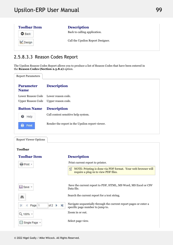| <b>Toolbar Item</b> | <b>Description</b>                |  |
|---------------------|-----------------------------------|--|
| <b>O</b> Back       | Back to calling application.      |  |
| Design              | Call the Upsilon Report Designer. |  |
|                     |                                   |  |

## 2.5.8.3.3 Reason Codes Report

The Upsilon Reason Codes Report allows you to produce a list of Reason Codes that have been entered in the **Reason Codes (Section 2.5.8.2)** option.

| <b>Report Parameters</b>             |                                                 |
|--------------------------------------|-------------------------------------------------|
| <b>Parameter</b><br><b>Name</b>      | <b>Description</b>                              |
| Lower Reason Code Lower reason code. |                                                 |
|                                      | Upper Reason Code Upper reason code.            |
| <b>Button Name</b>                   | <b>Description</b>                              |
| ଈ<br>Help                            | Call context sensitive help system.             |
| Print                                | Render the report in the Upsilon report viewer. |
|                                      |                                                 |

| <b>Report Viewer Options</b>                          |                                                                                                           |
|-------------------------------------------------------|-----------------------------------------------------------------------------------------------------------|
| <b>Toolbar</b>                                        |                                                                                                           |
| <b>Toolbar Item</b>                                   | <b>Description</b>                                                                                        |
| Print +                                               | Print current report to printer.                                                                          |
|                                                       | NOTE: Printing is done via PDF format. Your web browser will<br>昏<br>require a plug-in to view PDF files. |
| <b>El</b> Save ▼                                      | Save the current report to PDF, HTML, MS Word, MS Excel or CSV<br>Data file.                              |
| 鸙                                                     | Search the current report for a text string.                                                              |
| $\blacktriangleright$<br>of $2 \rightarrow$<br>Page 1 | Navigate sequentially through the current report pages or enter a<br>specific page number to jump to.     |
| Q 100% +                                              | Zoom in or out.                                                                                           |
| ■ Single Page +                                       | Select page view.                                                                                         |
|                                                       |                                                                                                           |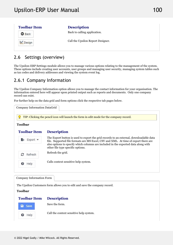## 2.6 Settings (overview)

The Upsilon-ERP Settings module allows you to manage various options relating to the management of the system. These options include creating user accounts, user groups and managing user security, managing system tables such as tax codes and delivery addresses and viewing the system event log.

## 2.6.1 Company Information

The Upsilon Company Information option allows you to manage the contact information for your organisation. The information entered here will appear upon printed output such as reports and documents. Only one company record can exist.

For further help on the data grid and form options click the respective tab pages below.

| <b>Toolbar</b>         | TIP: Clicking the pencil icon will launch the form in edit mode for the company record.                                                                                                                                                                                                                  |
|------------------------|----------------------------------------------------------------------------------------------------------------------------------------------------------------------------------------------------------------------------------------------------------------------------------------------------------|
| <b>Toolbar Item</b>    | <b>Description</b>                                                                                                                                                                                                                                                                                       |
| Export $\bullet$<br>Ŀ. | The Export button is used to export the grid records to an external, downloadable data<br>file. Supported file formats are MS Excel, CSV and XML. At time of export there are<br>also options to specify which columns are included in the exported data along with<br>other file type specific options. |
| е<br>Refresh           | Refresh the grid.                                                                                                                                                                                                                                                                                        |
| Help<br>๏              | Calls context sensitive help system.                                                                                                                                                                                                                                                                     |

The Upsilon Customers form allows you to edit and save the company record.

**Toolbar**

Company Information Form

#### **Toolbar Description**



Save the form.

Call the context sensitive help system.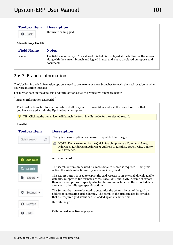#### **Toolbar Description**

**O** Back

Return to calling grid.

**Mandatory Fields**

#### **Field Name Notes**

Name The field is mandatory. This value of this field is displayed at the bottom of the screen along with the current branch and logged in user and is also displayed on reports and documents.

## 2.6.2 Branch Information

The Upsilon Branch Information option is used to create one or more branches for each physical location in which your organisation operates.

For further help on the data grid and form options click the respective tab pages below.

Branch Information DataGrid

The Upsilon Branch Information DataGrid allows you to browse, filter and sort the branch records that you have created within the Upsilon branches option.

TIP: Clicking the pencil icon will launch the form in edit mode for the selected record.

### **Toolbar**

### **Toolbar**

#### **Description**

| Quick search   | The Quick Search option can be used to quickly filter the grid.                                                                                                                                                                                                                                          |
|----------------|----------------------------------------------------------------------------------------------------------------------------------------------------------------------------------------------------------------------------------------------------------------------------------------------------------|
|                | 囼<br>NOTE: Fields searched by the Quick Search option are Company Name,<br>Addresses 1, Address 2, Address 3, Address 4, Locality, Town / City, County<br>and Postcode.                                                                                                                                  |
| <b>Add New</b> | Add new record.                                                                                                                                                                                                                                                                                          |
| Q<br>Search    | The search button can be used if a more detailed search is required. Using this<br>option the grid can be filtered by any value in any field.                                                                                                                                                            |
| Export *       | The Export button is used to export the grid records to an external, downloadable<br>data file. Supported file formats are MS Excel, CSV and XML. At time of export<br>there are also options to specify which columns are included in the exported data<br>along with other file type specific options. |
| Settings •     | The Settings button can be used to customise the column layout of the grid by<br>adding or subtracting grid columns. The status of the grid can also be saved so<br>that the required grid status can be loaded again at a later time.                                                                   |
| з<br>Refresh   | Refresh the grid.                                                                                                                                                                                                                                                                                        |
| Help<br>ฌ      | Calls context sensitive help system.                                                                                                                                                                                                                                                                     |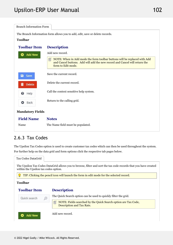| <b>Branch Information Form</b> |                                                                                                                                                                                    |  |
|--------------------------------|------------------------------------------------------------------------------------------------------------------------------------------------------------------------------------|--|
|                                | The Branch Information form allows you to add, edit, save or delete records.                                                                                                       |  |
| <b>Toolbar</b>                 |                                                                                                                                                                                    |  |
| <b>Toolbar Item</b>            | <b>Description</b>                                                                                                                                                                 |  |
| <b>Add New</b><br>o            | Add new record.                                                                                                                                                                    |  |
|                                | NOTE: When in Add mode the form toolbar buttons will be replaced with Add<br>囼<br>and Cancel buttons. Add will add the new record and Cancel will return the<br>form to Edit mode. |  |
| $\blacksquare$<br>Save         | Save the current record.                                                                                                                                                           |  |
| <b>Delete</b><br>TIT           | Delete the current record.                                                                                                                                                         |  |
| ❸<br>Help                      | Call the context sensitive help system.                                                                                                                                            |  |
| Back<br>o                      | Return to the calling grid.                                                                                                                                                        |  |
| <b>Mandatory Fields</b>        |                                                                                                                                                                                    |  |
| <b>Field Name</b>              | <b>Notes</b>                                                                                                                                                                       |  |
| Name                           | The Name field must be populated.                                                                                                                                                  |  |

## 2.6.3 Tax Codes

The Upsilon Tax Codes option is used to create customer tax codes which can then be used throughout the system. For further help on the data grid and form options click the respective tab pages below.

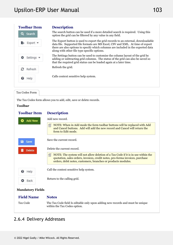| <b>Toolbar Item</b> | <b>Description</b>                                                                                                                                                                                                                                                                                       |  |
|---------------------|----------------------------------------------------------------------------------------------------------------------------------------------------------------------------------------------------------------------------------------------------------------------------------------------------------|--|
| Q Search            | The search button can be used if a more detailed search is required. Using this<br>option the grid can be filtered by any value in any field.                                                                                                                                                            |  |
| Export *            | The Export button is used to export the grid records to an external, downloadable<br>data file. Supported file formats are MS Excel, CSV and XML. At time of export<br>there are also options to specify which columns are included in the exported data<br>along with other file type specific options. |  |
| Settings =          | The Settings button can be used to customise the column layout of the grid by<br>adding or subtracting grid columns. The status of the grid can also be saved so<br>that the required grid status can be loaded again at a later time.                                                                   |  |
| Refresh             | Refresh the grid.                                                                                                                                                                                                                                                                                        |  |
| Help<br>€           | Calls context sensitive help system.                                                                                                                                                                                                                                                                     |  |
|                     |                                                                                                                                                                                                                                                                                                          |  |

Tax Codes Form

The Tax Codes form allows you to add, edit, save or delete records.

### **Toolbar**

#### **Toolbar Description**

| <b>Add New</b> | Add new record.                                                                                                                                                                                                                          |
|----------------|------------------------------------------------------------------------------------------------------------------------------------------------------------------------------------------------------------------------------------------|
|                | NOTE: When in Add mode the form toolbar buttons will be replaced with Add<br>〔<br>and Cancel buttons. Add will add the new record and Cancel will return the<br>form to Edit mode.                                                       |
| <b>a</b> Save  | Save the current record.                                                                                                                                                                                                                 |
| <b>Delete</b>  | Delete the current record.                                                                                                                                                                                                               |
|                | 自<br>NOTE: The system will not allow deletion of a Tax Code if it is in use within the<br>quotation, sales orders, invoices, credit notes, pro-forma invoices, purchase<br>orders, debit notes, customers, branches or products modules. |
| Help<br>Ø      | Call the context sensitive help system.                                                                                                                                                                                                  |
| <b>Back</b>    | Return to the calling grid.                                                                                                                                                                                                              |
|                |                                                                                                                                                                                                                                          |

### **Mandatory Fields**

| <b>Field Name</b><br><b>Notes</b>                                                                                          |  |
|----------------------------------------------------------------------------------------------------------------------------|--|
| The Tax Code field Is editable only upon adding new records and must be unique<br>Tax Code<br>within the Tax Codes option. |  |

### 2.6.4 Delivery Addresses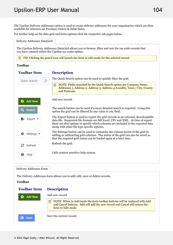The Upsilon Delivery Addresses option is used to create delivery addresses for your organisation which are then available for selection on Purchase Orders & Debit Notes.

For further help on the data grid and form options click the respective tab pages below.

Delivery Addresses DataGrid

The Upsilon Delivery Addresses DataGrid allows you to browse, filter and sort the tax code records that you have created within the Upsilon tax codes option.

TIP: Clicking the pencil icon will launch the form in edit mode for the selected record.

#### **Toolbar**

| <b>Toolbar Item</b>           | <b>Description</b>                                                                                                                                                                                                                                                                                       |
|-------------------------------|----------------------------------------------------------------------------------------------------------------------------------------------------------------------------------------------------------------------------------------------------------------------------------------------------------|
| Quick search                  | The Quick Search option can be used to quickly filter the grid.                                                                                                                                                                                                                                          |
|                               | NOTE: Fields searched by the Quick Search option are Company Name,<br>囼<br>Addresses 1, Address 2, Address 3, Address 4, Locality, Town / City, County<br>and Postcode.                                                                                                                                  |
| <b>Add New</b>                | Add new record.                                                                                                                                                                                                                                                                                          |
| Q<br>Search                   | The search button can be used if a more detailed search is required. Using this<br>option the grid can be filtered by any value in any field.                                                                                                                                                            |
| Export *                      | The Export button is used to export the grid records to an external, downloadable<br>data file. Supported file formats are MS Excel, CSV and XML. At time of export<br>there are also options to specify which columns are included in the exported data<br>along with other file type specific options. |
| Settings $\blacktriangledown$ | The Settings button can be used to customise the column layout of the grid by<br>adding or subtracting grid columns. The status of the grid can also be saved so<br>that the required grid status can be loaded again at a later time.                                                                   |
| е<br>Refresh                  | Refresh the grid.                                                                                                                                                                                                                                                                                        |
| Help<br>0                     | Calls context sensitive help system.                                                                                                                                                                                                                                                                     |

#### Delivery Addresses Form

The Delivery Addresses form allows you to add, edit, save or delete records.

#### **Toolbar**

#### **Toolbar Description**

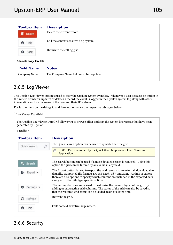| <b>Toolbar Item</b> | <b>Description</b>                      |  |
|---------------------|-----------------------------------------|--|
| <b>Delete</b>       | Delete the current record.              |  |
| Help                | Call the context sensitive help system. |  |
| Back                | Return to the calling grid.             |  |
|                     |                                         |  |

#### **Mandatory Fields**

**Field Name Notes** Company Name The Company Name field must be populated.

### 2.6.5 Log Viewer

The Upsilon Log Viewer option is used to view the Upsilon system event log. Whenever a user accesses an option in the system or inserts, updates or deletes a record the event is logged in the Upsilon system log along with other information such as the name of the user and their IP address.

For further help on the data grid and form options click the respective tab pages below.

Log Viewer DataGrid

The Upsilon Log Viewer DataGrid allows you to browse, filter and sort the system log records that have been generated by Upsilon.

#### **Toolbar**

### **Toolbar**

#### **Description**

The Quick Search option can be used to quickly filter the grid. Quick search  $\equiv$  NOTE: Fields searched by the Quick Search option are User Name and Application. The search button can be used if a more detailed search is required. Using this Search option the grid can be filtered by any value in any field. The Export button is used to export the grid records to an external, downloadable Export data file. Supported file formats are MS Excel, CSV and XML. At time of export there are also options to specify which columns are included in the exported data along with other file type specific options. The Settings button can be used to customise the column layout of the grid by Settings adding or subtracting grid columns. The status of the grid can also be saved so that the required grid status can be loaded again at a later time. Refresh the grid. Refresh Calls context sensitive help system. Help

### 2.6.6 Security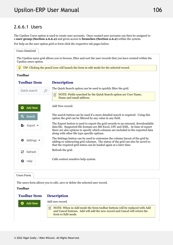### 2.6.6.1 Users

The Upsilon Users option is used to create user accounts. Once created user accounts can then be assigned to a **user group (Section 2.6.6.2)** and given access to **branches (Section 2.6.2)** within the system.

For help on the user option grid or form click the respective tab pages below.



Users Form

The users form allows you to edit, save or delete the selected user record.

#### **Toolbar**

**Add New** 

#### **Toolbar Description**

Add new record.

儨 NOTE: When in Add mode the form toolbar buttons will be replaced with Add and Cancel buttons. Add will add the new record and Cancel will return the form to Edit mode.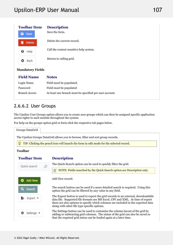| <b>Toolbar Item</b><br>a<br>Save | <b>Description</b><br>Save the form.                    |  |
|----------------------------------|---------------------------------------------------------|--|
| <b>Delete</b><br>m               | Delete the current record.                              |  |
| ❸<br>Help                        | Call the context sensitive help system.                 |  |
| Back<br>o                        | Return to calling grid.                                 |  |
| <b>Mandatory Fields</b>          |                                                         |  |
| <b>Field Name</b>                | <b>Notes</b>                                            |  |
| Login Name                       | Field must be populated.                                |  |
| Password                         | Field must be populated                                 |  |
| <b>Branch Access</b>             | At least one branch must be specified per user account. |  |

### 2.6.6.2 User Groups

The Upsilon User Groups option allows you to create user groups which can then be assigned specific application access rights to each module throughout the system.

For help on the groups option grid or form click the respective tab pages below.

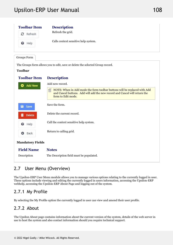# Upsilon-ERP User Manual

| <b>Toolbar Item</b> | <b>Description</b>                   |  |
|---------------------|--------------------------------------|--|
| Refresh<br>с        | Refresh the grid.                    |  |
| Help<br>⊌           | Calls context sensitive help system. |  |
|                     |                                      |  |

Groups Form

The Groups form allows you to edit, save or delete the selected Group record.

#### **Toolbar**

#### **Toolbar Description**

| <b>Add New</b><br>o     | Add new record.                                                                                                                                                                    |  |
|-------------------------|------------------------------------------------------------------------------------------------------------------------------------------------------------------------------------|--|
|                         | NOTE: When in Add mode the form toolbar buttons will be replaced with Add<br>自<br>and Cancel buttons. Add will add the new record and Cancel will return the<br>form to Edit mode. |  |
| <b>a</b> Save           | Save the form.                                                                                                                                                                     |  |
| <b>Delete</b>           | Delete the current record.                                                                                                                                                         |  |
| ❸<br>Help               | Call the context sensitive help system.                                                                                                                                            |  |
| Back<br>o               | Return to calling grid.                                                                                                                                                            |  |
| <b>Mandatory Fields</b> |                                                                                                                                                                                    |  |
| <b>Field Name</b>       | <b>Notes</b>                                                                                                                                                                       |  |
| Description             | The Description field must be populated.                                                                                                                                           |  |

### 2.7 User Menu (Overview)

The Upsilon-ERP User Menu module allows you to manage various options relating to the currently logged in user. These options include viewing and editing the currently logged in users information, accessing the Upsilon-ERP webhelp, accessing the Upsilon-ERP About Page and logging out of the system.

### 2.7.1 My Profile

By selecting the My Profile option the currently logged in user can view and amend their user profile.

### 2.7.2 About

The Upsilon About page contains information about the current version of the system, details of the web server in use to host the system and also contact information should you require technical support.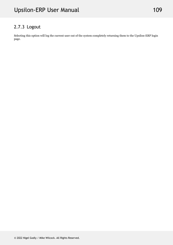## 2.7.3 Logout

Selecting this option will log the current user out of the system completely returning them to the Upsilon-ERP login page.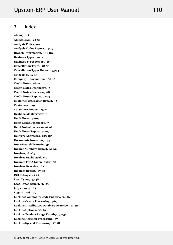#### 3 Index

**About, 108 Adjust Level, 29-30 Analysis Codes, 9-11 Analysis Codes Report, 14-15 Branch Information, 101-102 Business Types, 11-12 Business Types Report, 16 Cancellation Types, 48-50 Cancellation Types Report, 53-54 Categories, 12-13 Company Information, 100-101 Credit Notes, 68-71 Credit Notes Dashboard, 7 Credit Notes Overview, 68 Credit Notes Report, 72-74 Customer Categories Report, 17 Customers, 7-9 Customers Report, 13-14 Dashboards Overview, 6 Debit Notes, 92-95 Debit Notes Dashboard, 7 Debit Notes Overview, 91-92 Debit Notes Report, 97-99 Delivery Addresses, 103-105 Documents (overview), 43 Inter-Branch Transfer, 31 Invoice Numbers Report, 61-62 Invoices, 62-65 Invoices Dashboard, 6-7 Invoices For A Given Order, 58 Invoices Overview, 62 Invoices Report, 67-68 ISO Ratings, 19-21 Lead Types, 47-48 Lead Types Report, 52-53 Log Viewer, 105 Logout, 108-109 Luckins Commodity Code Enquiry, 34-36 Luckins Create Processing, 36-37 Luckins Distributors Database Overview, 31-32 Luckins Options, 38-39 Luckins Product Range Enquiry, 32-34 Luckins Revision Processing, 37 Luckins Special Processing, 37-38**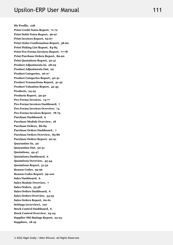**My Profile, 108 Print Credit Notes Report, 71-72 Print Debit Notes Report, 96-97 Print Invoices Report, 65-67 Print Order Confirmation Report, 58-60 Print Picking List Report, 84-85 Print Pro-Forma Invoices Report, 77-78 Print Purchase Orders Report, 89-90 Print Quotations Report, 50-51 Product Adjustments In, 28-29 Product Adjustments Out, 29 Product Categories, 26-27 Product Categories Report, 40-41 Product Transactions Report, 41-42 Product Valuation Report, 42-43 Products, 24-25 Products Report, 39-40 Pro-Forma Invoices, 74-77 Pro-Forma Invoices Dashboard, 7 Pro-Forma Invoices Overview, 74 Pro-Forma Invoices Report, 78-79 Purchase Dashboard, 6 Purchase Module Overview, 18 Purchase Orders, 86-89 Purchase Orders Dashboard , 7 Purchase Orders Overview, 85-86 Purchase Orders Report, 90-91 Quarantine In, 30 Quarantine Out, 30-31 Quotations, 44-47 Quotations Dashboard, 6 Quotations Overview, 43-44 Quotations Report, 51-52 Reason Codes, 95-96 Reason Codes Report, 99-100 Sales Dashboard, 6 Sales Module Overview, 7 Sales Orders, 55-58 Sales Orders Dashboard, 6 Sales Orders Overview, 54-55 Sales Orders Report, 60-61 Settings (overview), 100 Stock Control Dashboard, 6 Stock Control Overview, 23-24 Supplier ISO Ratings Report, 22-23 Suppliers, 18-19**